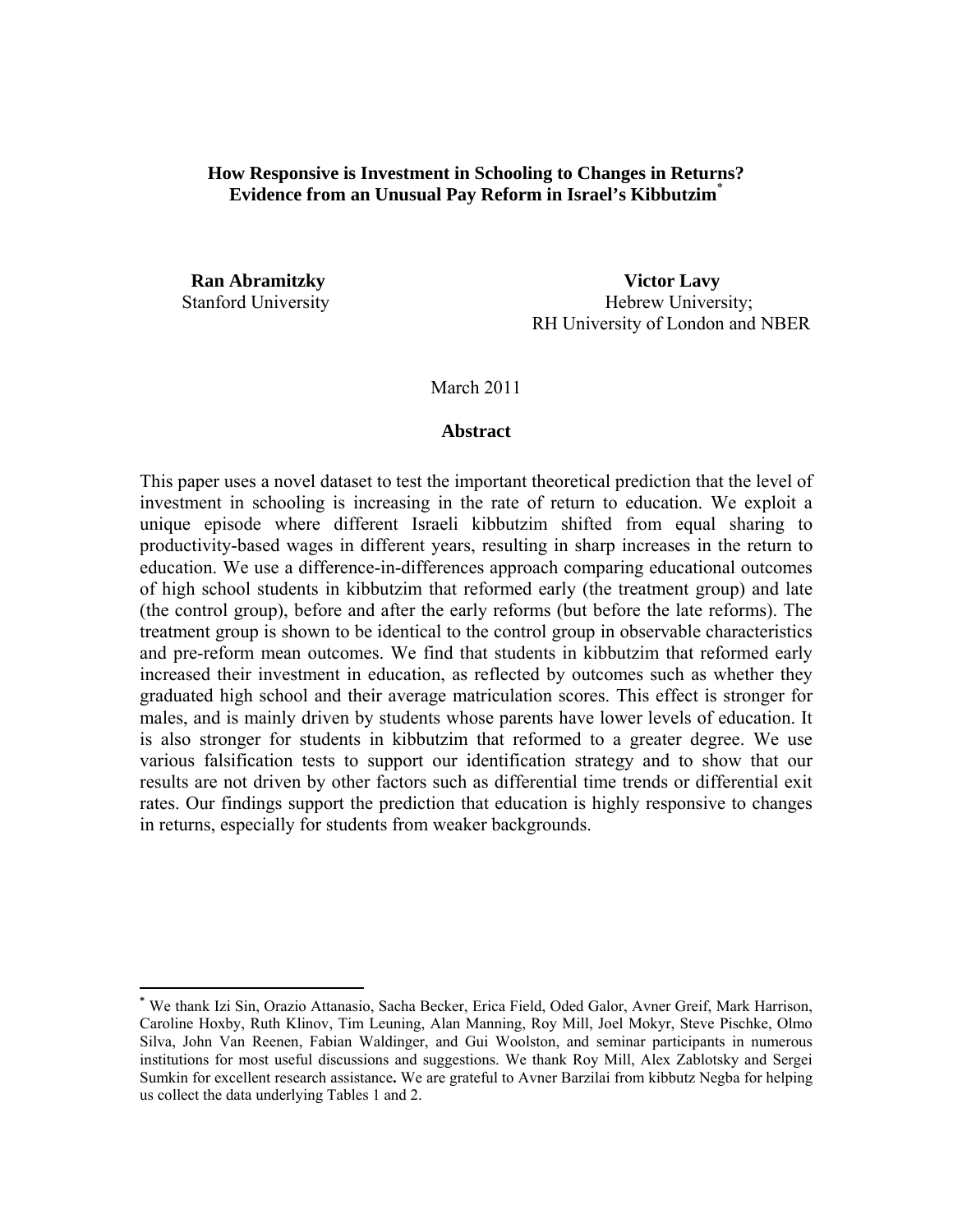## **How Responsive is Investment in Schooling to Changes in Returns? Evidence from an Unusual Pay Reform in Israel's Kibbutzim**\*

 $\overline{a}$ 

**Ran Abramitzky** Victor Lavy Stanford University Hebrew University; RH University of London and NBER

## March 2011

### **Abstract**

This paper uses a novel dataset to test the important theoretical prediction that the level of investment in schooling is increasing in the rate of return to education. We exploit a unique episode where different Israeli kibbutzim shifted from equal sharing to productivity-based wages in different years, resulting in sharp increases in the return to education. We use a difference-in-differences approach comparing educational outcomes of high school students in kibbutzim that reformed early (the treatment group) and late (the control group), before and after the early reforms (but before the late reforms). The treatment group is shown to be identical to the control group in observable characteristics and pre-reform mean outcomes. We find that students in kibbutzim that reformed early increased their investment in education, as reflected by outcomes such as whether they graduated high school and their average matriculation scores. This effect is stronger for males, and is mainly driven by students whose parents have lower levels of education. It is also stronger for students in kibbutzim that reformed to a greater degree. We use various falsification tests to support our identification strategy and to show that our results are not driven by other factors such as differential time trends or differential exit rates. Our findings support the prediction that education is highly responsive to changes in returns, especially for students from weaker backgrounds.

**<sup>\*</sup>** We thank Izi Sin, Orazio Attanasio, Sacha Becker, Erica Field, Oded Galor, Avner Greif, Mark Harrison, Caroline Hoxby, Ruth Klinov, Tim Leuning, Alan Manning, Roy Mill, Joel Mokyr, Steve Pischke, Olmo Silva, John Van Reenen, Fabian Waldinger, and Gui Woolston, and seminar participants in numerous institutions for most useful discussions and suggestions. We thank Roy Mill, Alex Zablotsky and Sergei Sumkin for excellent research assistance**.** We are grateful to Avner Barzilai from kibbutz Negba for helping us collect the data underlying Tables 1 and 2.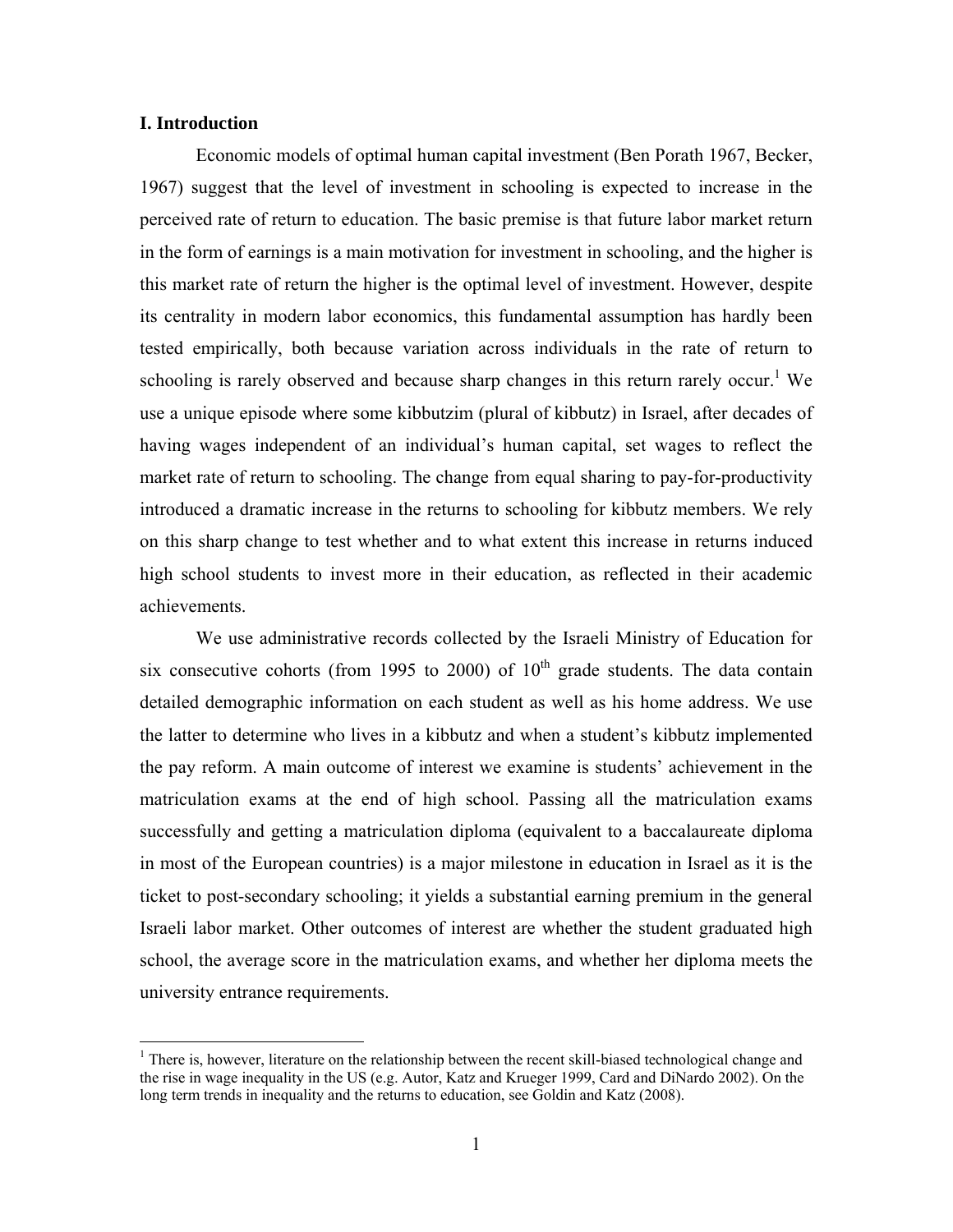## **I. Introduction**

 $\overline{a}$ 

Economic models of optimal human capital investment (Ben Porath 1967, Becker, 1967) suggest that the level of investment in schooling is expected to increase in the perceived rate of return to education. The basic premise is that future labor market return in the form of earnings is a main motivation for investment in schooling, and the higher is this market rate of return the higher is the optimal level of investment. However, despite its centrality in modern labor economics, this fundamental assumption has hardly been tested empirically, both because variation across individuals in the rate of return to schooling is rarely observed and because sharp changes in this return rarely occur.<sup>1</sup> We use a unique episode where some kibbutzim (plural of kibbutz) in Israel, after decades of having wages independent of an individual's human capital, set wages to reflect the market rate of return to schooling. The change from equal sharing to pay-for-productivity introduced a dramatic increase in the returns to schooling for kibbutz members. We rely on this sharp change to test whether and to what extent this increase in returns induced high school students to invest more in their education, as reflected in their academic achievements.

We use administrative records collected by the Israeli Ministry of Education for six consecutive cohorts (from 1995 to 2000) of  $10<sup>th</sup>$  grade students. The data contain detailed demographic information on each student as well as his home address. We use the latter to determine who lives in a kibbutz and when a student's kibbutz implemented the pay reform. A main outcome of interest we examine is students' achievement in the matriculation exams at the end of high school. Passing all the matriculation exams successfully and getting a matriculation diploma (equivalent to a baccalaureate diploma in most of the European countries) is a major milestone in education in Israel as it is the ticket to post-secondary schooling; it yields a substantial earning premium in the general Israeli labor market. Other outcomes of interest are whether the student graduated high school, the average score in the matriculation exams, and whether her diploma meets the university entrance requirements.

<sup>&</sup>lt;sup>1</sup> There is, however, literature on the relationship between the recent skill-biased technological change and the rise in wage inequality in the US (e.g. Autor, Katz and Krueger 1999, Card and DiNardo 2002). On the long term trends in inequality and the returns to education, see Goldin and Katz (2008).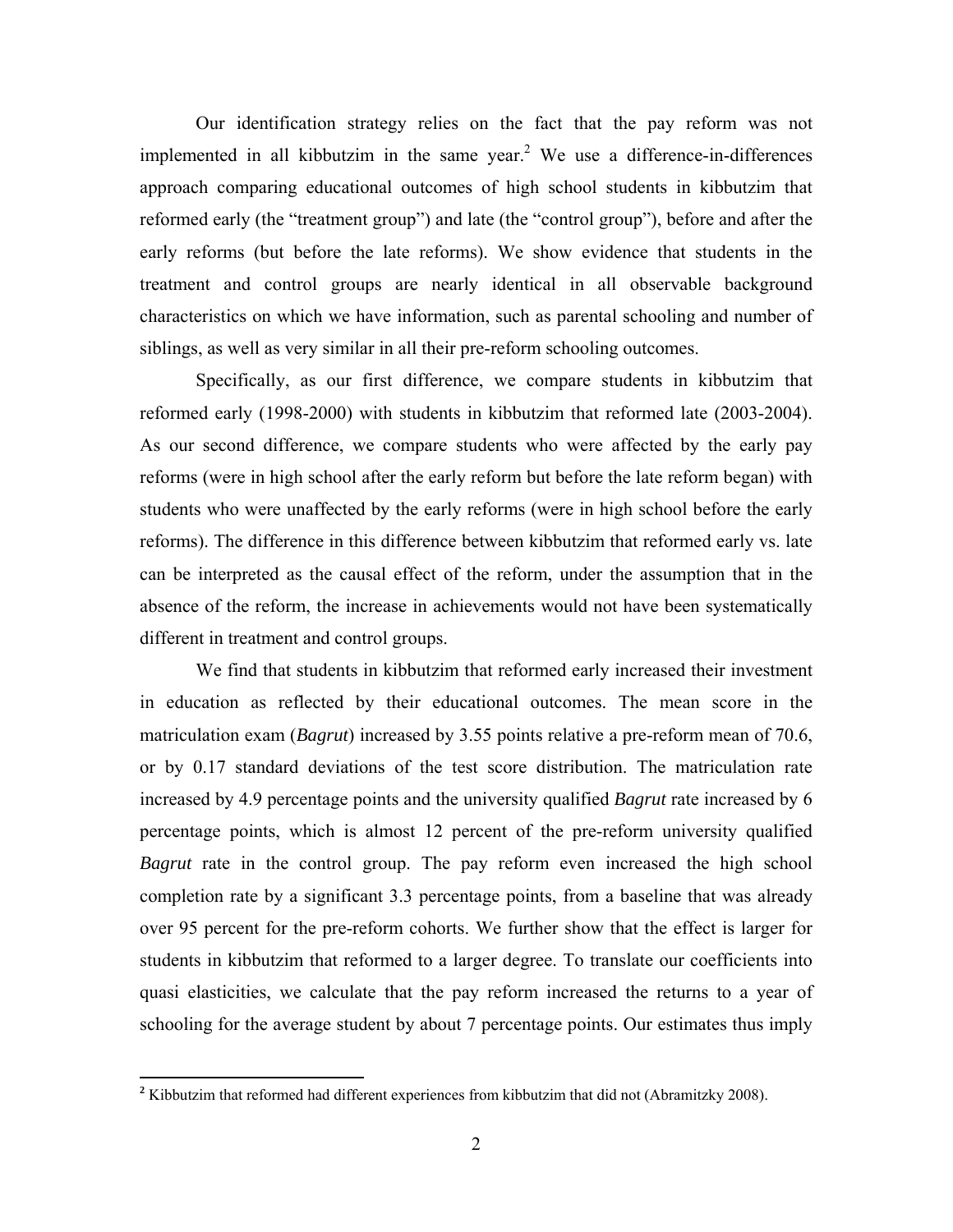Our identification strategy relies on the fact that the pay reform was not implemented in all kibbutzim in the same year.<sup>2</sup> We use a difference-in-differences approach comparing educational outcomes of high school students in kibbutzim that reformed early (the "treatment group") and late (the "control group"), before and after the early reforms (but before the late reforms). We show evidence that students in the treatment and control groups are nearly identical in all observable background characteristics on which we have information, such as parental schooling and number of siblings, as well as very similar in all their pre-reform schooling outcomes.

Specifically, as our first difference, we compare students in kibbutzim that reformed early (1998-2000) with students in kibbutzim that reformed late (2003-2004). As our second difference, we compare students who were affected by the early pay reforms (were in high school after the early reform but before the late reform began) with students who were unaffected by the early reforms (were in high school before the early reforms). The difference in this difference between kibbutzim that reformed early vs. late can be interpreted as the causal effect of the reform, under the assumption that in the absence of the reform, the increase in achievements would not have been systematically different in treatment and control groups.

We find that students in kibbutzim that reformed early increased their investment in education as reflected by their educational outcomes. The mean score in the matriculation exam (*Bagrut*) increased by 3.55 points relative a pre-reform mean of 70.6, or by 0.17 standard deviations of the test score distribution. The matriculation rate increased by 4.9 percentage points and the university qualified *Bagrut* rate increased by 6 percentage points, which is almost 12 percent of the pre-reform university qualified *Bagrut* rate in the control group. The pay reform even increased the high school completion rate by a significant 3.3 percentage points, from a baseline that was already over 95 percent for the pre-reform cohorts. We further show that the effect is larger for students in kibbutzim that reformed to a larger degree. To translate our coefficients into quasi elasticities, we calculate that the pay reform increased the returns to a year of schooling for the average student by about 7 percentage points. Our estimates thus imply

<sup>&</sup>lt;sup>2</sup> Kibbutzim that reformed had different experiences from kibbutzim that did not (Abramitzky 2008).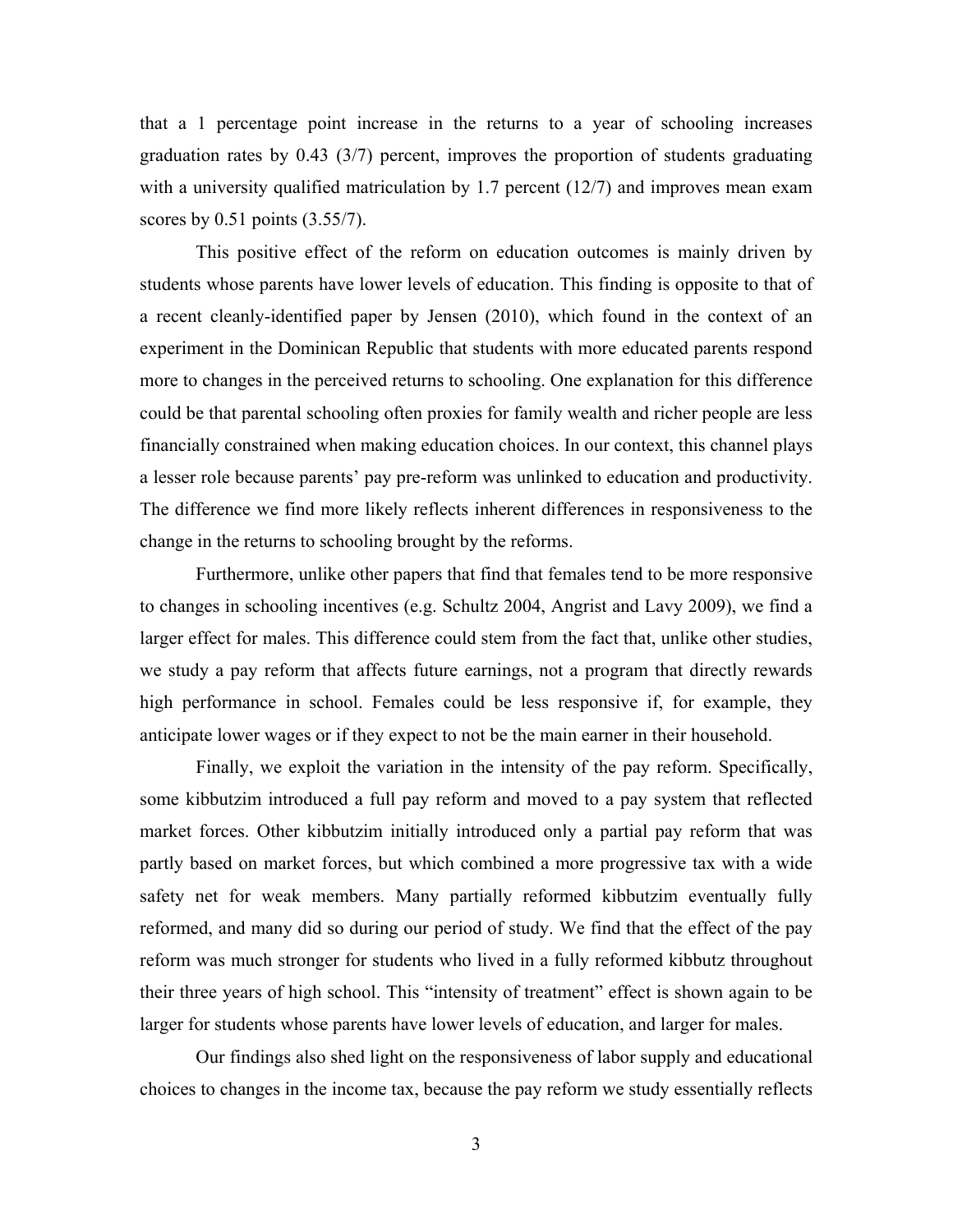that a 1 percentage point increase in the returns to a year of schooling increases graduation rates by 0.43 (3/7) percent, improves the proportion of students graduating with a university qualified matriculation by 1.7 percent (12/7) and improves mean exam scores by 0.51 points (3.55/7).

This positive effect of the reform on education outcomes is mainly driven by students whose parents have lower levels of education. This finding is opposite to that of a recent cleanly-identified paper by Jensen (2010), which found in the context of an experiment in the Dominican Republic that students with more educated parents respond more to changes in the perceived returns to schooling. One explanation for this difference could be that parental schooling often proxies for family wealth and richer people are less financially constrained when making education choices. In our context, this channel plays a lesser role because parents' pay pre-reform was unlinked to education and productivity. The difference we find more likely reflects inherent differences in responsiveness to the change in the returns to schooling brought by the reforms.

Furthermore, unlike other papers that find that females tend to be more responsive to changes in schooling incentives (e.g. Schultz 2004, Angrist and Lavy 2009), we find a larger effect for males. This difference could stem from the fact that, unlike other studies, we study a pay reform that affects future earnings, not a program that directly rewards high performance in school. Females could be less responsive if, for example, they anticipate lower wages or if they expect to not be the main earner in their household.

Finally, we exploit the variation in the intensity of the pay reform. Specifically, some kibbutzim introduced a full pay reform and moved to a pay system that reflected market forces. Other kibbutzim initially introduced only a partial pay reform that was partly based on market forces, but which combined a more progressive tax with a wide safety net for weak members. Many partially reformed kibbutzim eventually fully reformed, and many did so during our period of study. We find that the effect of the pay reform was much stronger for students who lived in a fully reformed kibbutz throughout their three years of high school. This "intensity of treatment" effect is shown again to be larger for students whose parents have lower levels of education, and larger for males.

Our findings also shed light on the responsiveness of labor supply and educational choices to changes in the income tax, because the pay reform we study essentially reflects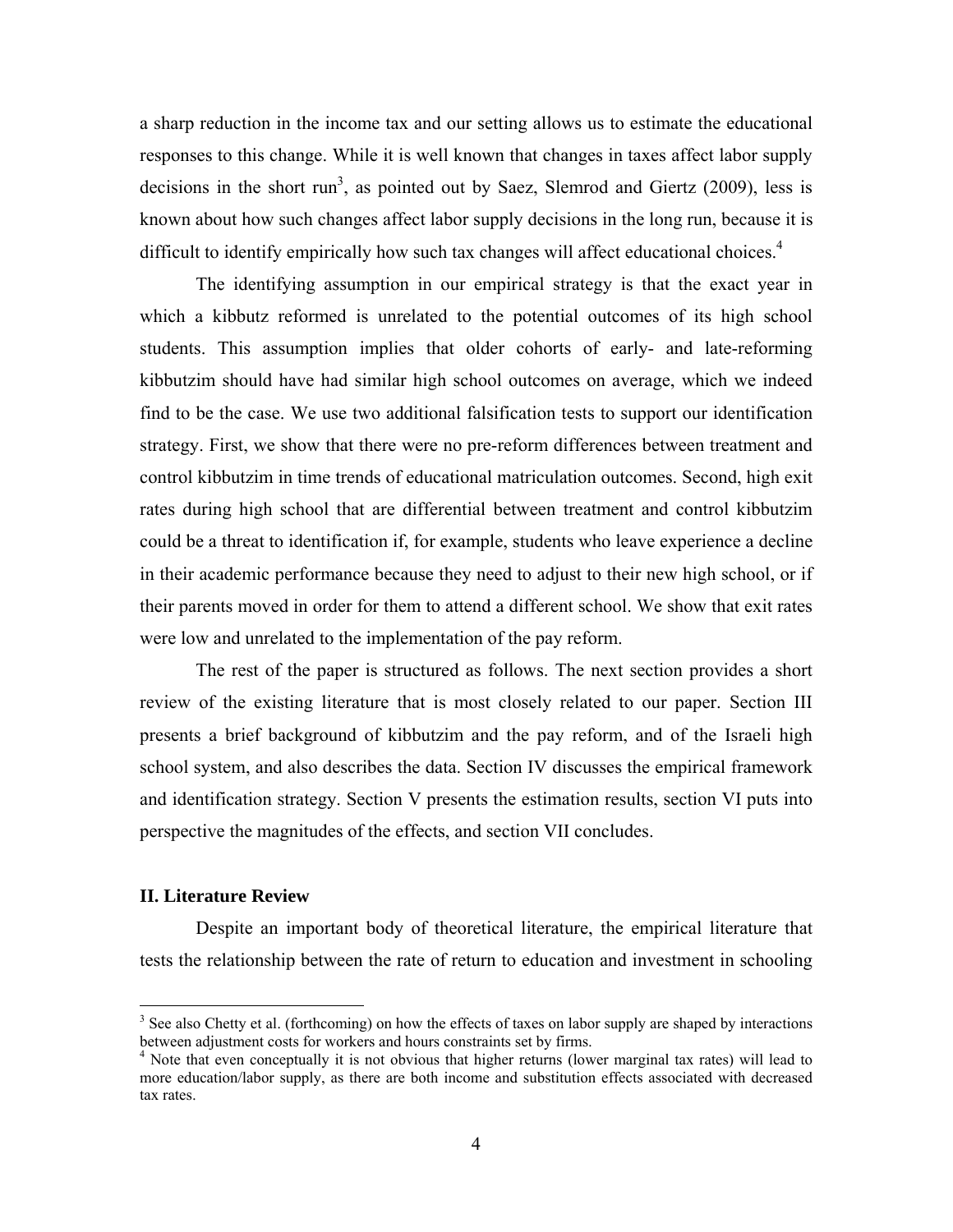a sharp reduction in the income tax and our setting allows us to estimate the educational responses to this change. While it is well known that changes in taxes affect labor supply decisions in the short run<sup>3</sup>, as pointed out by Saez, Slemrod and Giertz (2009), less is known about how such changes affect labor supply decisions in the long run, because it is difficult to identify empirically how such tax changes will affect educational choices.<sup>4</sup>

The identifying assumption in our empirical strategy is that the exact year in which a kibbutz reformed is unrelated to the potential outcomes of its high school students. This assumption implies that older cohorts of early- and late-reforming kibbutzim should have had similar high school outcomes on average, which we indeed find to be the case. We use two additional falsification tests to support our identification strategy. First, we show that there were no pre-reform differences between treatment and control kibbutzim in time trends of educational matriculation outcomes. Second, high exit rates during high school that are differential between treatment and control kibbutzim could be a threat to identification if, for example, students who leave experience a decline in their academic performance because they need to adjust to their new high school, or if their parents moved in order for them to attend a different school. We show that exit rates were low and unrelated to the implementation of the pay reform.

The rest of the paper is structured as follows. The next section provides a short review of the existing literature that is most closely related to our paper. Section III presents a brief background of kibbutzim and the pay reform, and of the Israeli high school system, and also describes the data. Section IV discusses the empirical framework and identification strategy. Section V presents the estimation results, section VI puts into perspective the magnitudes of the effects, and section VII concludes.

## **II. Literature Review**

 $\overline{a}$ 

Despite an important body of theoretical literature, the empirical literature that tests the relationship between the rate of return to education and investment in schooling

 $3$  See also Chetty et al. (forthcoming) on how the effects of taxes on labor supply are shaped by interactions between adjustment costs for workers and hours constraints set by firms.<br><sup>4</sup> Note that even conceptually it is not obvious that higher returns (lower marginal tax rates) will lead to

more education/labor supply, as there are both income and substitution effects associated with decreased tax rates.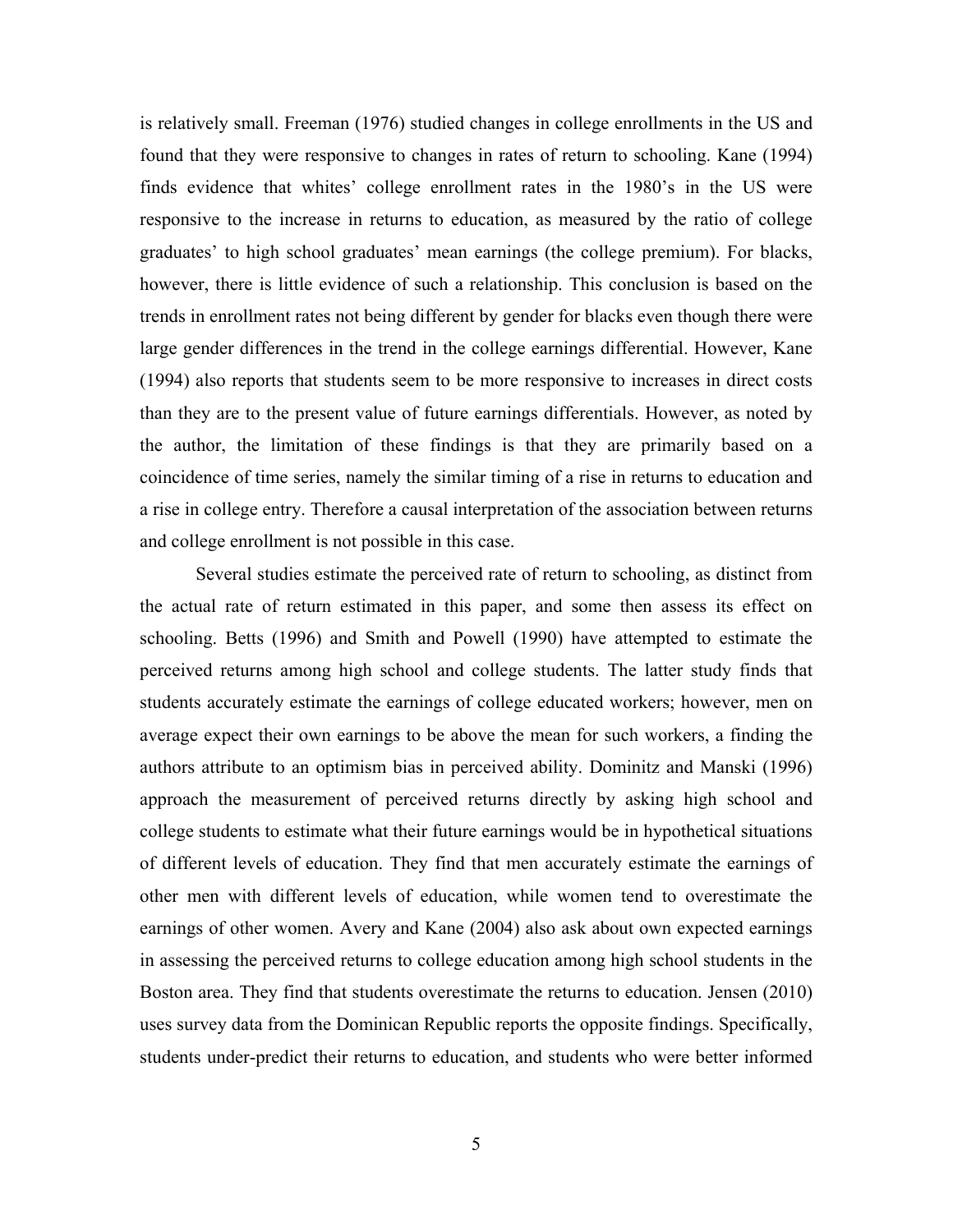is relatively small. Freeman (1976) studied changes in college enrollments in the US and found that they were responsive to changes in rates of return to schooling. Kane (1994) finds evidence that whites' college enrollment rates in the 1980's in the US were responsive to the increase in returns to education, as measured by the ratio of college graduates' to high school graduates' mean earnings (the college premium). For blacks, however, there is little evidence of such a relationship. This conclusion is based on the trends in enrollment rates not being different by gender for blacks even though there were large gender differences in the trend in the college earnings differential. However, Kane (1994) also reports that students seem to be more responsive to increases in direct costs than they are to the present value of future earnings differentials. However, as noted by the author, the limitation of these findings is that they are primarily based on a coincidence of time series, namely the similar timing of a rise in returns to education and a rise in college entry. Therefore a causal interpretation of the association between returns and college enrollment is not possible in this case.

Several studies estimate the perceived rate of return to schooling, as distinct from the actual rate of return estimated in this paper, and some then assess its effect on schooling. Betts (1996) and Smith and Powell (1990) have attempted to estimate the perceived returns among high school and college students. The latter study finds that students accurately estimate the earnings of college educated workers; however, men on average expect their own earnings to be above the mean for such workers, a finding the authors attribute to an optimism bias in perceived ability. Dominitz and Manski (1996) approach the measurement of perceived returns directly by asking high school and college students to estimate what their future earnings would be in hypothetical situations of different levels of education. They find that men accurately estimate the earnings of other men with different levels of education, while women tend to overestimate the earnings of other women. Avery and Kane (2004) also ask about own expected earnings in assessing the perceived returns to college education among high school students in the Boston area. They find that students overestimate the returns to education. Jensen (2010) uses survey data from the Dominican Republic reports the opposite findings. Specifically, students under-predict their returns to education, and students who were better informed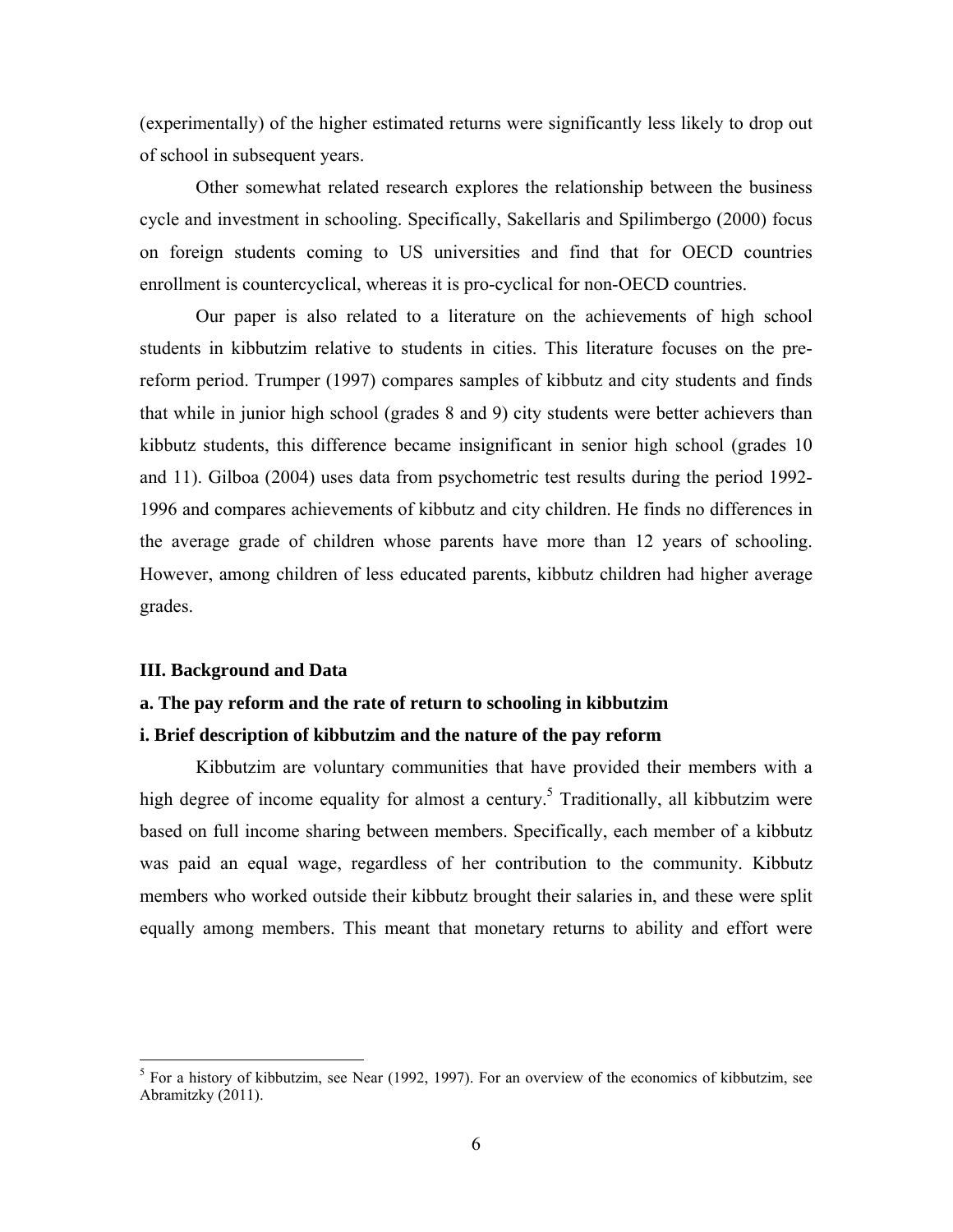(experimentally) of the higher estimated returns were significantly less likely to drop out of school in subsequent years.

Other somewhat related research explores the relationship between the business cycle and investment in schooling. Specifically, Sakellaris and Spilimbergo (2000) focus on foreign students coming to US universities and find that for OECD countries enrollment is countercyclical, whereas it is pro-cyclical for non-OECD countries.

Our paper is also related to a literature on the achievements of high school students in kibbutzim relative to students in cities. This literature focuses on the prereform period. Trumper (1997) compares samples of kibbutz and city students and finds that while in junior high school (grades 8 and 9) city students were better achievers than kibbutz students, this difference became insignificant in senior high school (grades 10 and 11). Gilboa (2004) uses data from psychometric test results during the period 1992- 1996 and compares achievements of kibbutz and city children. He finds no differences in the average grade of children whose parents have more than 12 years of schooling. However, among children of less educated parents, kibbutz children had higher average grades.

## **III. Background and Data**

 $\overline{a}$ 

# **a. The pay reform and the rate of return to schooling in kibbutzim i. Brief description of kibbutzim and the nature of the pay reform**

Kibbutzim are voluntary communities that have provided their members with a high degree of income equality for almost a century.<sup>5</sup> Traditionally, all kibbutzim were based on full income sharing between members. Specifically, each member of a kibbutz was paid an equal wage, regardless of her contribution to the community. Kibbutz members who worked outside their kibbutz brought their salaries in, and these were split equally among members. This meant that monetary returns to ability and effort were

 $<sup>5</sup>$  For a history of kibbutzim, see Near (1992, 1997). For an overview of the economics of kibbutzim, see</sup> Abramitzky (2011).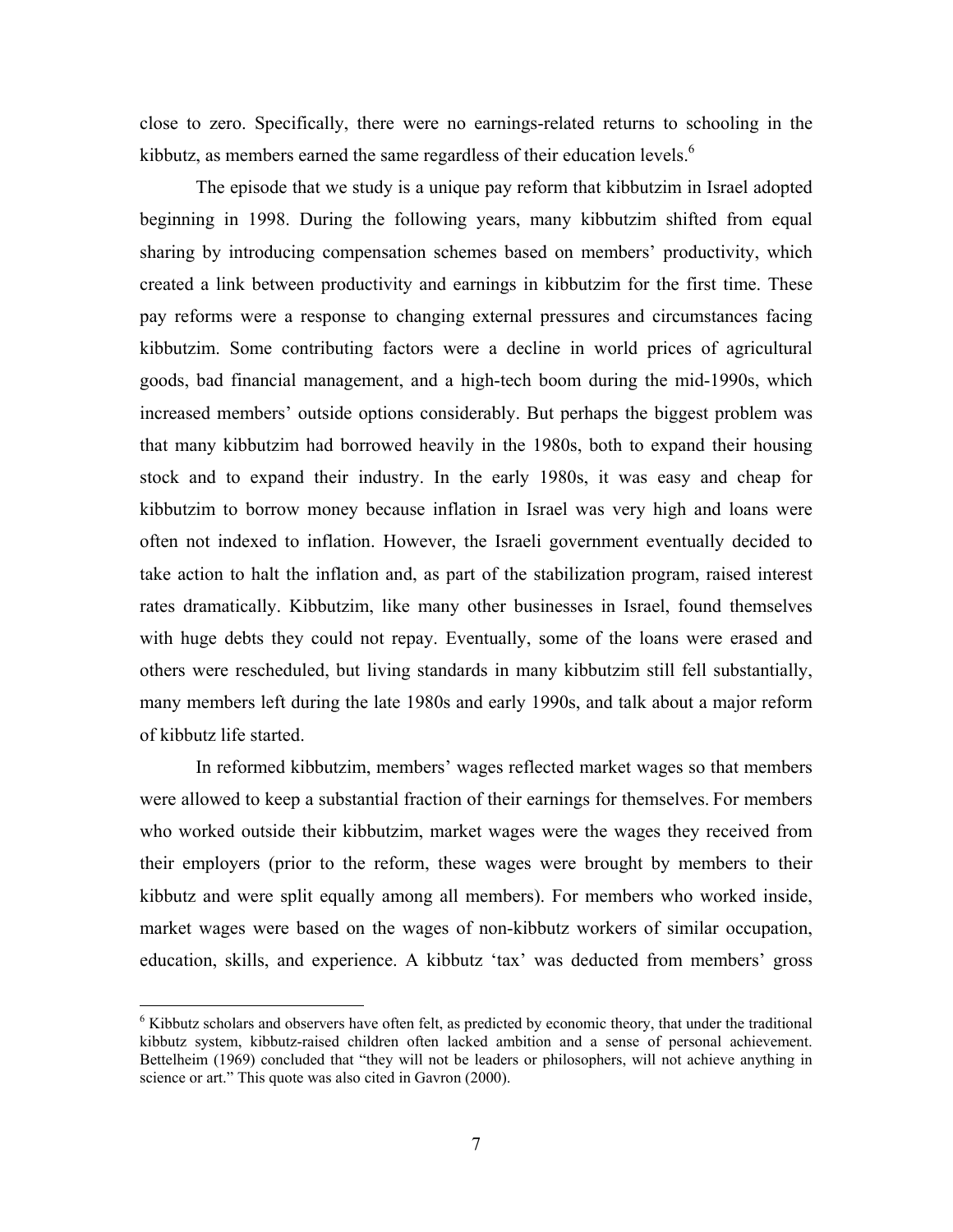close to zero. Specifically, there were no earnings-related returns to schooling in the kibbutz, as members earned the same regardless of their education levels.<sup>6</sup>

The episode that we study is a unique pay reform that kibbutzim in Israel adopted beginning in 1998. During the following years, many kibbutzim shifted from equal sharing by introducing compensation schemes based on members' productivity, which created a link between productivity and earnings in kibbutzim for the first time. These pay reforms were a response to changing external pressures and circumstances facing kibbutzim. Some contributing factors were a decline in world prices of agricultural goods, bad financial management, and a high-tech boom during the mid-1990s, which increased members' outside options considerably. But perhaps the biggest problem was that many kibbutzim had borrowed heavily in the 1980s, both to expand their housing stock and to expand their industry. In the early 1980s, it was easy and cheap for kibbutzim to borrow money because inflation in Israel was very high and loans were often not indexed to inflation. However, the Israeli government eventually decided to take action to halt the inflation and, as part of the stabilization program, raised interest rates dramatically. Kibbutzim, like many other businesses in Israel, found themselves with huge debts they could not repay. Eventually, some of the loans were erased and others were rescheduled, but living standards in many kibbutzim still fell substantially, many members left during the late 1980s and early 1990s, and talk about a major reform of kibbutz life started.

In reformed kibbutzim, members' wages reflected market wages so that members were allowed to keep a substantial fraction of their earnings for themselves. For members who worked outside their kibbutzim, market wages were the wages they received from their employers (prior to the reform, these wages were brought by members to their kibbutz and were split equally among all members). For members who worked inside, market wages were based on the wages of non-kibbutz workers of similar occupation, education, skills, and experience. A kibbutz 'tax' was deducted from members' gross

 $6$  Kibbutz scholars and observers have often felt, as predicted by economic theory, that under the traditional kibbutz system, kibbutz-raised children often lacked ambition and a sense of personal achievement. Bettelheim (1969) concluded that "they will not be leaders or philosophers, will not achieve anything in science or art." This quote was also cited in Gavron (2000).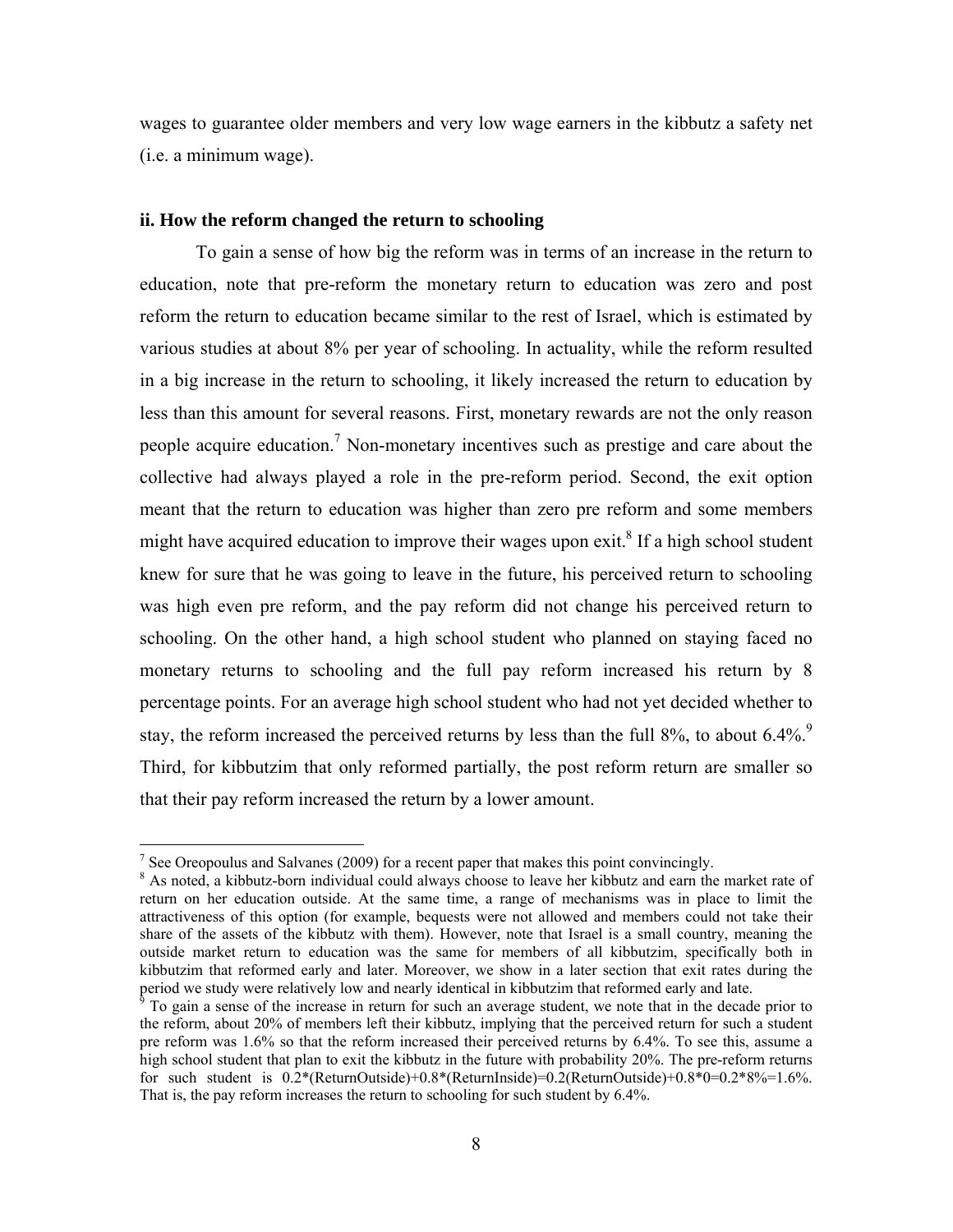wages to guarantee older members and very low wage earners in the kibbutz a safety net (i.e. a minimum wage).

## **ii. How the reform changed the return to schooling**

To gain a sense of how big the reform was in terms of an increase in the return to education, note that pre-reform the monetary return to education was zero and post reform the return to education became similar to the rest of Israel, which is estimated by various studies at about 8% per year of schooling. In actuality, while the reform resulted in a big increase in the return to schooling, it likely increased the return to education by less than this amount for several reasons. First, monetary rewards are not the only reason people acquire education.<sup>7</sup> Non-monetary incentives such as prestige and care about the collective had always played a role in the pre-reform period. Second, the exit option meant that the return to education was higher than zero pre reform and some members might have acquired education to improve their wages upon exit.<sup>8</sup> If a high school student knew for sure that he was going to leave in the future, his perceived return to schooling was high even pre reform, and the pay reform did not change his perceived return to schooling. On the other hand, a high school student who planned on staying faced no monetary returns to schooling and the full pay reform increased his return by 8 percentage points. For an average high school student who had not yet decided whether to stay, the reform increased the perceived returns by less than the full  $8\%$ , to about  $6.4\%$ .<sup>9</sup> Third, for kibbutzim that only reformed partially, the post reform return are smaller so that their pay reform increased the return by a lower amount.

<sup>&</sup>lt;sup>7</sup> See Oreopoulus and Salvanes (2009) for a recent paper that makes this point convincingly.

<sup>&</sup>lt;sup>8</sup> As noted, a kibbutz-born individual could always choose to leave her kibbutz and earn the market rate of return on her education outside. At the same time, a range of mechanisms was in place to limit the attractiveness of this option (for example, bequests were not allowed and members could not take their share of the assets of the kibbutz with them). However, note that Israel is a small country, meaning the outside market return to education was the same for members of all kibbutzim, specifically both in kibbutzim that reformed early and later. Moreover, we show in a later section that exit rates during the period we study were relatively low and nearly identical in kibbutzim that reformed early and late.

<sup>&</sup>lt;sup>9</sup> To gain a sense of the increase in return for such an average student, we note that in the decade prior to the reform, about 20% of members left their kibbutz, implying that the perceived return for such a student pre reform was 1.6% so that the reform increased their perceived returns by 6.4%. To see this, assume a high school student that plan to exit the kibbutz in the future with probability 20%. The pre-reform returns for such student is 0.2\*(ReturnOutside)+0.8\*(ReturnInside)=0.2(ReturnOutside)+0.8\*0=0.2\*8%=1.6%. That is, the pay reform increases the return to schooling for such student by 6.4%.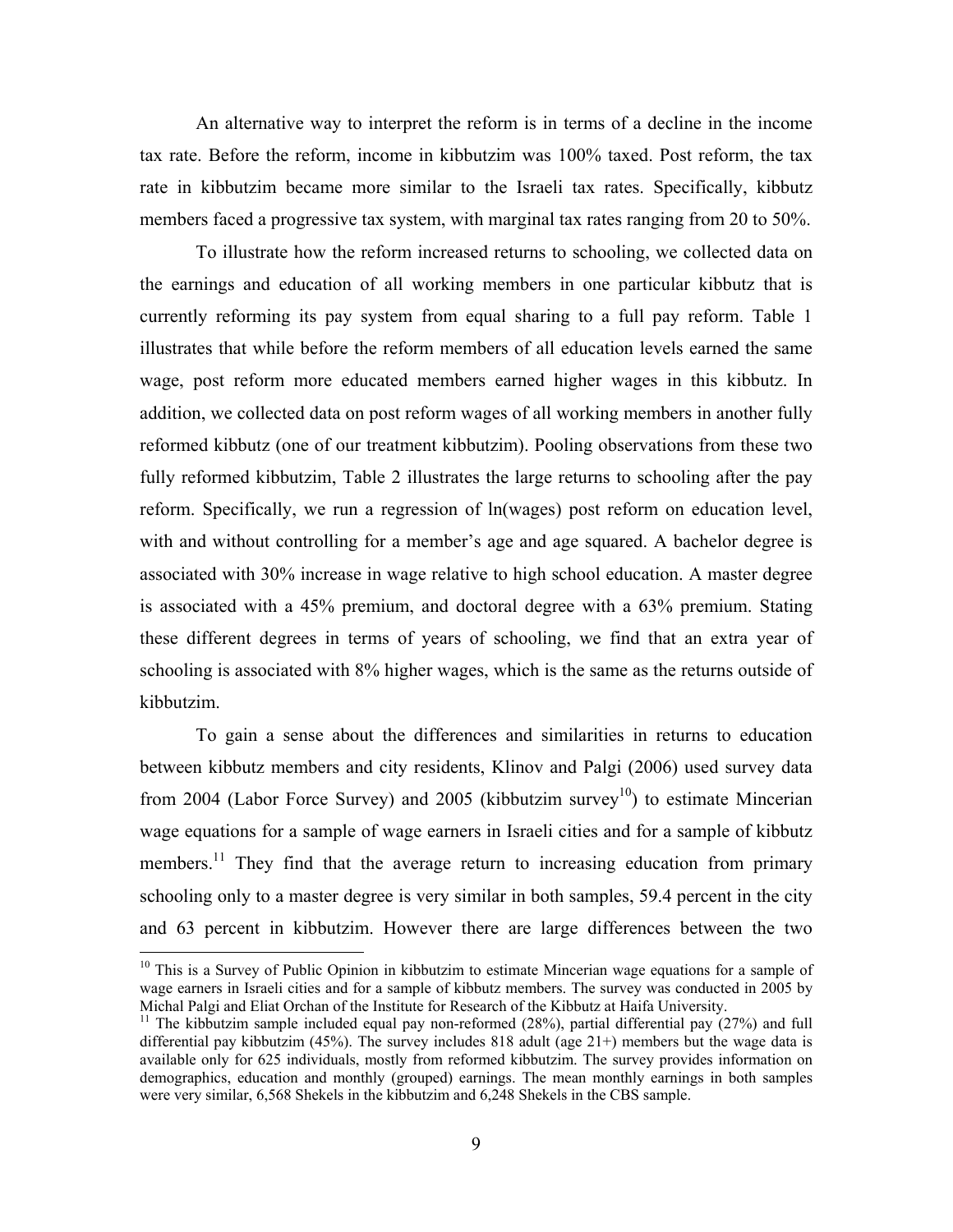An alternative way to interpret the reform is in terms of a decline in the income tax rate. Before the reform, income in kibbutzim was 100% taxed. Post reform, the tax rate in kibbutzim became more similar to the Israeli tax rates. Specifically, kibbutz members faced a progressive tax system, with marginal tax rates ranging from 20 to 50%.

To illustrate how the reform increased returns to schooling, we collected data on the earnings and education of all working members in one particular kibbutz that is currently reforming its pay system from equal sharing to a full pay reform. Table 1 illustrates that while before the reform members of all education levels earned the same wage, post reform more educated members earned higher wages in this kibbutz. In addition, we collected data on post reform wages of all working members in another fully reformed kibbutz (one of our treatment kibbutzim). Pooling observations from these two fully reformed kibbutzim, Table 2 illustrates the large returns to schooling after the pay reform. Specifically, we run a regression of ln(wages) post reform on education level, with and without controlling for a member's age and age squared. A bachelor degree is associated with 30% increase in wage relative to high school education. A master degree is associated with a 45% premium, and doctoral degree with a 63% premium. Stating these different degrees in terms of years of schooling, we find that an extra year of schooling is associated with 8% higher wages, which is the same as the returns outside of kibbutzim.

To gain a sense about the differences and similarities in returns to education between kibbutz members and city residents, Klinov and Palgi (2006) used survey data from 2004 (Labor Force Survey) and 2005 (kibbutzim survey<sup>10</sup>) to estimate Mincerian wage equations for a sample of wage earners in Israeli cities and for a sample of kibbutz members.<sup>11</sup> They find that the average return to increasing education from primary schooling only to a master degree is very similar in both samples, 59.4 percent in the city and 63 percent in kibbutzim. However there are large differences between the two

<sup>&</sup>lt;sup>10</sup> This is a Survey of Public Opinion in kibbutzim to estimate Mincerian wage equations for a sample of wage earners in Israeli cities and for a sample of kibbutz members. The survey was conducted in 2005 by Michal Palgi and Eliat Orchan of the Institute for Research of the Kibbutz at Haifa University.<br><sup>11</sup> The kibbutzim sample included equal pay non-reformed (28%), partial differential pay (27%) and full

differential pay kibbutzim (45%). The survey includes 818 adult (age 21+) members but the wage data is available only for 625 individuals, mostly from reformed kibbutzim. The survey provides information on demographics, education and monthly (grouped) earnings. The mean monthly earnings in both samples were very similar, 6,568 Shekels in the kibbutzim and 6,248 Shekels in the CBS sample.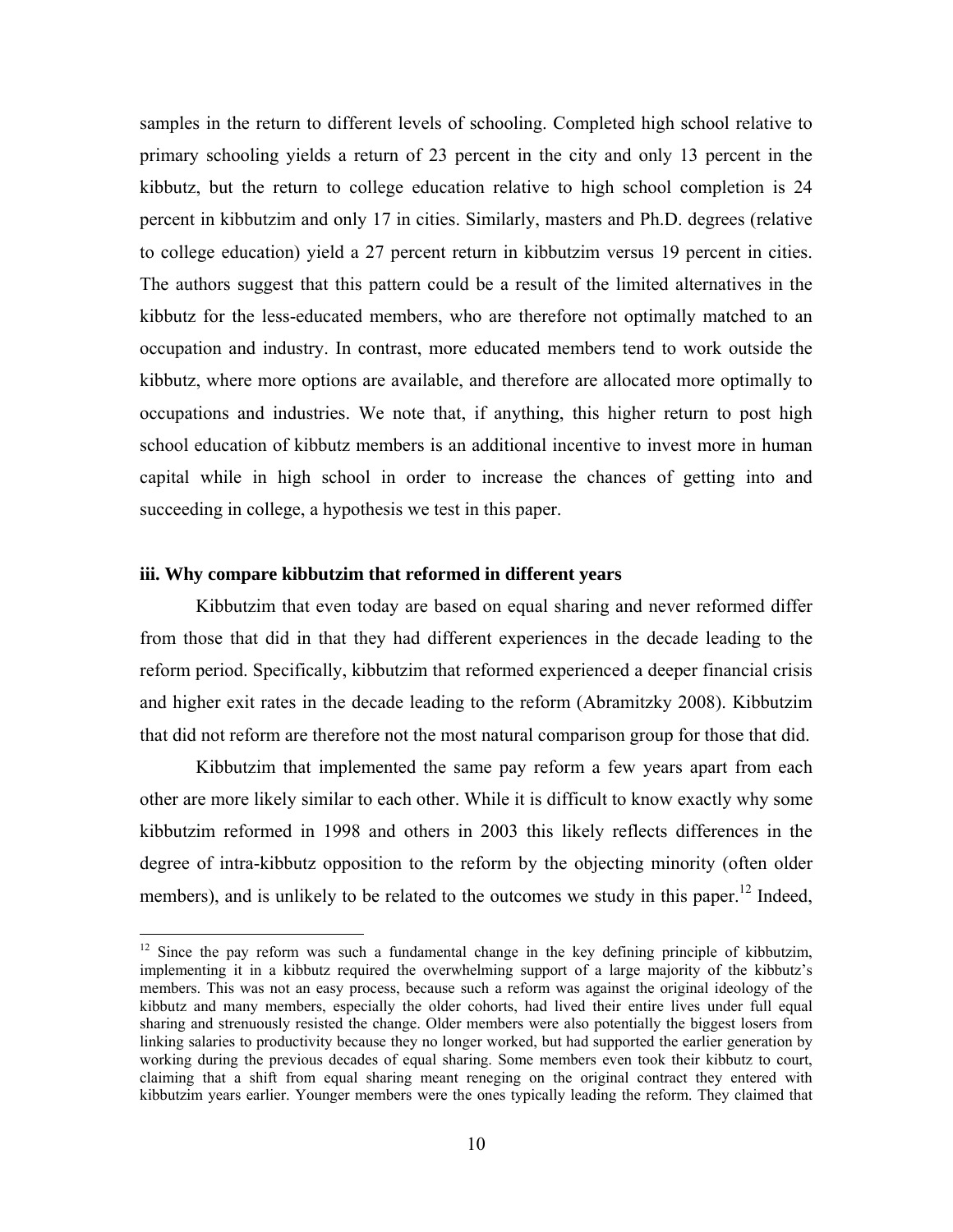samples in the return to different levels of schooling. Completed high school relative to primary schooling yields a return of 23 percent in the city and only 13 percent in the kibbutz, but the return to college education relative to high school completion is 24 percent in kibbutzim and only 17 in cities. Similarly, masters and Ph.D. degrees (relative to college education) yield a 27 percent return in kibbutzim versus 19 percent in cities. The authors suggest that this pattern could be a result of the limited alternatives in the kibbutz for the less-educated members, who are therefore not optimally matched to an occupation and industry. In contrast, more educated members tend to work outside the kibbutz, where more options are available, and therefore are allocated more optimally to occupations and industries. We note that, if anything, this higher return to post high school education of kibbutz members is an additional incentive to invest more in human capital while in high school in order to increase the chances of getting into and succeeding in college, a hypothesis we test in this paper.

## **iii. Why compare kibbutzim that reformed in different years**

 $\overline{a}$ 

Kibbutzim that even today are based on equal sharing and never reformed differ from those that did in that they had different experiences in the decade leading to the reform period. Specifically, kibbutzim that reformed experienced a deeper financial crisis and higher exit rates in the decade leading to the reform (Abramitzky 2008). Kibbutzim that did not reform are therefore not the most natural comparison group for those that did.

Kibbutzim that implemented the same pay reform a few years apart from each other are more likely similar to each other. While it is difficult to know exactly why some kibbutzim reformed in 1998 and others in 2003 this likely reflects differences in the degree of intra-kibbutz opposition to the reform by the objecting minority (often older members), and is unlikely to be related to the outcomes we study in this paper.<sup>12</sup> Indeed,

<sup>&</sup>lt;sup>12</sup> Since the pay reform was such a fundamental change in the key defining principle of kibbutzim, implementing it in a kibbutz required the overwhelming support of a large majority of the kibbutz's members. This was not an easy process, because such a reform was against the original ideology of the kibbutz and many members, especially the older cohorts, had lived their entire lives under full equal sharing and strenuously resisted the change. Older members were also potentially the biggest losers from linking salaries to productivity because they no longer worked, but had supported the earlier generation by working during the previous decades of equal sharing. Some members even took their kibbutz to court, claiming that a shift from equal sharing meant reneging on the original contract they entered with kibbutzim years earlier. Younger members were the ones typically leading the reform. They claimed that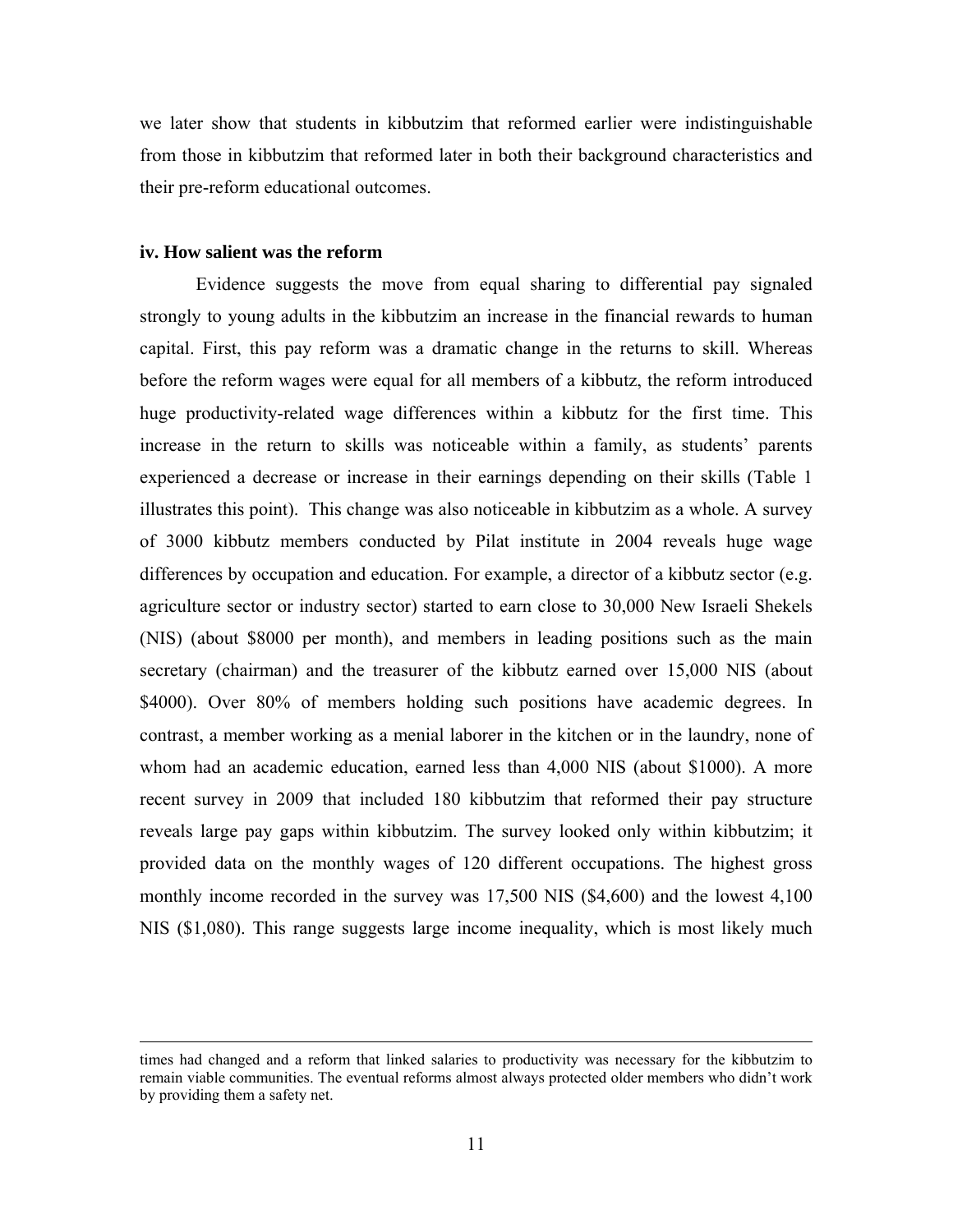we later show that students in kibbutzim that reformed earlier were indistinguishable from those in kibbutzim that reformed later in both their background characteristics and their pre-reform educational outcomes.

## **iv. How salient was the reform**

Evidence suggests the move from equal sharing to differential pay signaled strongly to young adults in the kibbutzim an increase in the financial rewards to human capital. First, this pay reform was a dramatic change in the returns to skill. Whereas before the reform wages were equal for all members of a kibbutz, the reform introduced huge productivity-related wage differences within a kibbutz for the first time. This increase in the return to skills was noticeable within a family, as students' parents experienced a decrease or increase in their earnings depending on their skills (Table 1 illustrates this point). This change was also noticeable in kibbutzim as a whole. A survey of 3000 kibbutz members conducted by Pilat institute in 2004 reveals huge wage differences by occupation and education. For example, a director of a kibbutz sector (e.g. agriculture sector or industry sector) started to earn close to 30,000 New Israeli Shekels (NIS) (about \$8000 per month), and members in leading positions such as the main secretary (chairman) and the treasurer of the kibbutz earned over 15,000 NIS (about \$4000). Over 80% of members holding such positions have academic degrees. In contrast, a member working as a menial laborer in the kitchen or in the laundry, none of whom had an academic education, earned less than 4,000 NIS (about \$1000). A more recent survey in 2009 that included 180 kibbutzim that reformed their pay structure reveals large pay gaps within kibbutzim. The survey looked only within kibbutzim; it provided data on the monthly wages of 120 different occupations. The highest gross monthly income recorded in the survey was 17,500 NIS (\$4,600) and the lowest 4,100 NIS (\$1,080). This range suggests large income inequality, which is most likely much

times had changed and a reform that linked salaries to productivity was necessary for the kibbutzim to remain viable communities. The eventual reforms almost always protected older members who didn't work by providing them a safety net.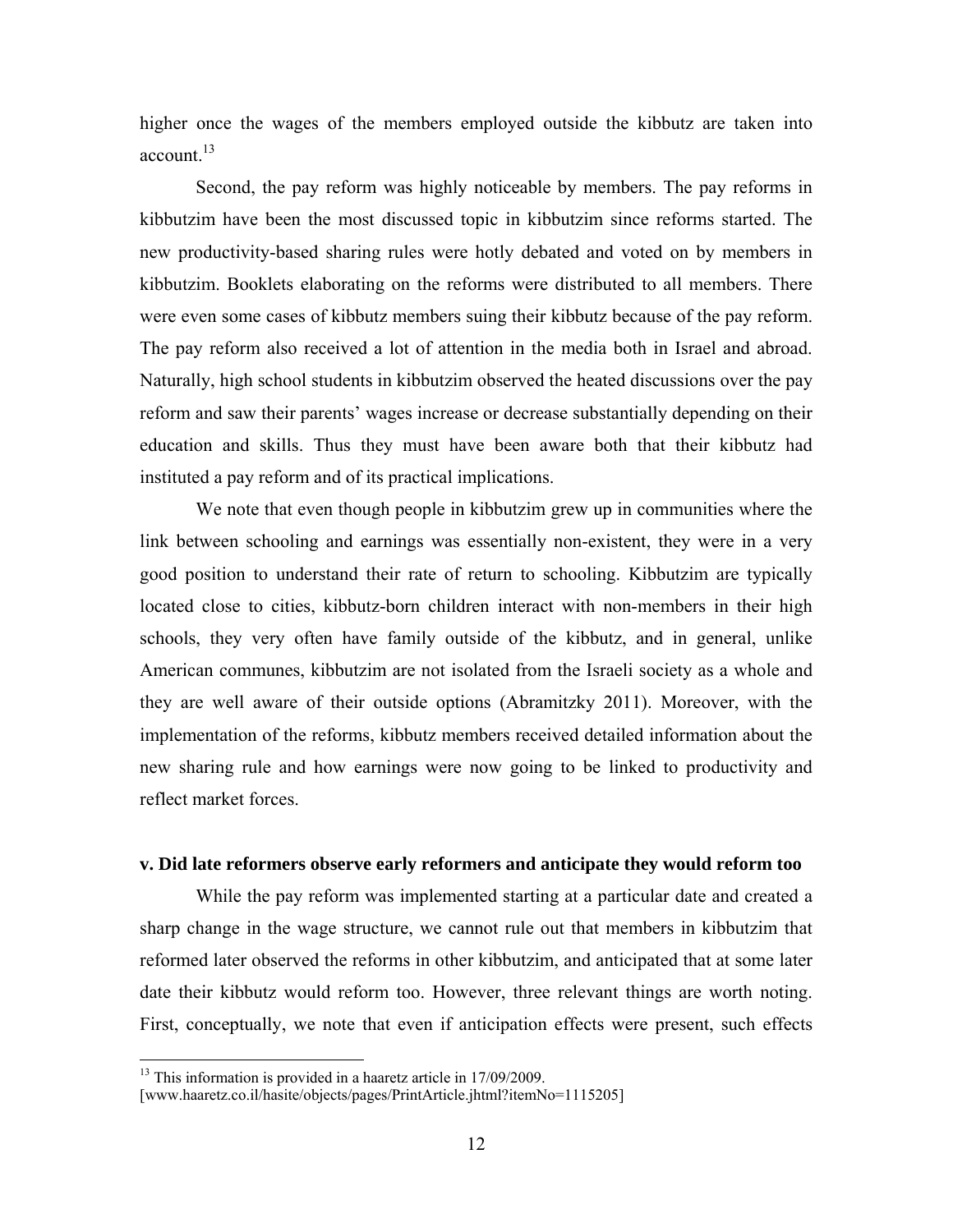higher once the wages of the members employed outside the kibbutz are taken into account.13

Second, the pay reform was highly noticeable by members. The pay reforms in kibbutzim have been the most discussed topic in kibbutzim since reforms started. The new productivity-based sharing rules were hotly debated and voted on by members in kibbutzim. Booklets elaborating on the reforms were distributed to all members. There were even some cases of kibbutz members suing their kibbutz because of the pay reform. The pay reform also received a lot of attention in the media both in Israel and abroad. Naturally, high school students in kibbutzim observed the heated discussions over the pay reform and saw their parents' wages increase or decrease substantially depending on their education and skills. Thus they must have been aware both that their kibbutz had instituted a pay reform and of its practical implications.

We note that even though people in kibbutzim grew up in communities where the link between schooling and earnings was essentially non-existent, they were in a very good position to understand their rate of return to schooling. Kibbutzim are typically located close to cities, kibbutz-born children interact with non-members in their high schools, they very often have family outside of the kibbutz, and in general, unlike American communes, kibbutzim are not isolated from the Israeli society as a whole and they are well aware of their outside options (Abramitzky 2011). Moreover, with the implementation of the reforms, kibbutz members received detailed information about the new sharing rule and how earnings were now going to be linked to productivity and reflect market forces.

## **v. Did late reformers observe early reformers and anticipate they would reform too**

While the pay reform was implemented starting at a particular date and created a sharp change in the wage structure, we cannot rule out that members in kibbutzim that reformed later observed the reforms in other kibbutzim, and anticipated that at some later date their kibbutz would reform too. However, three relevant things are worth noting. First, conceptually, we note that even if anticipation effects were present, such effects

<sup>&</sup>lt;sup>13</sup> This information is provided in a haaretz article in 17/09/2009.

<sup>[</sup>www.haaretz.co.il/hasite/objects/pages/PrintArticle.jhtml?itemNo=1115205]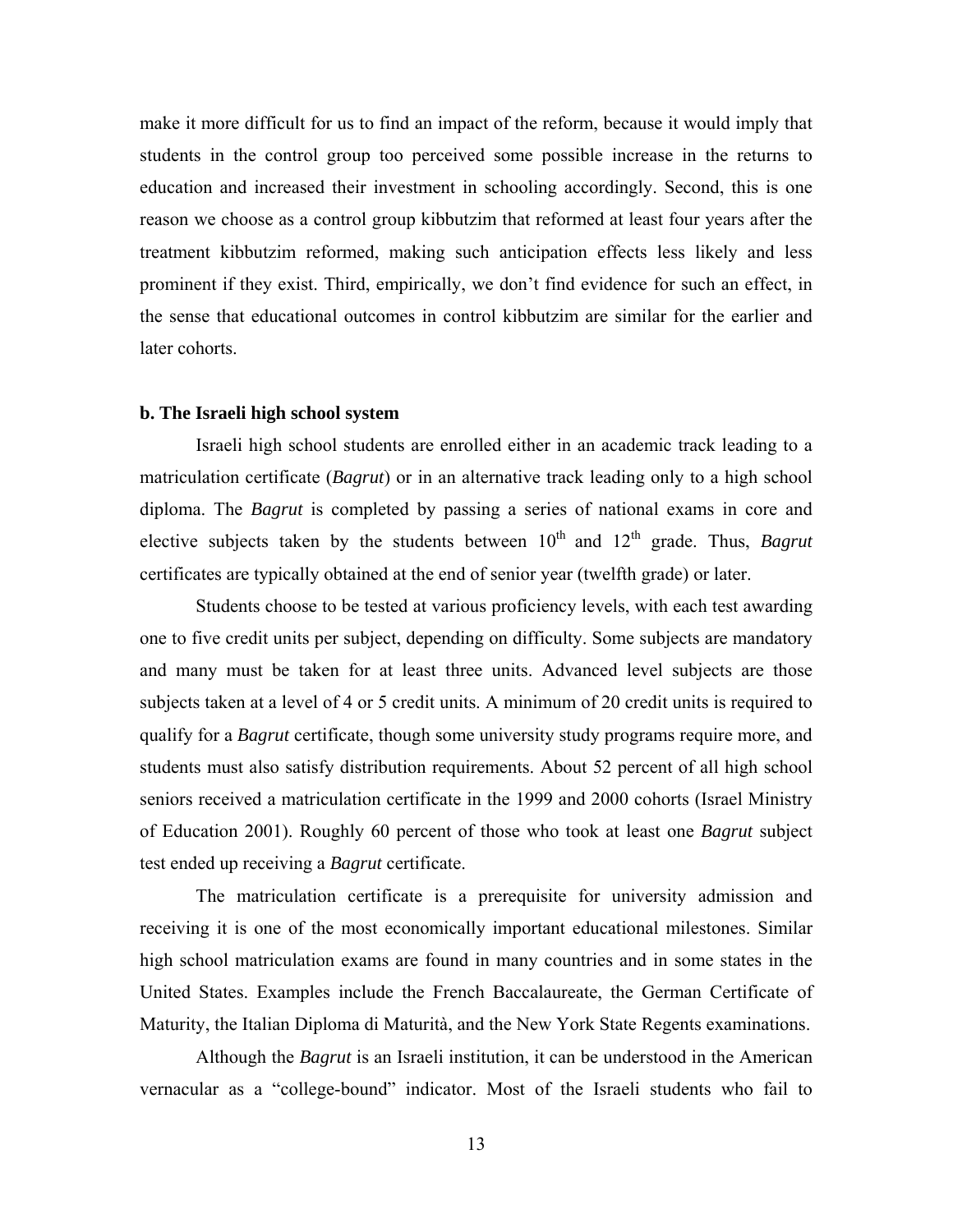make it more difficult for us to find an impact of the reform, because it would imply that students in the control group too perceived some possible increase in the returns to education and increased their investment in schooling accordingly. Second, this is one reason we choose as a control group kibbutzim that reformed at least four years after the treatment kibbutzim reformed, making such anticipation effects less likely and less prominent if they exist. Third, empirically, we don't find evidence for such an effect, in the sense that educational outcomes in control kibbutzim are similar for the earlier and later cohorts.

### **b. The Israeli high school system**

Israeli high school students are enrolled either in an academic track leading to a matriculation certificate (*Bagrut*) or in an alternative track leading only to a high school diploma. The *Bagrut* is completed by passing a series of national exams in core and elective subjects taken by the students between 10<sup>th</sup> and 12<sup>th</sup> grade. Thus, *Bagrut* certificates are typically obtained at the end of senior year (twelfth grade) or later.

Students choose to be tested at various proficiency levels, with each test awarding one to five credit units per subject, depending on difficulty. Some subjects are mandatory and many must be taken for at least three units. Advanced level subjects are those subjects taken at a level of 4 or 5 credit units. A minimum of 20 credit units is required to qualify for a *Bagrut* certificate, though some university study programs require more, and students must also satisfy distribution requirements. About 52 percent of all high school seniors received a matriculation certificate in the 1999 and 2000 cohorts (Israel Ministry of Education 2001). Roughly 60 percent of those who took at least one *Bagrut* subject test ended up receiving a *Bagrut* certificate.

The matriculation certificate is a prerequisite for university admission and receiving it is one of the most economically important educational milestones. Similar high school matriculation exams are found in many countries and in some states in the United States. Examples include the French Baccalaureate, the German Certificate of Maturity, the Italian Diploma di Maturità, and the New York State Regents examinations.

Although the *Bagrut* is an Israeli institution, it can be understood in the American vernacular as a "college-bound" indicator. Most of the Israeli students who fail to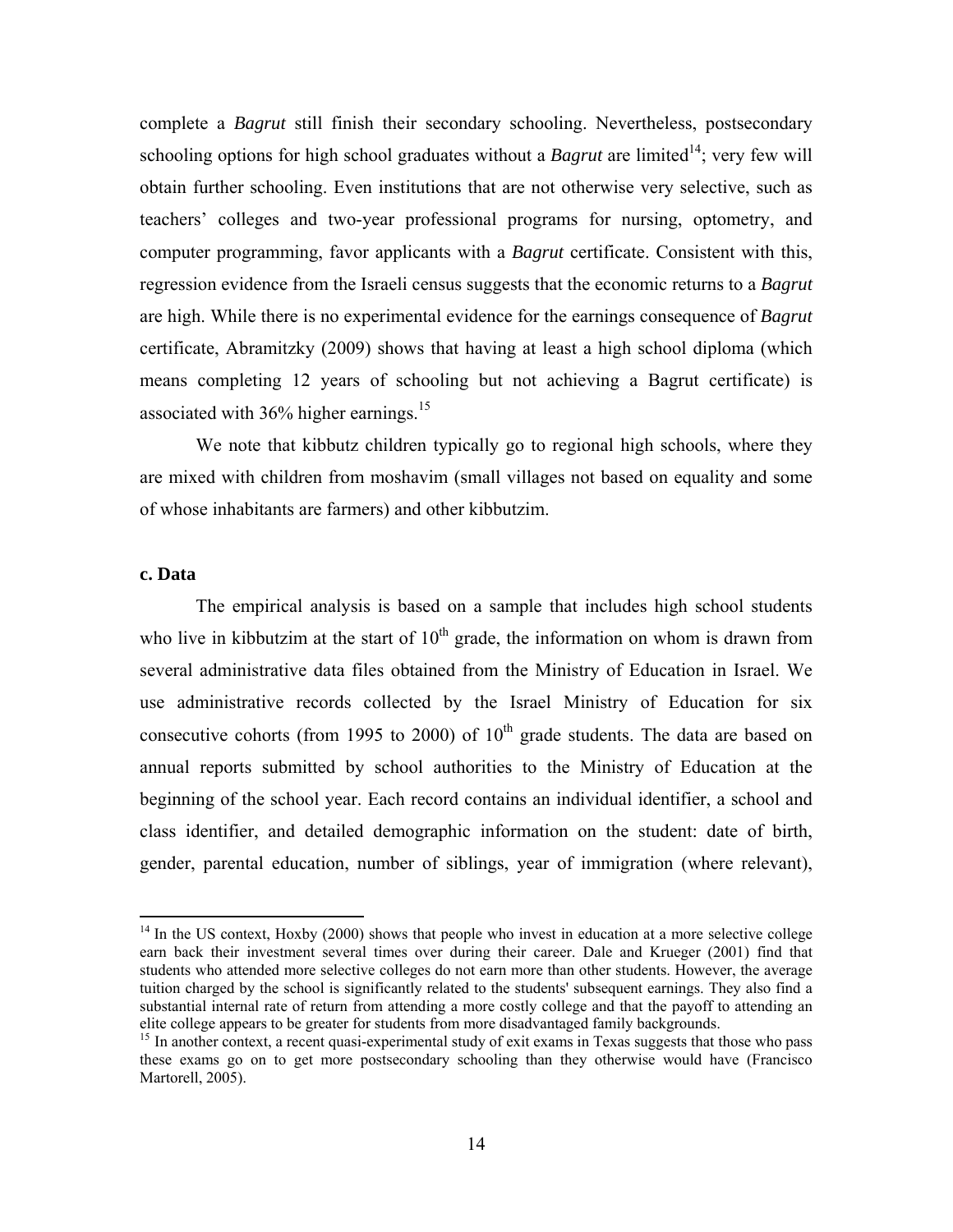complete a *Bagrut* still finish their secondary schooling. Nevertheless, postsecondary schooling options for high school graduates without a  $Bagrut$  are limited<sup>14</sup>; very few will obtain further schooling. Even institutions that are not otherwise very selective, such as teachers' colleges and two-year professional programs for nursing, optometry, and computer programming, favor applicants with a *Bagrut* certificate. Consistent with this, regression evidence from the Israeli census suggests that the economic returns to a *Bagrut* are high. While there is no experimental evidence for the earnings consequence of *Bagrut* certificate, Abramitzky (2009) shows that having at least a high school diploma (which means completing 12 years of schooling but not achieving a Bagrut certificate) is associated with  $36\%$  higher earnings.<sup>15</sup>

We note that kibbutz children typically go to regional high schools, where they are mixed with children from moshavim (small villages not based on equality and some of whose inhabitants are farmers) and other kibbutzim.

## **c. Data**

 $\overline{a}$ 

The empirical analysis is based on a sample that includes high school students who live in kibbutzim at the start of  $10<sup>th</sup>$  grade, the information on whom is drawn from several administrative data files obtained from the Ministry of Education in Israel. We use administrative records collected by the Israel Ministry of Education for six consecutive cohorts (from 1995 to 2000) of  $10<sup>th</sup>$  grade students. The data are based on annual reports submitted by school authorities to the Ministry of Education at the beginning of the school year. Each record contains an individual identifier, a school and class identifier, and detailed demographic information on the student: date of birth, gender, parental education, number of siblings, year of immigration (where relevant),

 $14$  In the US context, Hoxby (2000) shows that people who invest in education at a more selective college earn back their investment several times over during their career. Dale and Krueger (2001) find that students who attended more selective colleges do not earn more than other students. However, the average tuition charged by the school is significantly related to the students' subsequent earnings. They also find a substantial internal rate of return from attending a more costly college and that the payoff to attending an elite college appears to be greater for students from more disadvantaged family backgrounds.

<sup>&</sup>lt;sup>15</sup> In another context, a recent quasi-experimental study of exit exams in Texas suggests that those who pass these exams go on to get more postsecondary schooling than they otherwise would have (Francisco Martorell, 2005).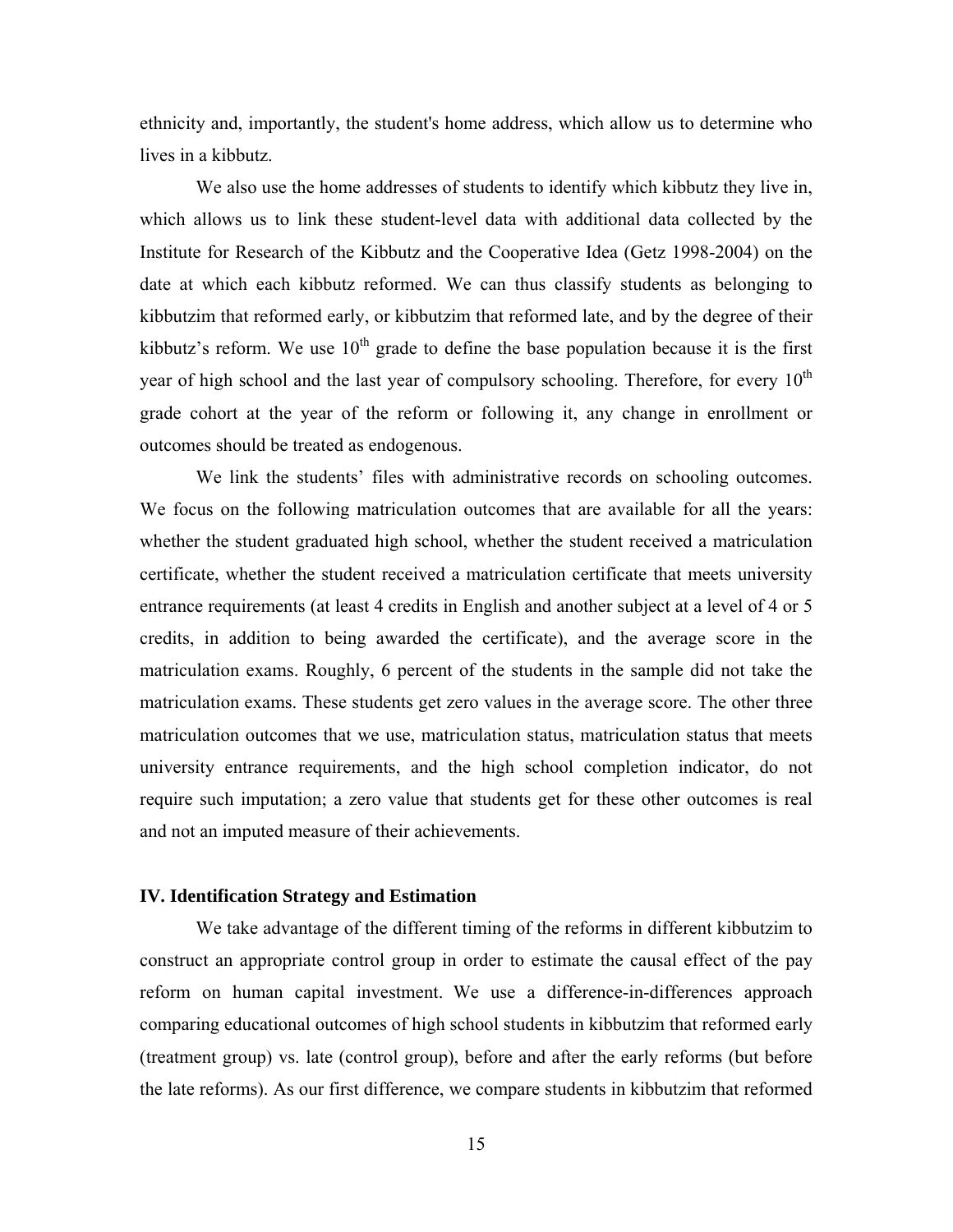ethnicity and, importantly, the student's home address, which allow us to determine who lives in a kibbutz.

We also use the home addresses of students to identify which kibbutz they live in, which allows us to link these student-level data with additional data collected by the Institute for Research of the Kibbutz and the Cooperative Idea (Getz 1998-2004) on the date at which each kibbutz reformed. We can thus classify students as belonging to kibbutzim that reformed early, or kibbutzim that reformed late, and by the degree of their kibbutz's reform. We use  $10<sup>th</sup>$  grade to define the base population because it is the first year of high school and the last year of compulsory schooling. Therefore, for every  $10<sup>th</sup>$ grade cohort at the year of the reform or following it, any change in enrollment or outcomes should be treated as endogenous.

We link the students' files with administrative records on schooling outcomes. We focus on the following matriculation outcomes that are available for all the years: whether the student graduated high school, whether the student received a matriculation certificate, whether the student received a matriculation certificate that meets university entrance requirements (at least 4 credits in English and another subject at a level of 4 or 5 credits, in addition to being awarded the certificate), and the average score in the matriculation exams. Roughly, 6 percent of the students in the sample did not take the matriculation exams. These students get zero values in the average score. The other three matriculation outcomes that we use, matriculation status, matriculation status that meets university entrance requirements, and the high school completion indicator, do not require such imputation; a zero value that students get for these other outcomes is real and not an imputed measure of their achievements.

## **IV. Identification Strategy and Estimation**

We take advantage of the different timing of the reforms in different kibbutzim to construct an appropriate control group in order to estimate the causal effect of the pay reform on human capital investment. We use a difference-in-differences approach comparing educational outcomes of high school students in kibbutzim that reformed early (treatment group) vs. late (control group), before and after the early reforms (but before the late reforms). As our first difference, we compare students in kibbutzim that reformed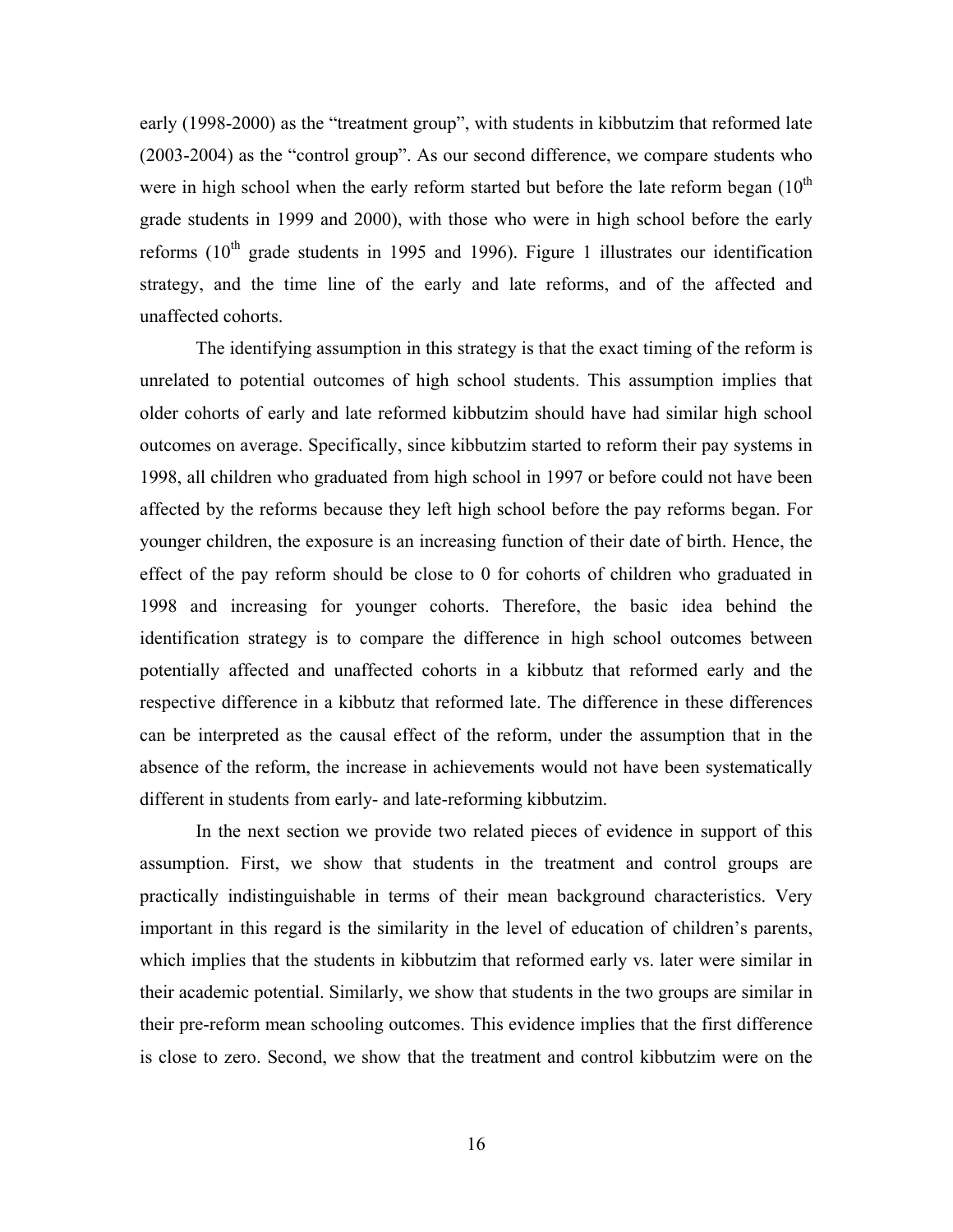early (1998-2000) as the "treatment group", with students in kibbutzim that reformed late (2003-2004) as the "control group". As our second difference, we compare students who were in high school when the early reform started but before the late reform began  $(10<sup>th</sup>$ grade students in 1999 and 2000), with those who were in high school before the early reforms  $(10<sup>th</sup>$  grade students in 1995 and 1996). Figure 1 illustrates our identification strategy, and the time line of the early and late reforms, and of the affected and unaffected cohorts.

The identifying assumption in this strategy is that the exact timing of the reform is unrelated to potential outcomes of high school students. This assumption implies that older cohorts of early and late reformed kibbutzim should have had similar high school outcomes on average. Specifically, since kibbutzim started to reform their pay systems in 1998, all children who graduated from high school in 1997 or before could not have been affected by the reforms because they left high school before the pay reforms began. For younger children, the exposure is an increasing function of their date of birth. Hence, the effect of the pay reform should be close to 0 for cohorts of children who graduated in 1998 and increasing for younger cohorts. Therefore, the basic idea behind the identification strategy is to compare the difference in high school outcomes between potentially affected and unaffected cohorts in a kibbutz that reformed early and the respective difference in a kibbutz that reformed late. The difference in these differences can be interpreted as the causal effect of the reform, under the assumption that in the absence of the reform, the increase in achievements would not have been systematically different in students from early- and late-reforming kibbutzim.

In the next section we provide two related pieces of evidence in support of this assumption. First, we show that students in the treatment and control groups are practically indistinguishable in terms of their mean background characteristics. Very important in this regard is the similarity in the level of education of children's parents, which implies that the students in kibbutzim that reformed early vs. later were similar in their academic potential. Similarly, we show that students in the two groups are similar in their pre-reform mean schooling outcomes. This evidence implies that the first difference is close to zero. Second, we show that the treatment and control kibbutzim were on the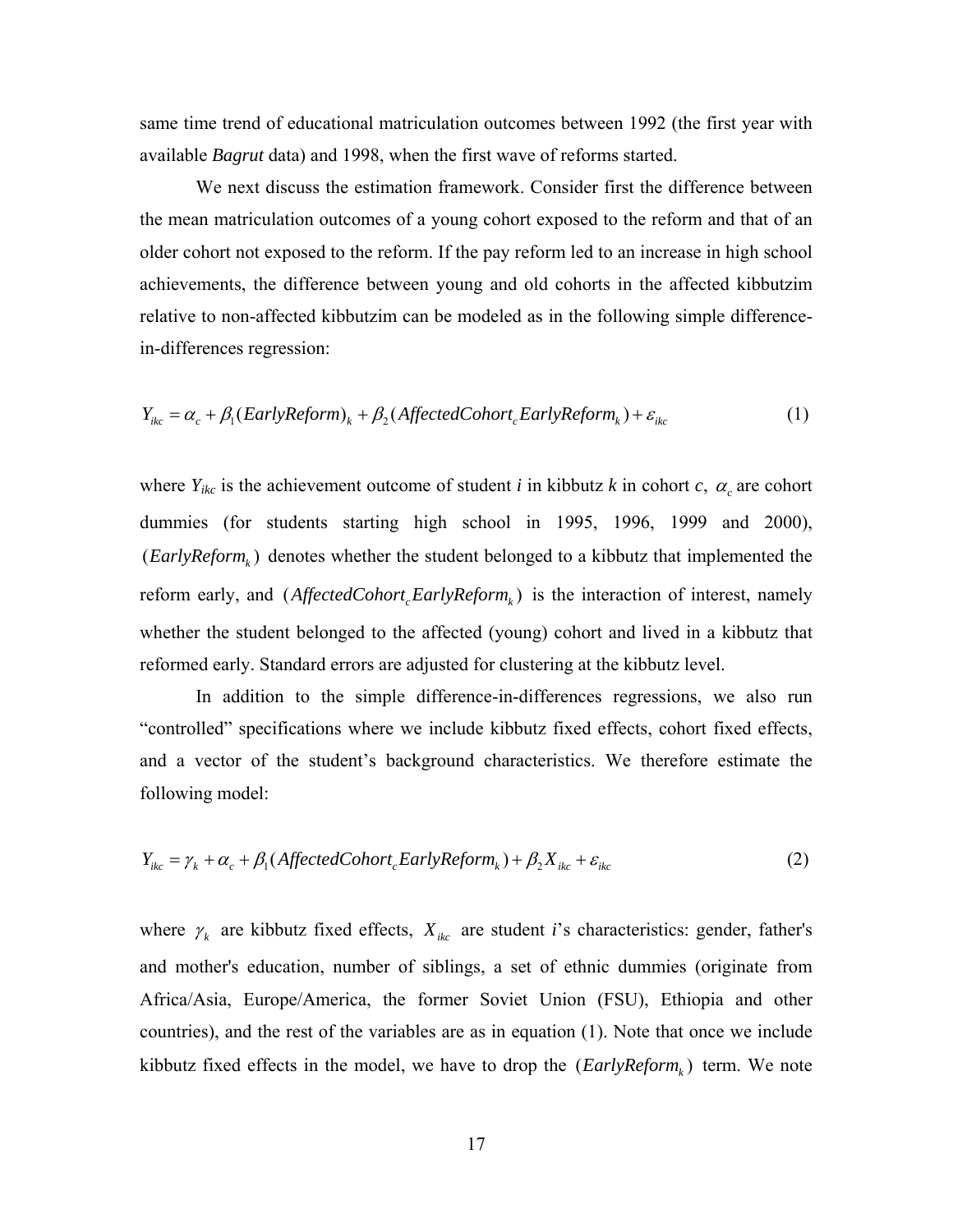same time trend of educational matriculation outcomes between 1992 (the first year with available *Bagrut* data) and 1998, when the first wave of reforms started.

We next discuss the estimation framework. Consider first the difference between the mean matriculation outcomes of a young cohort exposed to the reform and that of an older cohort not exposed to the reform. If the pay reform led to an increase in high school achievements, the difference between young and old cohorts in the affected kibbutzim relative to non-affected kibbutzim can be modeled as in the following simple differencein-differences regression:

$$
Y_{ikc} = \alpha_c + \beta_1 (EarlyReform)_k + \beta_2 (AftertedColor t_c EarlyReform_k) + \varepsilon_{ikc}
$$
 (1)

where  $Y_{ikc}$  is the achievement outcome of student *i* in kibbutz *k* in cohort *c*,  $\alpha_c$  are cohort dummies (for students starting high school in 1995, 1996, 1999 and 2000),  $(EarlyReform<sub>k</sub>)$  denotes whether the student belonged to a kibbutz that implemented the reform early, and (*AffectedCohort EarlyReform*) is the interaction of interest, namely whether the student belonged to the affected (young) cohort and lived in a kibbutz that reformed early. Standard errors are adjusted for clustering at the kibbutz level.

 In addition to the simple difference-in-differences regressions, we also run "controlled" specifications where we include kibbutz fixed effects, cohort fixed effects, and a vector of the student's background characteristics. We therefore estimate the following model:

$$
Y_{ikc} = \gamma_k + \alpha_c + \beta_1 (A \text{ffectedCohort}_{c} \text{EarlyReform}_{k}) + \beta_2 X_{ikc} + \varepsilon_{ikc}
$$
 (2)

where  $\gamma_k$  are kibbutz fixed effects,  $X_{ikc}$  are student *i*'s characteristics: gender, father's and mother's education, number of siblings, a set of ethnic dummies (originate from Africa/Asia, Europe/America, the former Soviet Union (FSU), Ethiopia and other countries), and the rest of the variables are as in equation (1). Note that once we include kibbutz fixed effects in the model, we have to drop the  $(EarlyReform_k)$  term. We note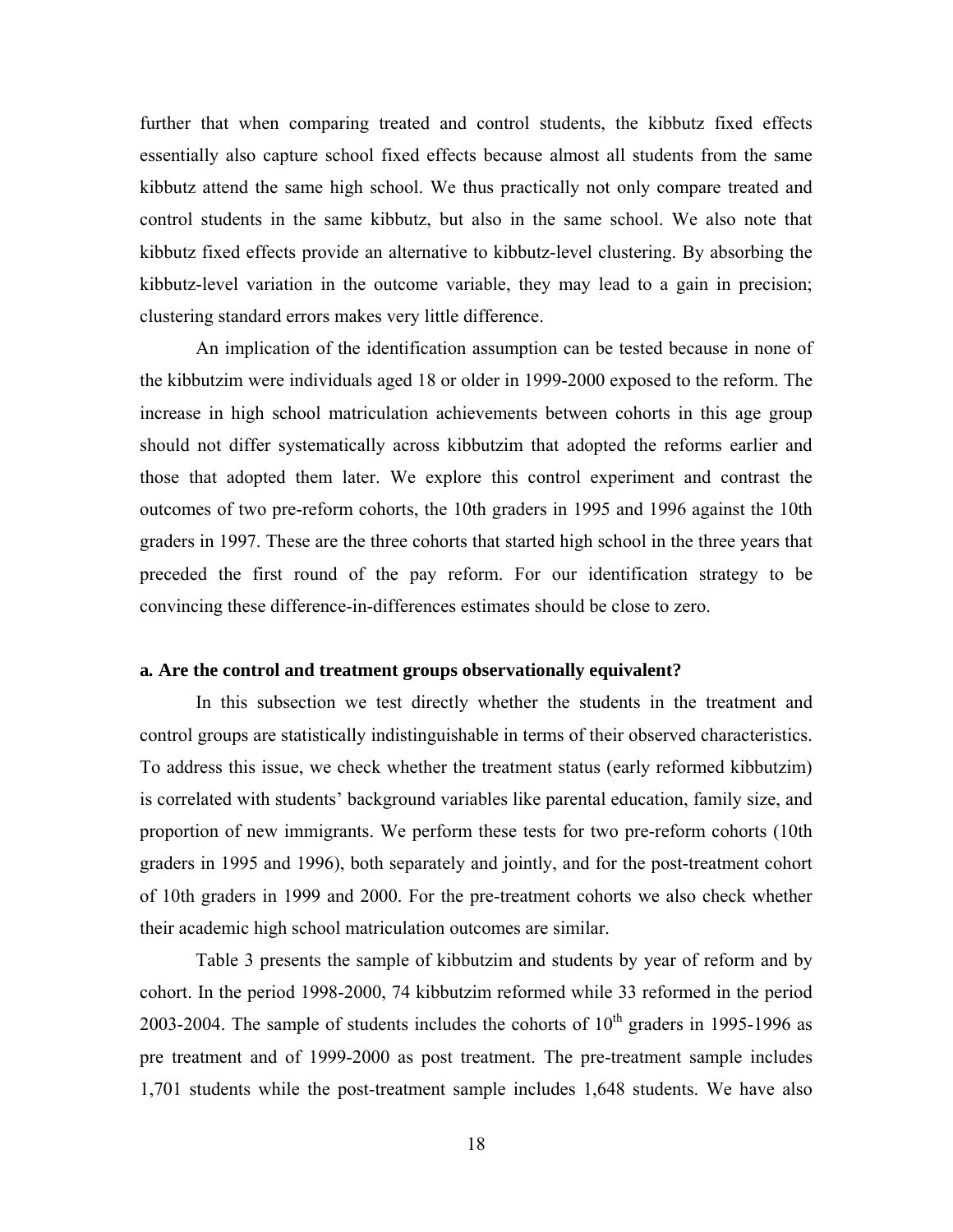further that when comparing treated and control students, the kibbutz fixed effects essentially also capture school fixed effects because almost all students from the same kibbutz attend the same high school. We thus practically not only compare treated and control students in the same kibbutz, but also in the same school. We also note that kibbutz fixed effects provide an alternative to kibbutz-level clustering. By absorbing the kibbutz-level variation in the outcome variable, they may lead to a gain in precision; clustering standard errors makes very little difference.

 An implication of the identification assumption can be tested because in none of the kibbutzim were individuals aged 18 or older in 1999-2000 exposed to the reform. The increase in high school matriculation achievements between cohorts in this age group should not differ systematically across kibbutzim that adopted the reforms earlier and those that adopted them later. We explore this control experiment and contrast the outcomes of two pre-reform cohorts, the 10th graders in 1995 and 1996 against the 10th graders in 1997. These are the three cohorts that started high school in the three years that preceded the first round of the pay reform. For our identification strategy to be convincing these difference-in-differences estimates should be close to zero.

## **a***.* **Are the control and treatment groups observationally equivalent?**

In this subsection we test directly whether the students in the treatment and control groups are statistically indistinguishable in terms of their observed characteristics. To address this issue, we check whether the treatment status (early reformed kibbutzim) is correlated with students' background variables like parental education, family size, and proportion of new immigrants. We perform these tests for two pre-reform cohorts (10th graders in 1995 and 1996), both separately and jointly, and for the post-treatment cohort of 10th graders in 1999 and 2000. For the pre-treatment cohorts we also check whether their academic high school matriculation outcomes are similar.

Table 3 presents the sample of kibbutzim and students by year of reform and by cohort. In the period 1998-2000, 74 kibbutzim reformed while 33 reformed in the period 2003-2004. The sample of students includes the cohorts of  $10<sup>th</sup>$  graders in 1995-1996 as pre treatment and of 1999-2000 as post treatment. The pre-treatment sample includes 1,701 students while the post-treatment sample includes 1,648 students. We have also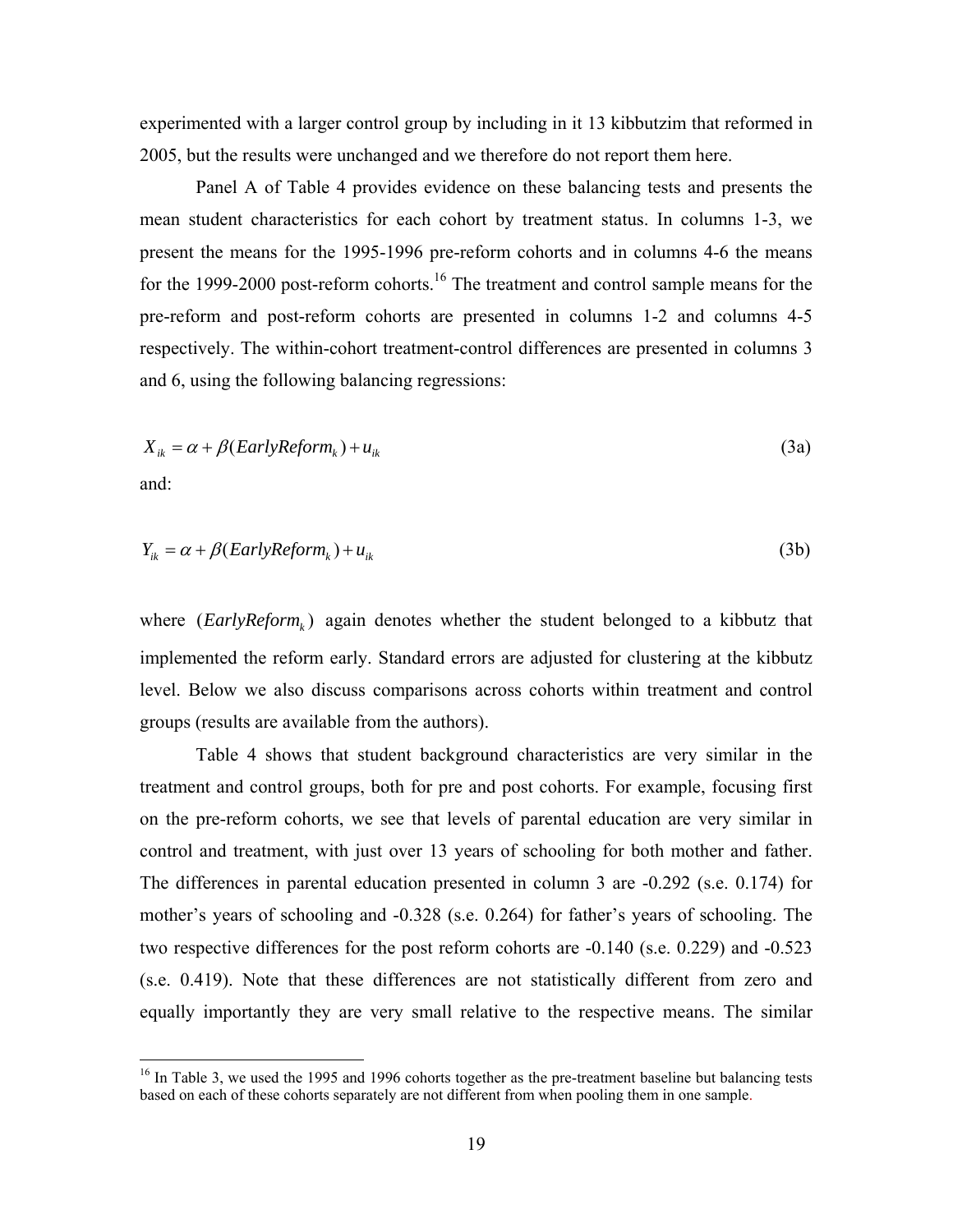experimented with a larger control group by including in it 13 kibbutzim that reformed in 2005, but the results were unchanged and we therefore do not report them here.

Panel A of Table 4 provides evidence on these balancing tests and presents the mean student characteristics for each cohort by treatment status. In columns 1-3, we present the means for the 1995-1996 pre-reform cohorts and in columns 4-6 the means for the 1999-2000 post-reform cohorts.<sup>16</sup> The treatment and control sample means for the pre-reform and post-reform cohorts are presented in columns 1-2 and columns 4-5 respectively. The within-cohort treatment-control differences are presented in columns 3 and 6, using the following balancing regressions:

$$
X_{ik} = \alpha + \beta (EarlyReform_k) + u_{ik}
$$
\n(3a)

$$
Y_{ik} = \alpha + \beta (EarlyReform_k) + u_{ik}
$$
\n(3b)

where  $(EarlyReform_k)$  again denotes whether the student belonged to a kibbutz that implemented the reform early. Standard errors are adjusted for clustering at the kibbutz level. Below we also discuss comparisons across cohorts within treatment and control groups (results are available from the authors).

Table 4 shows that student background characteristics are very similar in the treatment and control groups, both for pre and post cohorts. For example, focusing first on the pre-reform cohorts, we see that levels of parental education are very similar in control and treatment, with just over 13 years of schooling for both mother and father. The differences in parental education presented in column 3 are -0.292 (s.e. 0.174) for mother's years of schooling and -0.328 (s.e. 0.264) for father's years of schooling. The two respective differences for the post reform cohorts are -0.140 (s.e. 0.229) and -0.523 (s.e. 0.419). Note that these differences are not statistically different from zero and equally importantly they are very small relative to the respective means. The similar

<sup>&</sup>lt;sup>16</sup> In Table 3, we used the 1995 and 1996 cohorts together as the pre-treatment baseline but balancing tests based on each of these cohorts separately are not different from when pooling them in one sample.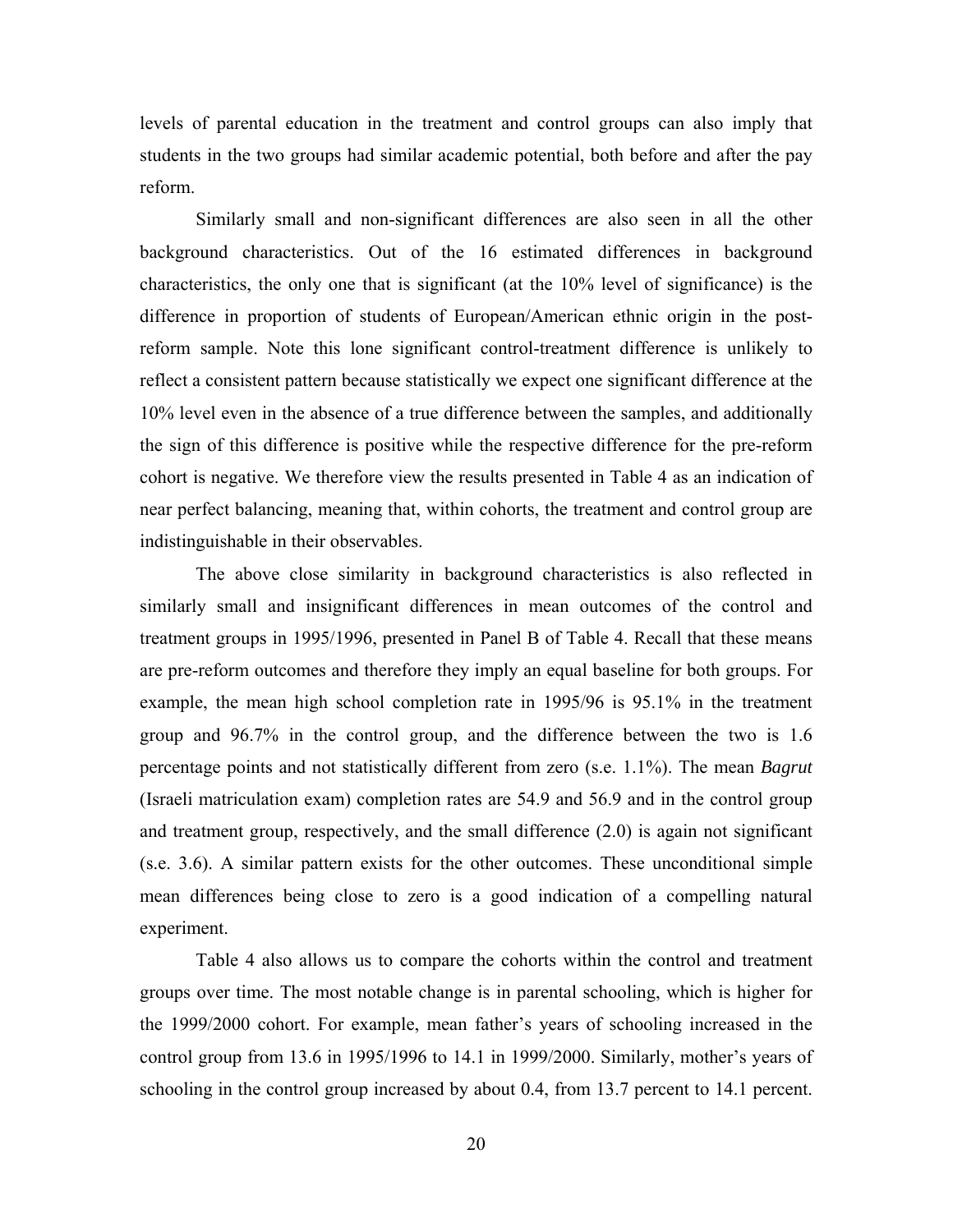levels of parental education in the treatment and control groups can also imply that students in the two groups had similar academic potential, both before and after the pay reform.

Similarly small and non-significant differences are also seen in all the other background characteristics. Out of the 16 estimated differences in background characteristics, the only one that is significant (at the 10% level of significance) is the difference in proportion of students of European/American ethnic origin in the postreform sample. Note this lone significant control-treatment difference is unlikely to reflect a consistent pattern because statistically we expect one significant difference at the 10% level even in the absence of a true difference between the samples, and additionally the sign of this difference is positive while the respective difference for the pre-reform cohort is negative. We therefore view the results presented in Table 4 as an indication of near perfect balancing, meaning that, within cohorts, the treatment and control group are indistinguishable in their observables.

The above close similarity in background characteristics is also reflected in similarly small and insignificant differences in mean outcomes of the control and treatment groups in 1995/1996, presented in Panel B of Table 4. Recall that these means are pre-reform outcomes and therefore they imply an equal baseline for both groups. For example, the mean high school completion rate in 1995/96 is 95.1% in the treatment group and 96.7% in the control group, and the difference between the two is 1.6 percentage points and not statistically different from zero (s.e. 1.1%). The mean *Bagrut* (Israeli matriculation exam) completion rates are 54.9 and 56.9 and in the control group and treatment group, respectively, and the small difference (2.0) is again not significant (s.e. 3.6). A similar pattern exists for the other outcomes. These unconditional simple mean differences being close to zero is a good indication of a compelling natural experiment.

Table 4 also allows us to compare the cohorts within the control and treatment groups over time. The most notable change is in parental schooling, which is higher for the 1999/2000 cohort. For example, mean father's years of schooling increased in the control group from 13.6 in 1995/1996 to 14.1 in 1999/2000. Similarly, mother's years of schooling in the control group increased by about 0.4, from 13.7 percent to 14.1 percent.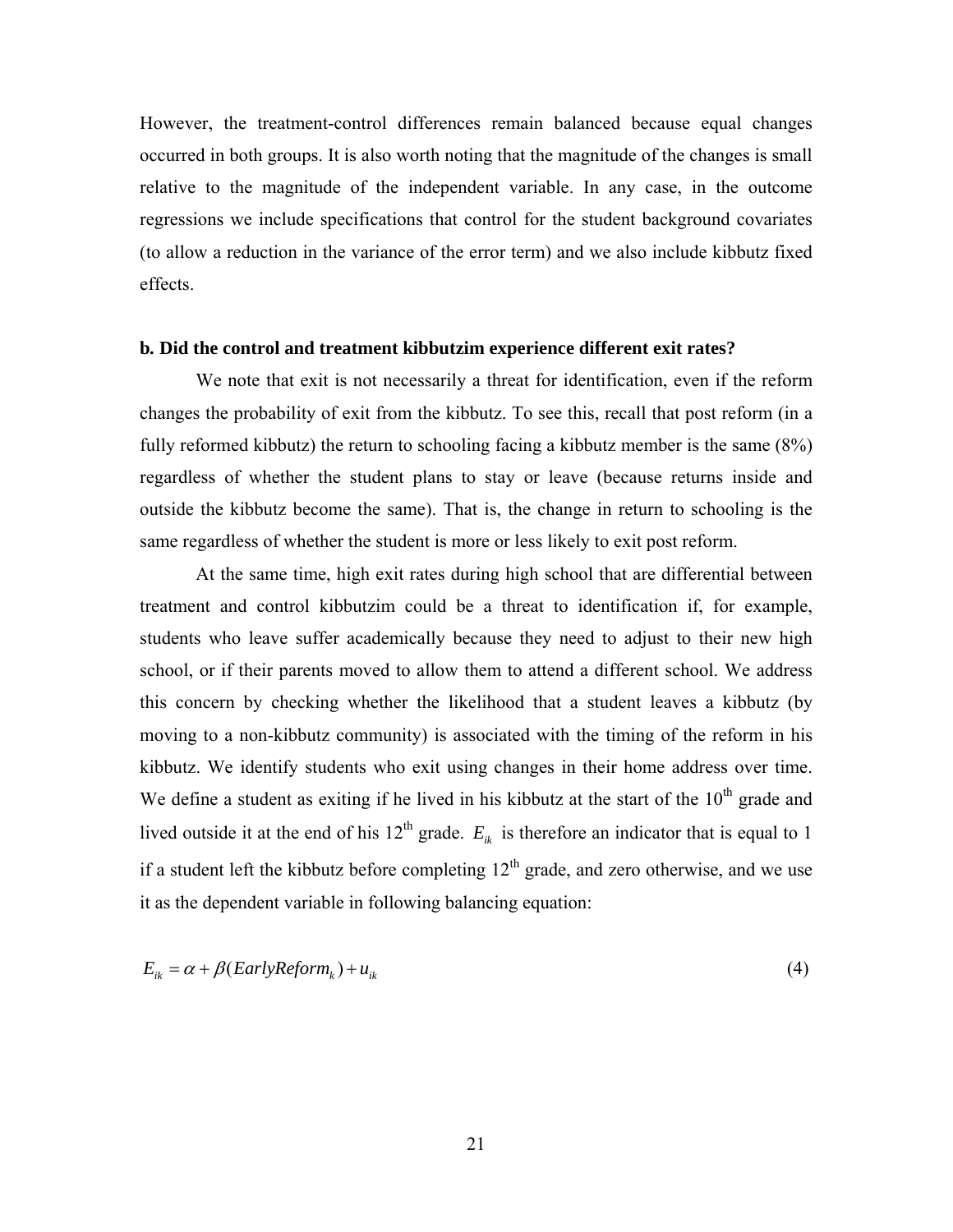However, the treatment-control differences remain balanced because equal changes occurred in both groups. It is also worth noting that the magnitude of the changes is small relative to the magnitude of the independent variable. In any case, in the outcome regressions we include specifications that control for the student background covariates (to allow a reduction in the variance of the error term) and we also include kibbutz fixed effects.

### **b***.* **Did the control and treatment kibbutzim experience different exit rates?**

We note that exit is not necessarily a threat for identification, even if the reform changes the probability of exit from the kibbutz. To see this, recall that post reform (in a fully reformed kibbutz) the return to schooling facing a kibbutz member is the same (8%) regardless of whether the student plans to stay or leave (because returns inside and outside the kibbutz become the same). That is, the change in return to schooling is the same regardless of whether the student is more or less likely to exit post reform.

At the same time, high exit rates during high school that are differential between treatment and control kibbutzim could be a threat to identification if, for example, students who leave suffer academically because they need to adjust to their new high school, or if their parents moved to allow them to attend a different school. We address this concern by checking whether the likelihood that a student leaves a kibbutz (by moving to a non-kibbutz community) is associated with the timing of the reform in his kibbutz. We identify students who exit using changes in their home address over time. We define a student as exiting if he lived in his kibbutz at the start of the  $10<sup>th</sup>$  grade and lived outside it at the end of his  $12<sup>th</sup>$  grade.  $E<sub>i</sub>$  is therefore an indicator that is equal to 1 if a student left the kibbutz before completing  $12<sup>th</sup>$  grade, and zero otherwise, and we use it as the dependent variable in following balancing equation:

$$
E_{ik} = \alpha + \beta (EarlyReform_k) + u_{ik}
$$
\n(4)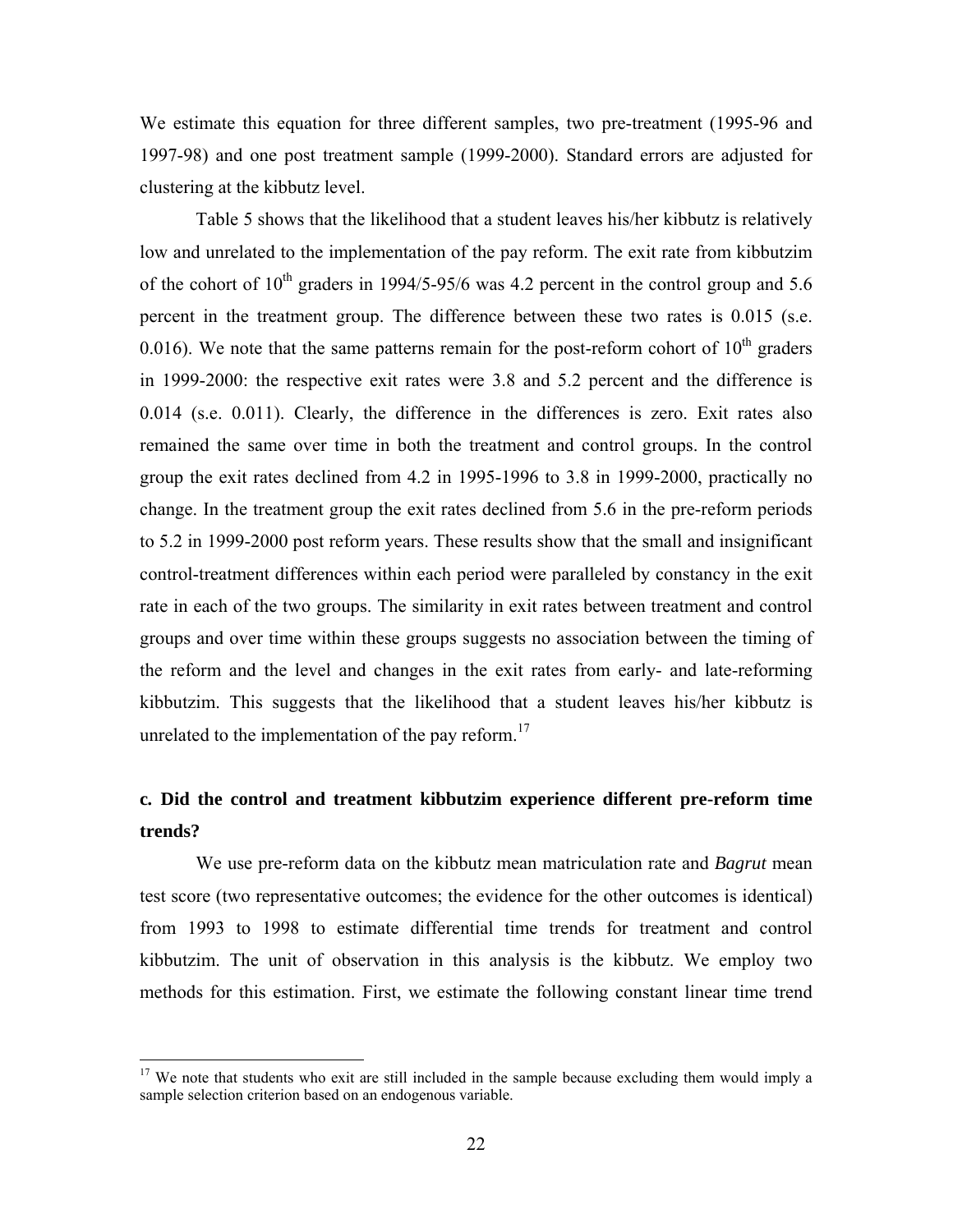We estimate this equation for three different samples, two pre-treatment (1995-96 and 1997-98) and one post treatment sample (1999-2000). Standard errors are adjusted for clustering at the kibbutz level.

Table 5 shows that the likelihood that a student leaves his/her kibbutz is relatively low and unrelated to the implementation of the pay reform. The exit rate from kibbutzim of the cohort of  $10<sup>th</sup>$  graders in 1994/5-95/6 was 4.2 percent in the control group and 5.6 percent in the treatment group. The difference between these two rates is 0.015 (s.e. 0.016). We note that the same patterns remain for the post-reform cohort of  $10<sup>th</sup>$  graders in 1999-2000: the respective exit rates were 3.8 and 5.2 percent and the difference is 0.014 (s.e. 0.011). Clearly, the difference in the differences is zero. Exit rates also remained the same over time in both the treatment and control groups. In the control group the exit rates declined from 4.2 in 1995-1996 to 3.8 in 1999-2000, practically no change. In the treatment group the exit rates declined from 5.6 in the pre-reform periods to 5.2 in 1999-2000 post reform years. These results show that the small and insignificant control-treatment differences within each period were paralleled by constancy in the exit rate in each of the two groups. The similarity in exit rates between treatment and control groups and over time within these groups suggests no association between the timing of the reform and the level and changes in the exit rates from early- and late-reforming kibbutzim. This suggests that the likelihood that a student leaves his/her kibbutz is unrelated to the implementation of the pay reform.<sup>17</sup>

# **c***.* **Did the control and treatment kibbutzim experience different pre-reform time trends?**

We use pre-reform data on the kibbutz mean matriculation rate and *Bagrut* mean test score (two representative outcomes; the evidence for the other outcomes is identical) from 1993 to 1998 to estimate differential time trends for treatment and control kibbutzim. The unit of observation in this analysis is the kibbutz. We employ two methods for this estimation. First, we estimate the following constant linear time trend

<sup>&</sup>lt;sup>17</sup> We note that students who exit are still included in the sample because excluding them would imply a sample selection criterion based on an endogenous variable.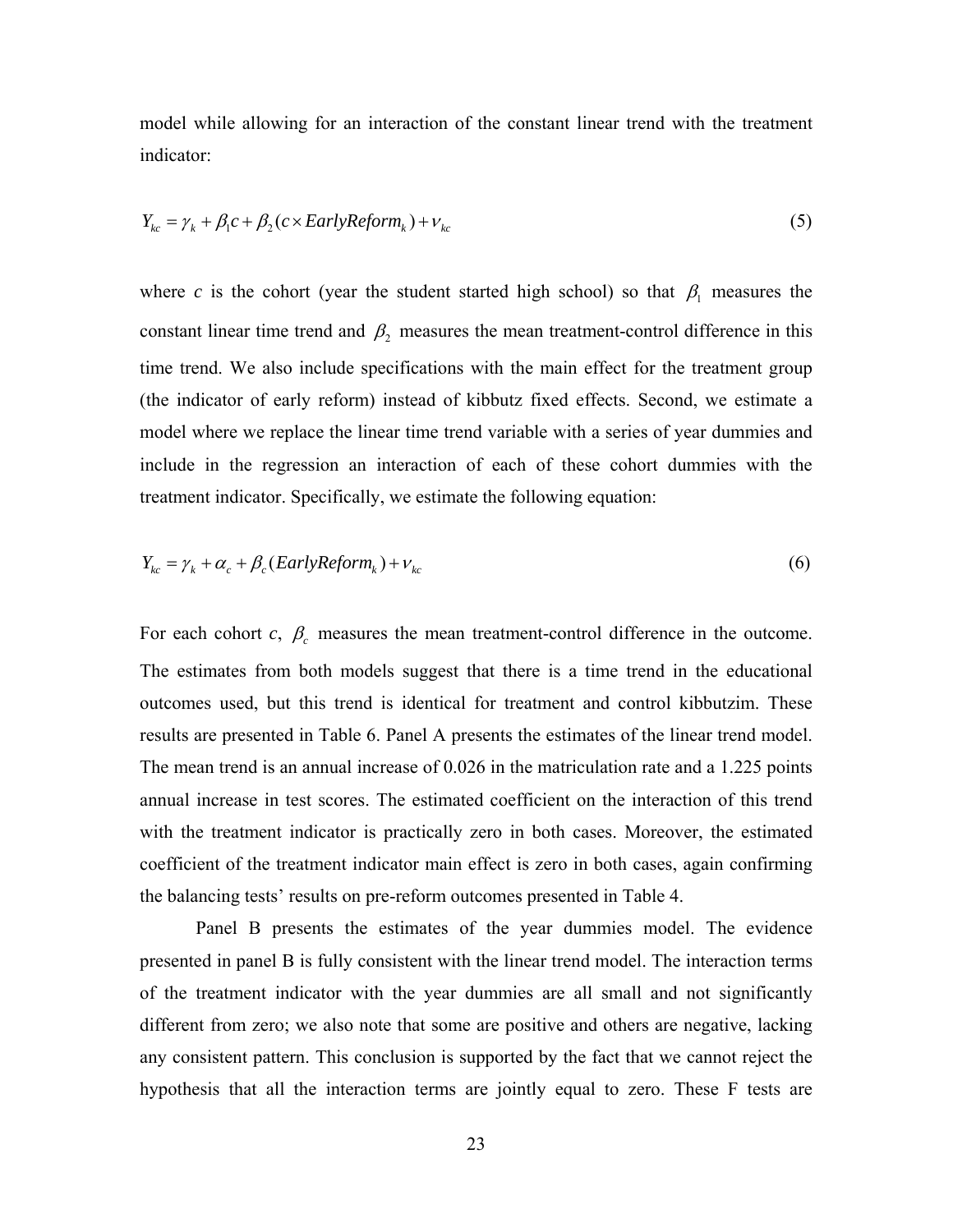model while allowing for an interaction of the constant linear trend with the treatment indicator:

$$
Y_{kc} = \gamma_k + \beta_1 c + \beta_2 (c \times EarlyReform_k) + v_{kc}
$$
\n<sup>(5)</sup>

where *c* is the cohort (year the student started high school) so that  $\beta_1$  measures the constant linear time trend and  $\beta_2$  measures the mean treatment-control difference in this time trend. We also include specifications with the main effect for the treatment group (the indicator of early reform) instead of kibbutz fixed effects. Second, we estimate a model where we replace the linear time trend variable with a series of year dummies and include in the regression an interaction of each of these cohort dummies with the treatment indicator. Specifically, we estimate the following equation:

$$
Y_{kc} = \gamma_k + \alpha_c + \beta_c (EarlyReform_k) + \nu_{kc}
$$
\n
$$
\tag{6}
$$

For each cohort  $c$ ,  $\beta_c$  measures the mean treatment-control difference in the outcome. The estimates from both models suggest that there is a time trend in the educational outcomes used, but this trend is identical for treatment and control kibbutzim. These results are presented in Table 6. Panel A presents the estimates of the linear trend model. The mean trend is an annual increase of 0.026 in the matriculation rate and a 1.225 points annual increase in test scores. The estimated coefficient on the interaction of this trend with the treatment indicator is practically zero in both cases. Moreover, the estimated coefficient of the treatment indicator main effect is zero in both cases, again confirming the balancing tests' results on pre-reform outcomes presented in Table 4.

Panel B presents the estimates of the year dummies model. The evidence presented in panel B is fully consistent with the linear trend model. The interaction terms of the treatment indicator with the year dummies are all small and not significantly different from zero; we also note that some are positive and others are negative, lacking any consistent pattern. This conclusion is supported by the fact that we cannot reject the hypothesis that all the interaction terms are jointly equal to zero. These F tests are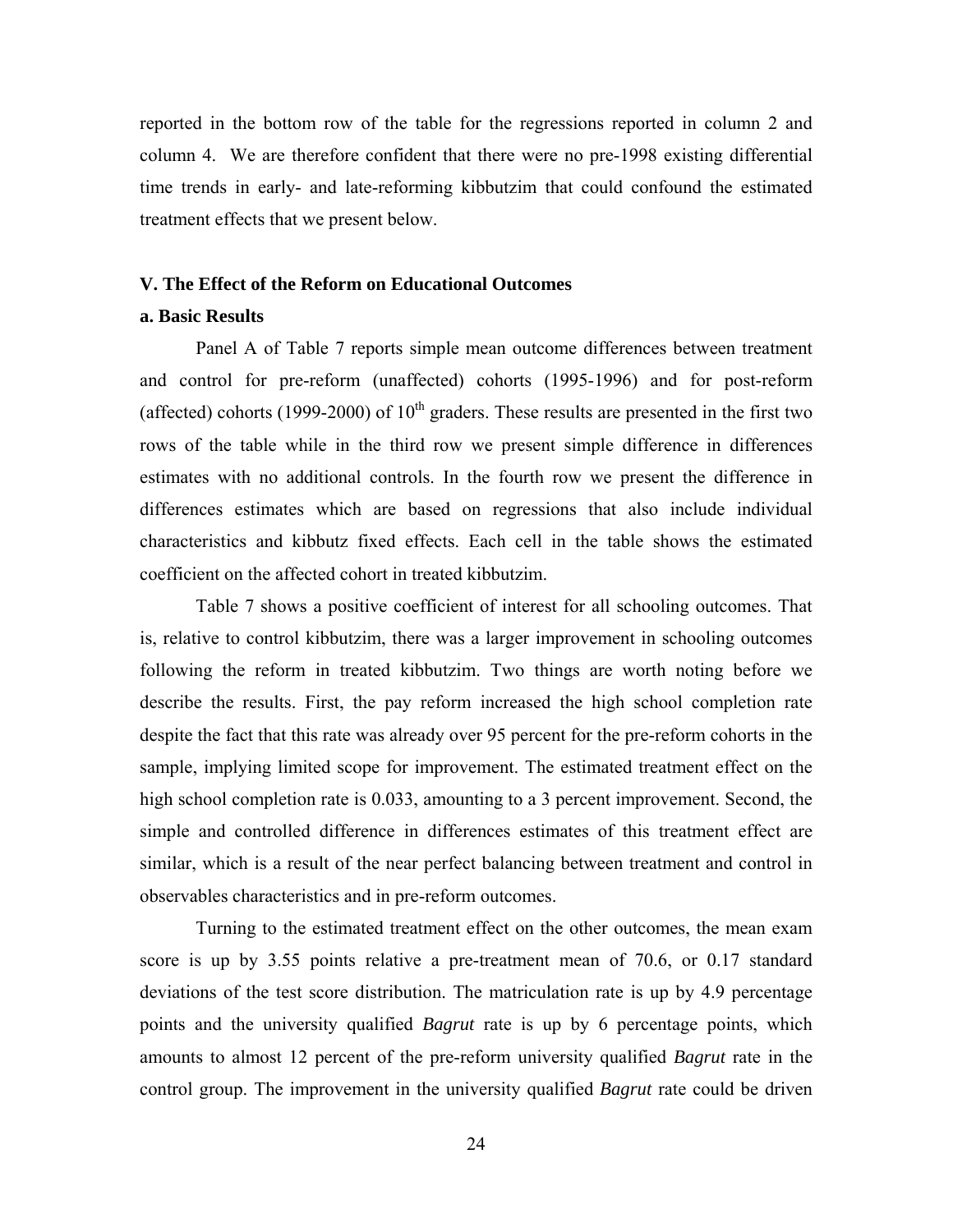reported in the bottom row of the table for the regressions reported in column 2 and column 4. We are therefore confident that there were no pre-1998 existing differential time trends in early- and late-reforming kibbutzim that could confound the estimated treatment effects that we present below.

## **V. The Effect of the Reform on Educational Outcomes**

## **a. Basic Results**

Panel A of Table 7 reports simple mean outcome differences between treatment and control for pre-reform (unaffected) cohorts (1995-1996) and for post-reform (affected) cohorts (1999-2000) of  $10<sup>th</sup>$  graders. These results are presented in the first two rows of the table while in the third row we present simple difference in differences estimates with no additional controls. In the fourth row we present the difference in differences estimates which are based on regressions that also include individual characteristics and kibbutz fixed effects. Each cell in the table shows the estimated coefficient on the affected cohort in treated kibbutzim.

Table 7 shows a positive coefficient of interest for all schooling outcomes. That is, relative to control kibbutzim, there was a larger improvement in schooling outcomes following the reform in treated kibbutzim. Two things are worth noting before we describe the results. First, the pay reform increased the high school completion rate despite the fact that this rate was already over 95 percent for the pre-reform cohorts in the sample, implying limited scope for improvement. The estimated treatment effect on the high school completion rate is 0.033, amounting to a 3 percent improvement. Second, the simple and controlled difference in differences estimates of this treatment effect are similar, which is a result of the near perfect balancing between treatment and control in observables characteristics and in pre-reform outcomes.

Turning to the estimated treatment effect on the other outcomes, the mean exam score is up by 3.55 points relative a pre-treatment mean of 70.6, or 0.17 standard deviations of the test score distribution. The matriculation rate is up by 4.9 percentage points and the university qualified *Bagrut* rate is up by 6 percentage points, which amounts to almost 12 percent of the pre-reform university qualified *Bagrut* rate in the control group. The improvement in the university qualified *Bagrut* rate could be driven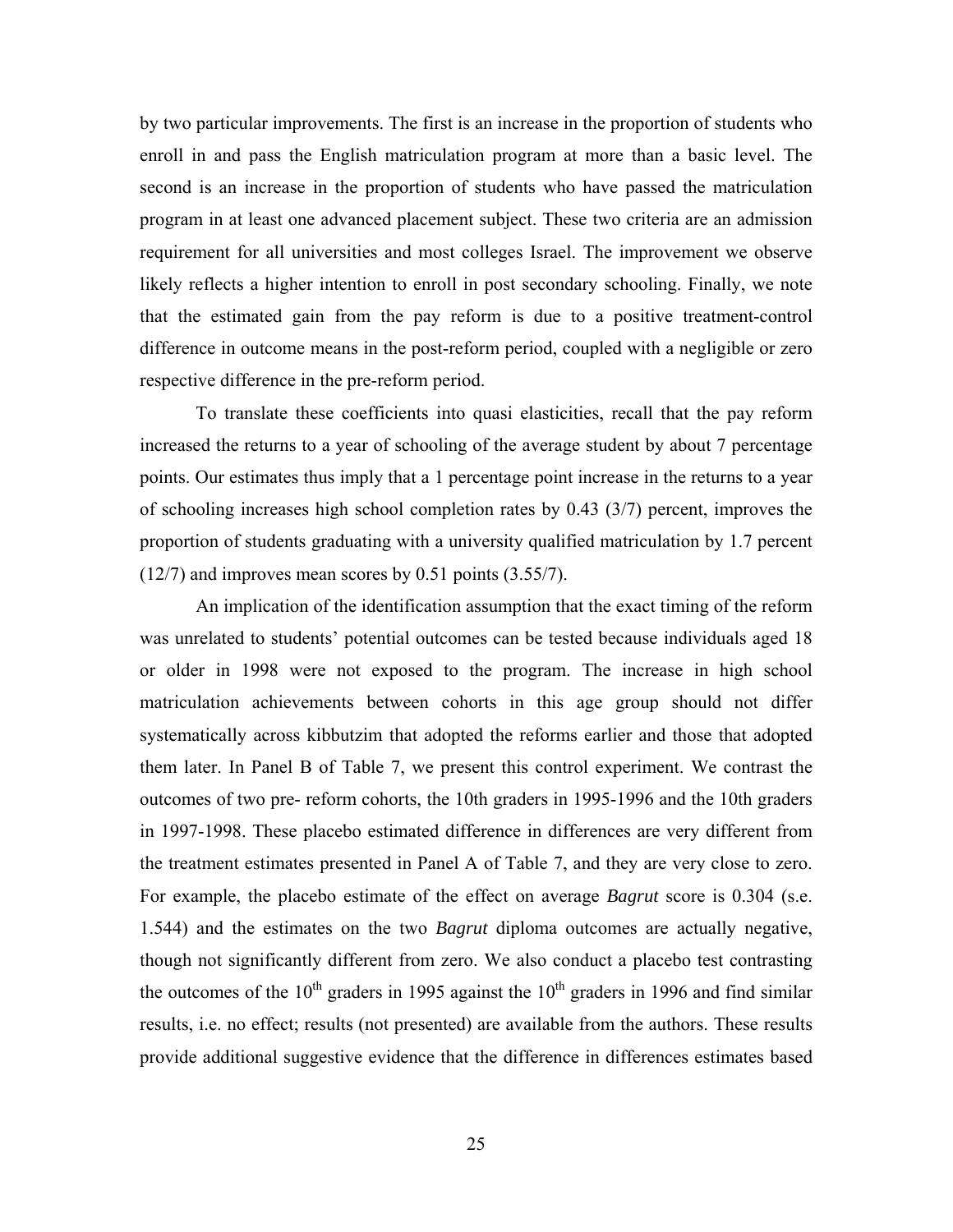by two particular improvements. The first is an increase in the proportion of students who enroll in and pass the English matriculation program at more than a basic level. The second is an increase in the proportion of students who have passed the matriculation program in at least one advanced placement subject. These two criteria are an admission requirement for all universities and most colleges Israel. The improvement we observe likely reflects a higher intention to enroll in post secondary schooling. Finally, we note that the estimated gain from the pay reform is due to a positive treatment-control difference in outcome means in the post-reform period, coupled with a negligible or zero respective difference in the pre-reform period.

To translate these coefficients into quasi elasticities, recall that the pay reform increased the returns to a year of schooling of the average student by about 7 percentage points. Our estimates thus imply that a 1 percentage point increase in the returns to a year of schooling increases high school completion rates by 0.43 (3/7) percent, improves the proportion of students graduating with a university qualified matriculation by 1.7 percent (12/7) and improves mean scores by 0.51 points (3.55/7).

 An implication of the identification assumption that the exact timing of the reform was unrelated to students' potential outcomes can be tested because individuals aged 18 or older in 1998 were not exposed to the program. The increase in high school matriculation achievements between cohorts in this age group should not differ systematically across kibbutzim that adopted the reforms earlier and those that adopted them later. In Panel B of Table 7, we present this control experiment. We contrast the outcomes of two pre- reform cohorts, the 10th graders in 1995-1996 and the 10th graders in 1997-1998. These placebo estimated difference in differences are very different from the treatment estimates presented in Panel A of Table 7, and they are very close to zero. For example, the placebo estimate of the effect on average *Bagrut* score is 0.304 (s.e. 1.544) and the estimates on the two *Bagrut* diploma outcomes are actually negative, though not significantly different from zero. We also conduct a placebo test contrasting the outcomes of the  $10<sup>th</sup>$  graders in 1995 against the  $10<sup>th</sup>$  graders in 1996 and find similar results, i.e. no effect; results (not presented) are available from the authors. These results provide additional suggestive evidence that the difference in differences estimates based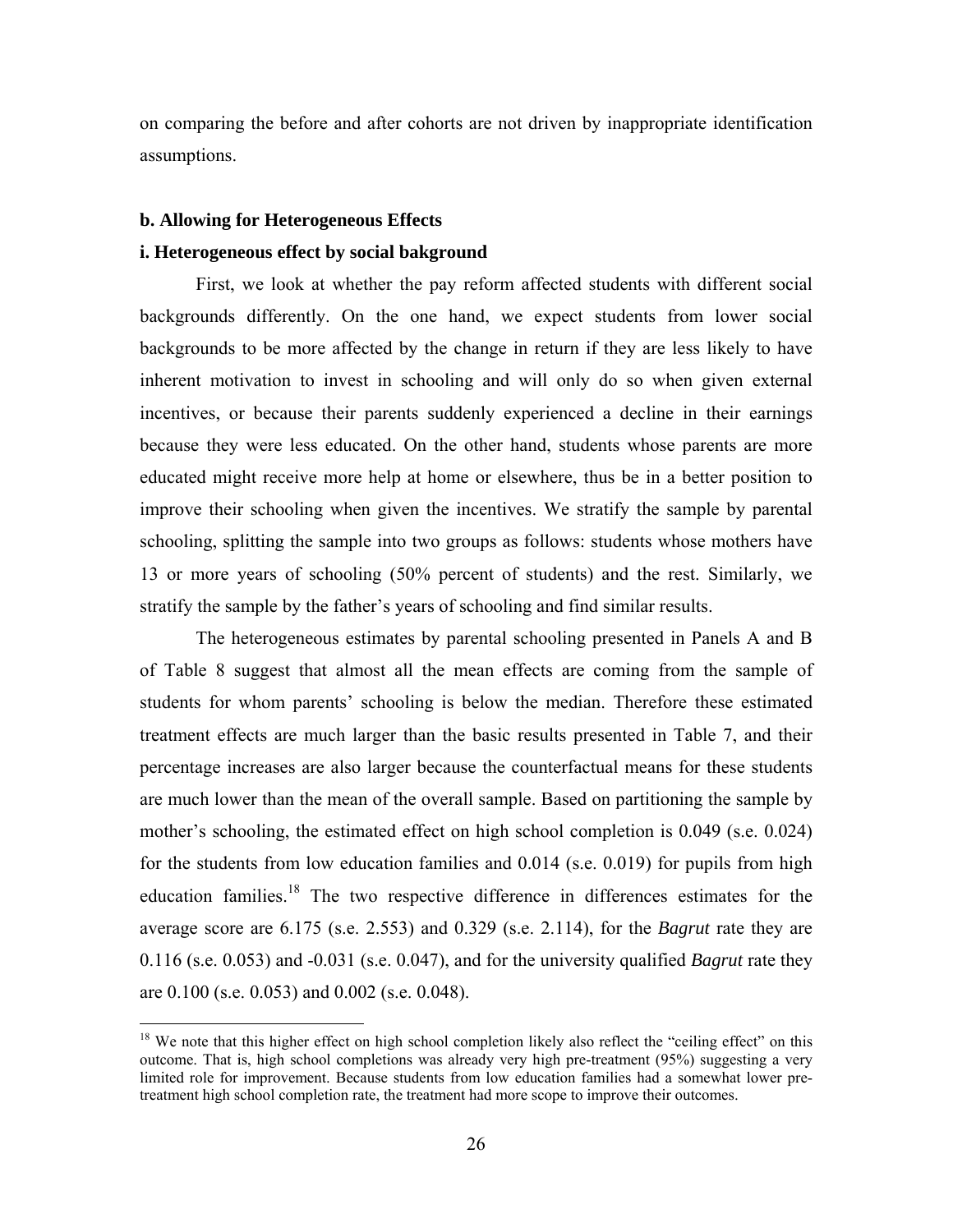on comparing the before and after cohorts are not driven by inappropriate identification assumptions.

### **b. Allowing for Heterogeneous Effects**

 $\overline{a}$ 

## **i. Heterogeneous effect by social bakground**

First, we look at whether the pay reform affected students with different social backgrounds differently. On the one hand, we expect students from lower social backgrounds to be more affected by the change in return if they are less likely to have inherent motivation to invest in schooling and will only do so when given external incentives, or because their parents suddenly experienced a decline in their earnings because they were less educated. On the other hand, students whose parents are more educated might receive more help at home or elsewhere, thus be in a better position to improve their schooling when given the incentives. We stratify the sample by parental schooling, splitting the sample into two groups as follows: students whose mothers have 13 or more years of schooling (50% percent of students) and the rest. Similarly, we stratify the sample by the father's years of schooling and find similar results.

The heterogeneous estimates by parental schooling presented in Panels A and B of Table 8 suggest that almost all the mean effects are coming from the sample of students for whom parents' schooling is below the median. Therefore these estimated treatment effects are much larger than the basic results presented in Table 7, and their percentage increases are also larger because the counterfactual means for these students are much lower than the mean of the overall sample. Based on partitioning the sample by mother's schooling, the estimated effect on high school completion is 0.049 (s.e. 0.024) for the students from low education families and 0.014 (s.e. 0.019) for pupils from high education families.<sup>18</sup> The two respective difference in differences estimates for the average score are 6.175 (s.e. 2.553) and 0.329 (s.e. 2.114), for the *Bagrut* rate they are 0.116 (s.e. 0.053) and -0.031 (s.e. 0.047), and for the university qualified *Bagrut* rate they are 0.100 (s.e. 0.053) and 0.002 (s.e. 0.048).

<sup>&</sup>lt;sup>18</sup> We note that this higher effect on high school completion likely also reflect the "ceiling effect" on this outcome. That is, high school completions was already very high pre-treatment (95%) suggesting a very limited role for improvement. Because students from low education families had a somewhat lower pretreatment high school completion rate, the treatment had more scope to improve their outcomes.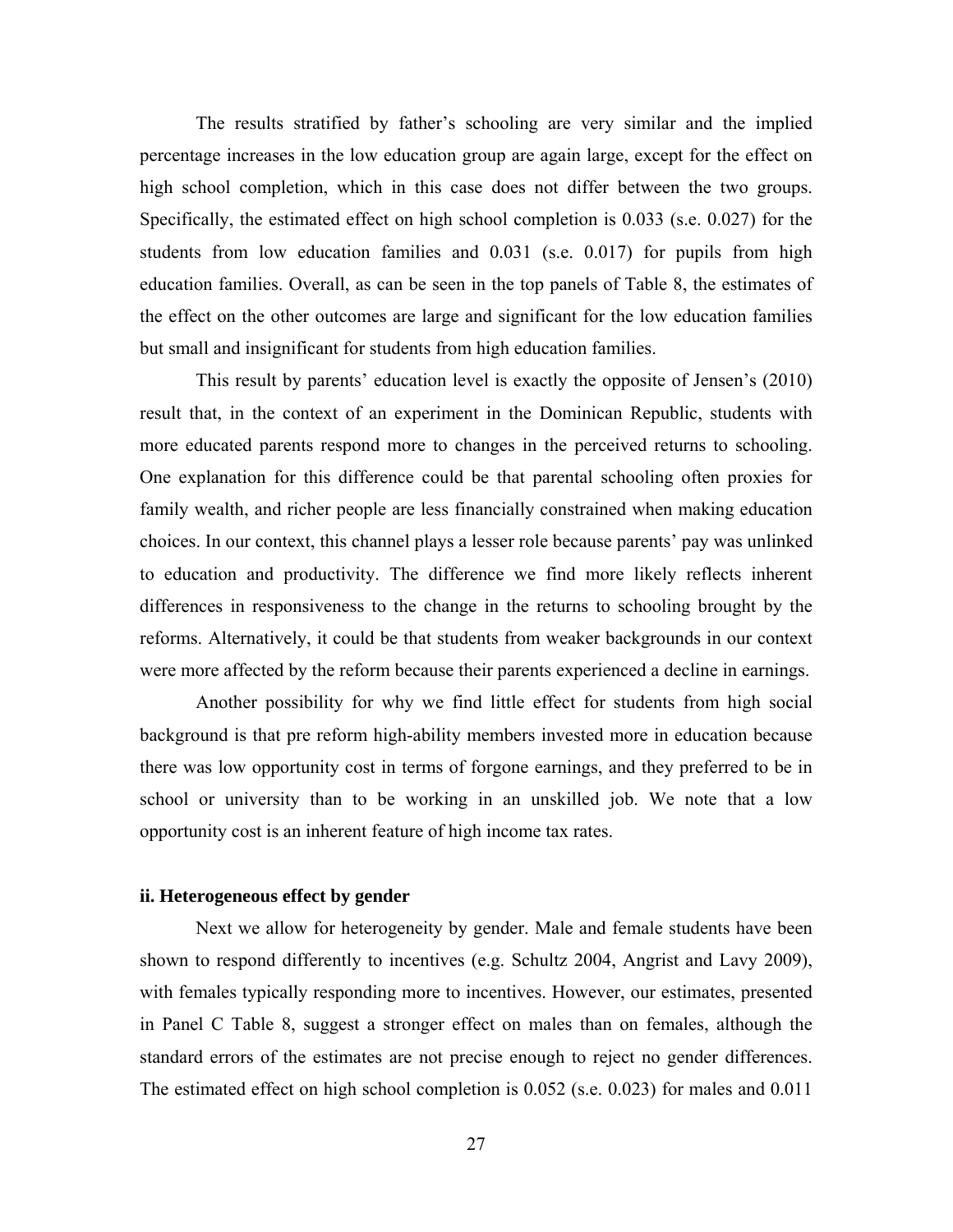The results stratified by father's schooling are very similar and the implied percentage increases in the low education group are again large, except for the effect on high school completion, which in this case does not differ between the two groups. Specifically, the estimated effect on high school completion is 0.033 (s.e. 0.027) for the students from low education families and 0.031 (s.e. 0.017) for pupils from high education families. Overall, as can be seen in the top panels of Table 8, the estimates of the effect on the other outcomes are large and significant for the low education families but small and insignificant for students from high education families.

This result by parents' education level is exactly the opposite of Jensen's (2010) result that, in the context of an experiment in the Dominican Republic, students with more educated parents respond more to changes in the perceived returns to schooling. One explanation for this difference could be that parental schooling often proxies for family wealth, and richer people are less financially constrained when making education choices. In our context, this channel plays a lesser role because parents' pay was unlinked to education and productivity. The difference we find more likely reflects inherent differences in responsiveness to the change in the returns to schooling brought by the reforms. Alternatively, it could be that students from weaker backgrounds in our context were more affected by the reform because their parents experienced a decline in earnings.

Another possibility for why we find little effect for students from high social background is that pre reform high-ability members invested more in education because there was low opportunity cost in terms of forgone earnings, and they preferred to be in school or university than to be working in an unskilled job. We note that a low opportunity cost is an inherent feature of high income tax rates.

## **ii. Heterogeneous effect by gender**

Next we allow for heterogeneity by gender. Male and female students have been shown to respond differently to incentives (e.g. Schultz 2004, Angrist and Lavy 2009), with females typically responding more to incentives. However, our estimates, presented in Panel C Table 8, suggest a stronger effect on males than on females, although the standard errors of the estimates are not precise enough to reject no gender differences. The estimated effect on high school completion is 0.052 (s.e. 0.023) for males and 0.011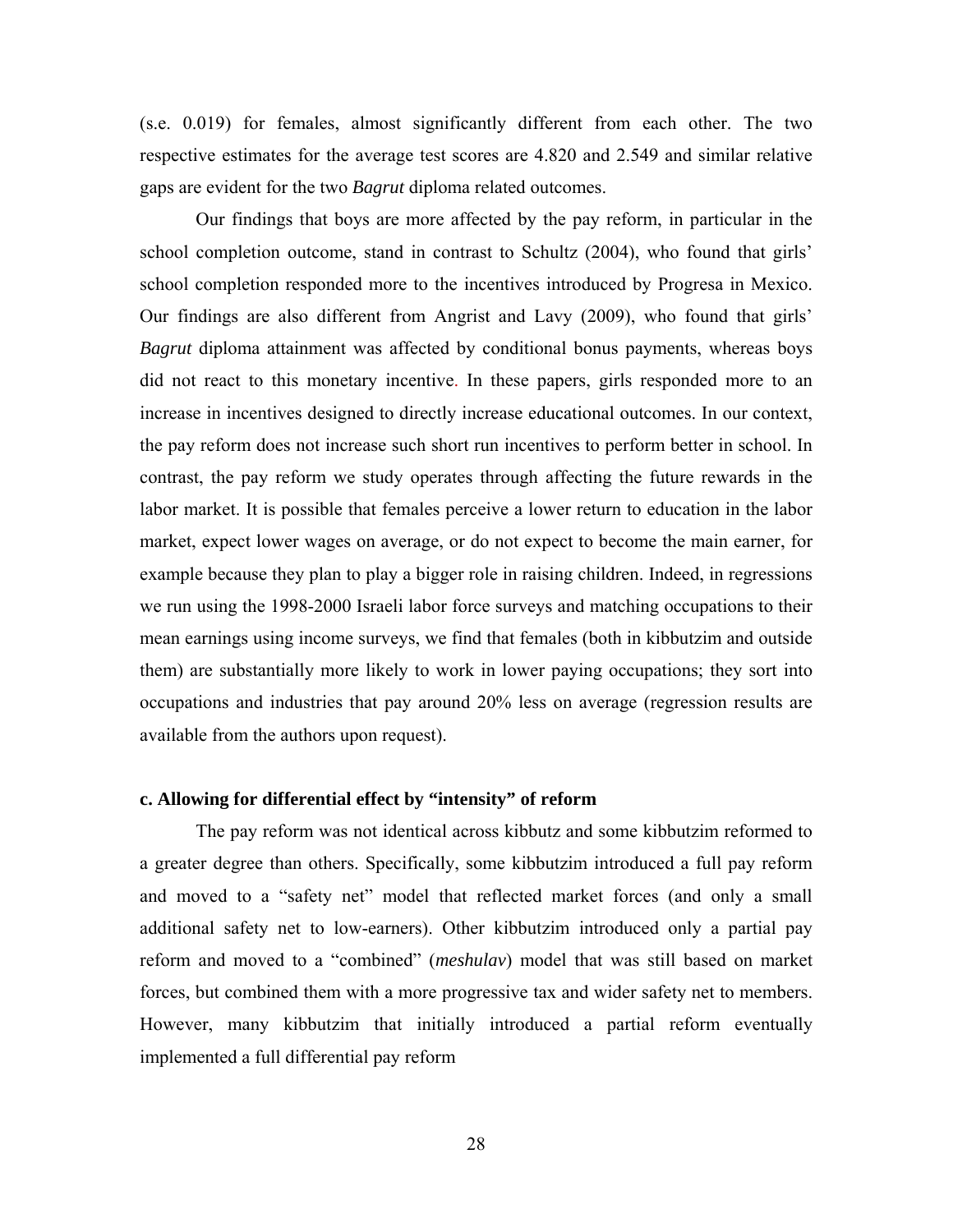(s.e. 0.019) for females, almost significantly different from each other. The two respective estimates for the average test scores are 4.820 and 2.549 and similar relative gaps are evident for the two *Bagrut* diploma related outcomes.

Our findings that boys are more affected by the pay reform, in particular in the school completion outcome, stand in contrast to Schultz (2004), who found that girls' school completion responded more to the incentives introduced by Progresa in Mexico. Our findings are also different from Angrist and Lavy (2009), who found that girls' *Bagrut* diploma attainment was affected by conditional bonus payments, whereas boys did not react to this monetary incentive. In these papers, girls responded more to an increase in incentives designed to directly increase educational outcomes. In our context, the pay reform does not increase such short run incentives to perform better in school. In contrast, the pay reform we study operates through affecting the future rewards in the labor market. It is possible that females perceive a lower return to education in the labor market, expect lower wages on average, or do not expect to become the main earner, for example because they plan to play a bigger role in raising children. Indeed, in regressions we run using the 1998-2000 Israeli labor force surveys and matching occupations to their mean earnings using income surveys, we find that females (both in kibbutzim and outside them) are substantially more likely to work in lower paying occupations; they sort into occupations and industries that pay around 20% less on average (regression results are available from the authors upon request).

## **c. Allowing for differential effect by "intensity" of reform**

The pay reform was not identical across kibbutz and some kibbutzim reformed to a greater degree than others. Specifically, some kibbutzim introduced a full pay reform and moved to a "safety net" model that reflected market forces (and only a small additional safety net to low-earners). Other kibbutzim introduced only a partial pay reform and moved to a "combined" (*meshulav*) model that was still based on market forces, but combined them with a more progressive tax and wider safety net to members. However, many kibbutzim that initially introduced a partial reform eventually implemented a full differential pay reform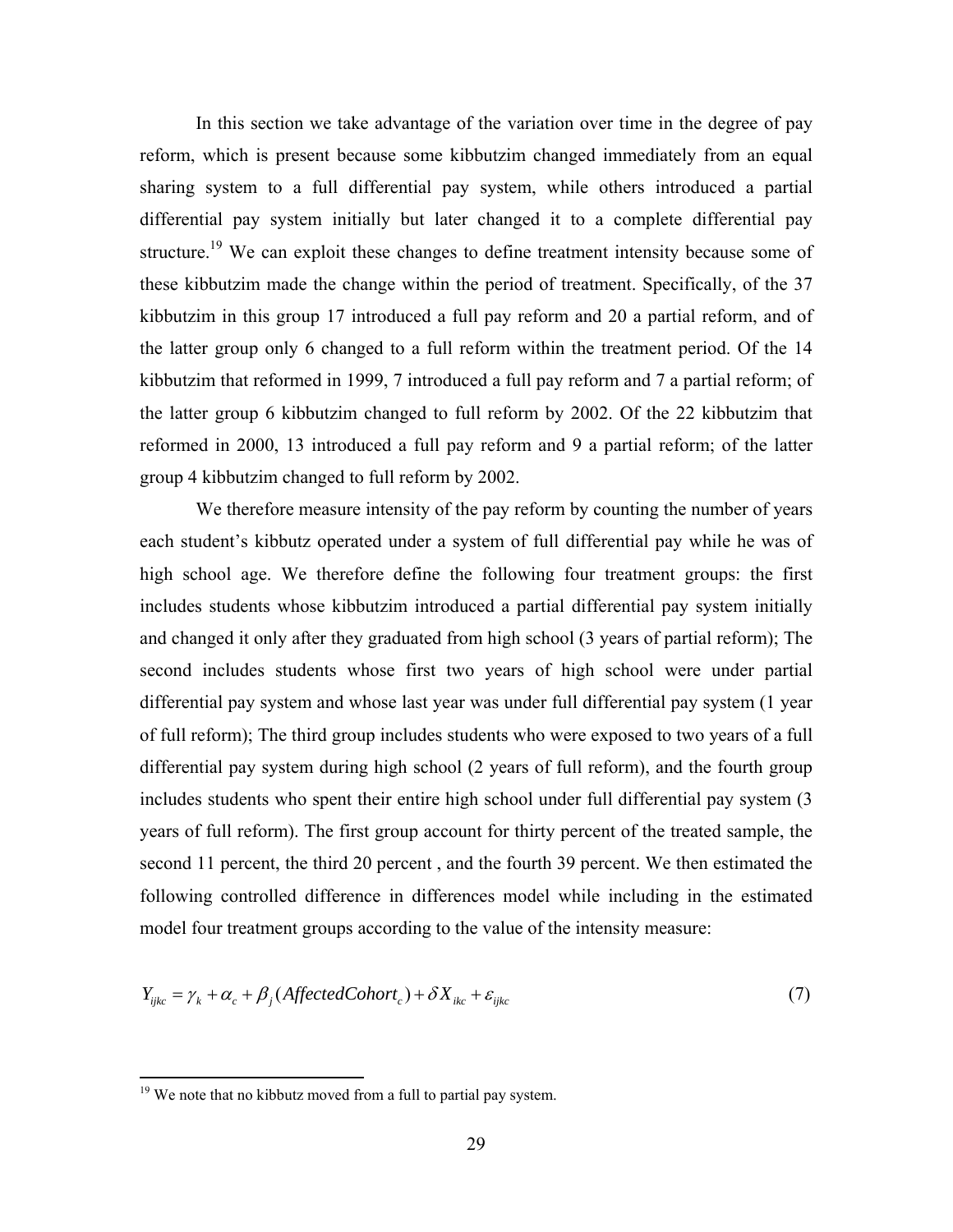In this section we take advantage of the variation over time in the degree of pay reform, which is present because some kibbutzim changed immediately from an equal sharing system to a full differential pay system, while others introduced a partial differential pay system initially but later changed it to a complete differential pay structure.<sup>19</sup> We can exploit these changes to define treatment intensity because some of these kibbutzim made the change within the period of treatment. Specifically, of the 37 kibbutzim in this group 17 introduced a full pay reform and 20 a partial reform, and of the latter group only 6 changed to a full reform within the treatment period. Of the 14 kibbutzim that reformed in 1999, 7 introduced a full pay reform and 7 a partial reform; of the latter group 6 kibbutzim changed to full reform by 2002. Of the 22 kibbutzim that reformed in 2000, 13 introduced a full pay reform and 9 a partial reform; of the latter group 4 kibbutzim changed to full reform by 2002.

We therefore measure intensity of the pay reform by counting the number of years each student's kibbutz operated under a system of full differential pay while he was of high school age. We therefore define the following four treatment groups: the first includes students whose kibbutzim introduced a partial differential pay system initially and changed it only after they graduated from high school (3 years of partial reform); The second includes students whose first two years of high school were under partial differential pay system and whose last year was under full differential pay system (1 year of full reform); The third group includes students who were exposed to two years of a full differential pay system during high school (2 years of full reform), and the fourth group includes students who spent their entire high school under full differential pay system (3 years of full reform). The first group account for thirty percent of the treated sample, the second 11 percent, the third 20 percent , and the fourth 39 percent. We then estimated the following controlled difference in differences model while including in the estimated model four treatment groups according to the value of the intensity measure:

$$
Y_{ijkc} = \gamma_k + \alpha_c + \beta_j (A \text{ffectedCohort}_c) + \delta X_{ikc} + \varepsilon_{ijkc}
$$
\n<sup>(7)</sup>

 $19$  We note that no kibbutz moved from a full to partial pay system.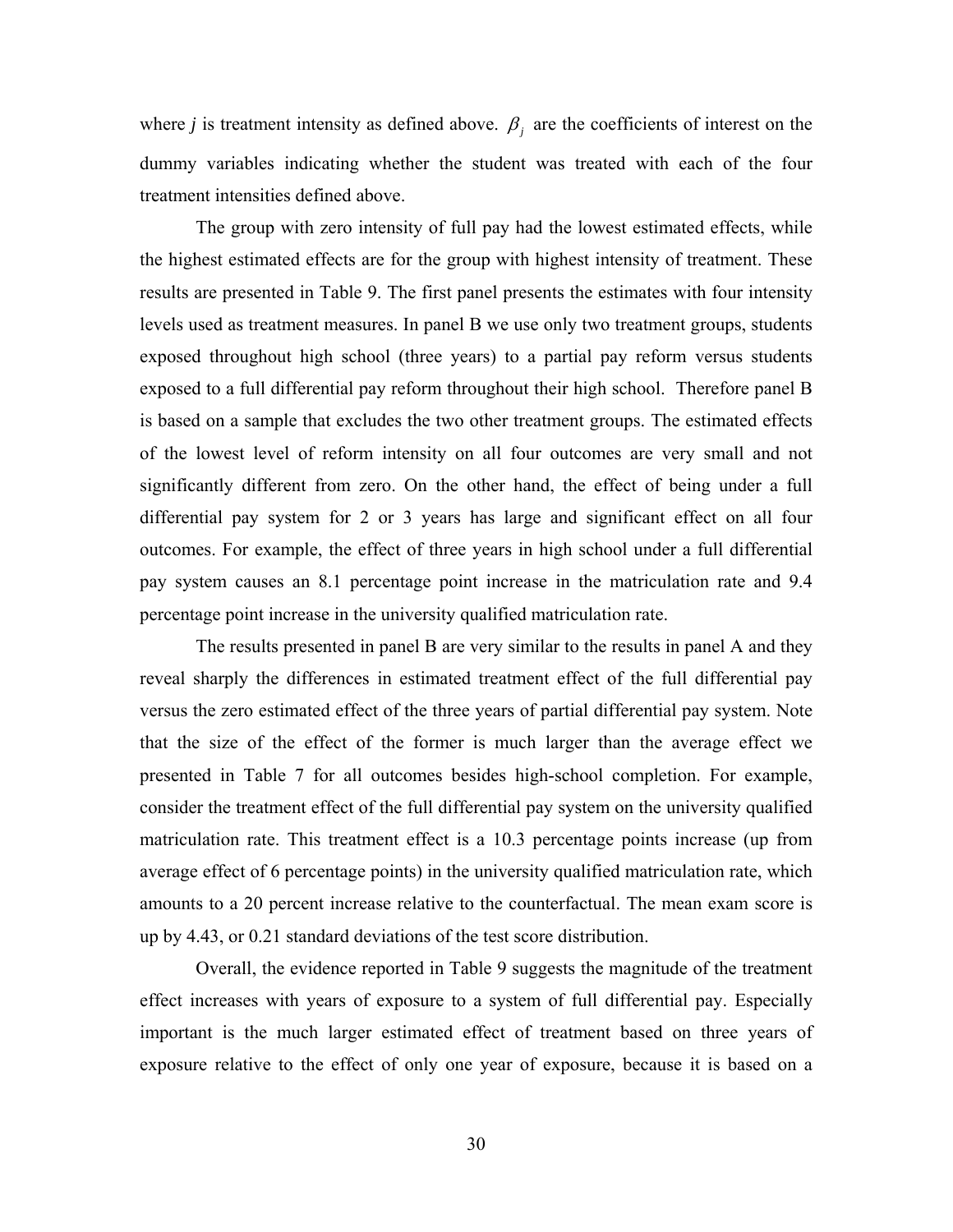where *j* is treatment intensity as defined above.  $\beta$  *i* are the coefficients of interest on the dummy variables indicating whether the student was treated with each of the four treatment intensities defined above.

The group with zero intensity of full pay had the lowest estimated effects, while the highest estimated effects are for the group with highest intensity of treatment. These results are presented in Table 9. The first panel presents the estimates with four intensity levels used as treatment measures. In panel B we use only two treatment groups, students exposed throughout high school (three years) to a partial pay reform versus students exposed to a full differential pay reform throughout their high school. Therefore panel B is based on a sample that excludes the two other treatment groups. The estimated effects of the lowest level of reform intensity on all four outcomes are very small and not significantly different from zero. On the other hand, the effect of being under a full differential pay system for 2 or 3 years has large and significant effect on all four outcomes. For example, the effect of three years in high school under a full differential pay system causes an 8.1 percentage point increase in the matriculation rate and 9.4 percentage point increase in the university qualified matriculation rate.

The results presented in panel B are very similar to the results in panel A and they reveal sharply the differences in estimated treatment effect of the full differential pay versus the zero estimated effect of the three years of partial differential pay system. Note that the size of the effect of the former is much larger than the average effect we presented in Table 7 for all outcomes besides high-school completion. For example, consider the treatment effect of the full differential pay system on the university qualified matriculation rate. This treatment effect is a 10.3 percentage points increase (up from average effect of 6 percentage points) in the university qualified matriculation rate, which amounts to a 20 percent increase relative to the counterfactual. The mean exam score is up by 4.43, or 0.21 standard deviations of the test score distribution.

Overall, the evidence reported in Table 9 suggests the magnitude of the treatment effect increases with years of exposure to a system of full differential pay. Especially important is the much larger estimated effect of treatment based on three years of exposure relative to the effect of only one year of exposure, because it is based on a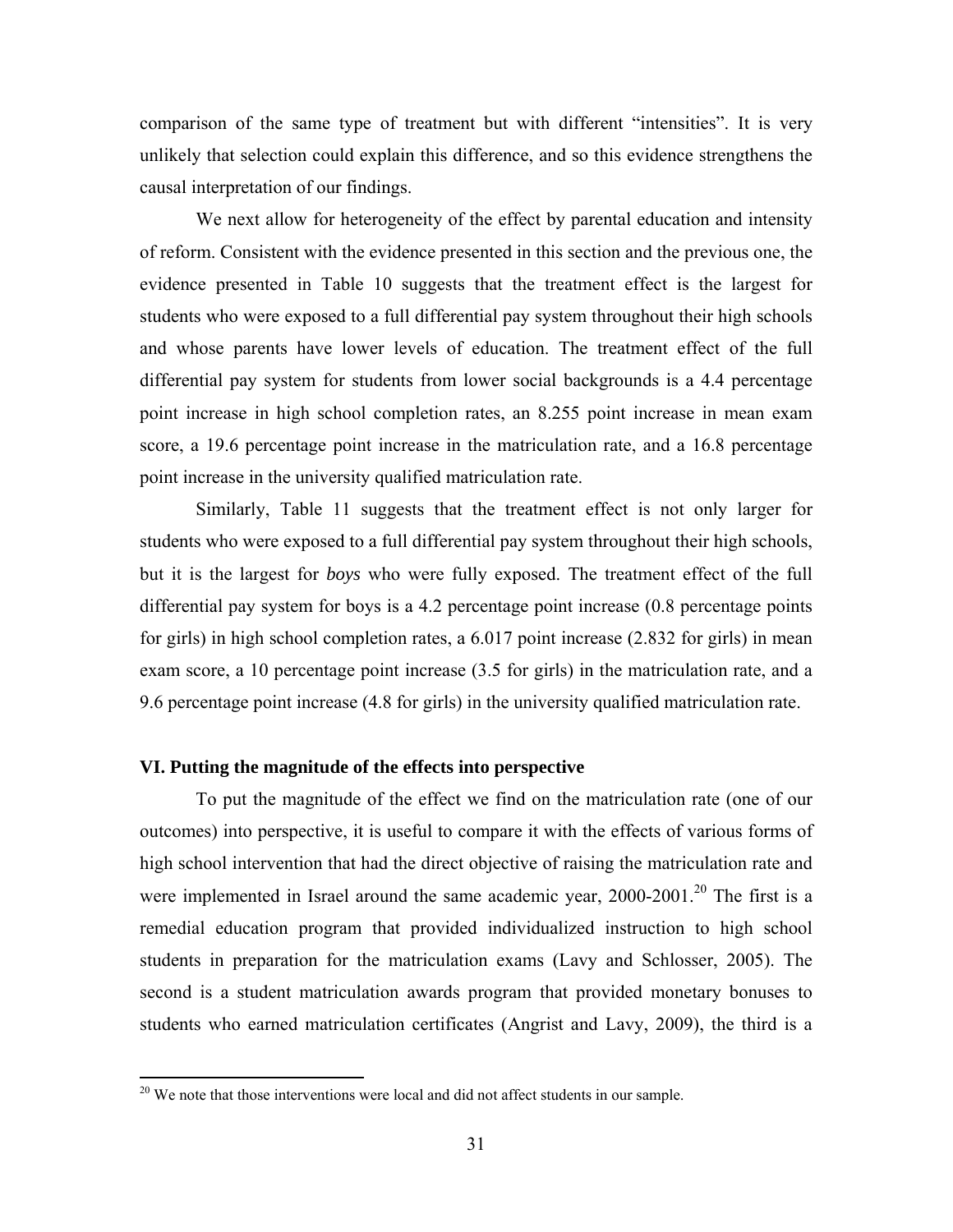comparison of the same type of treatment but with different "intensities". It is very unlikely that selection could explain this difference, and so this evidence strengthens the causal interpretation of our findings.

We next allow for heterogeneity of the effect by parental education and intensity of reform. Consistent with the evidence presented in this section and the previous one, the evidence presented in Table 10 suggests that the treatment effect is the largest for students who were exposed to a full differential pay system throughout their high schools and whose parents have lower levels of education. The treatment effect of the full differential pay system for students from lower social backgrounds is a 4.4 percentage point increase in high school completion rates, an 8.255 point increase in mean exam score, a 19.6 percentage point increase in the matriculation rate, and a 16.8 percentage point increase in the university qualified matriculation rate.

Similarly, Table 11 suggests that the treatment effect is not only larger for students who were exposed to a full differential pay system throughout their high schools, but it is the largest for *boys* who were fully exposed. The treatment effect of the full differential pay system for boys is a 4.2 percentage point increase (0.8 percentage points for girls) in high school completion rates, a 6.017 point increase (2.832 for girls) in mean exam score, a 10 percentage point increase (3.5 for girls) in the matriculation rate, and a 9.6 percentage point increase (4.8 for girls) in the university qualified matriculation rate.

## **VI. Putting the magnitude of the effects into perspective**

To put the magnitude of the effect we find on the matriculation rate (one of our outcomes) into perspective, it is useful to compare it with the effects of various forms of high school intervention that had the direct objective of raising the matriculation rate and were implemented in Israel around the same academic year,  $2000-2001$ <sup>20</sup> The first is a remedial education program that provided individualized instruction to high school students in preparation for the matriculation exams (Lavy and Schlosser, 2005). The second is a student matriculation awards program that provided monetary bonuses to students who earned matriculation certificates (Angrist and Lavy, 2009), the third is a

 $20$  We note that those interventions were local and did not affect students in our sample.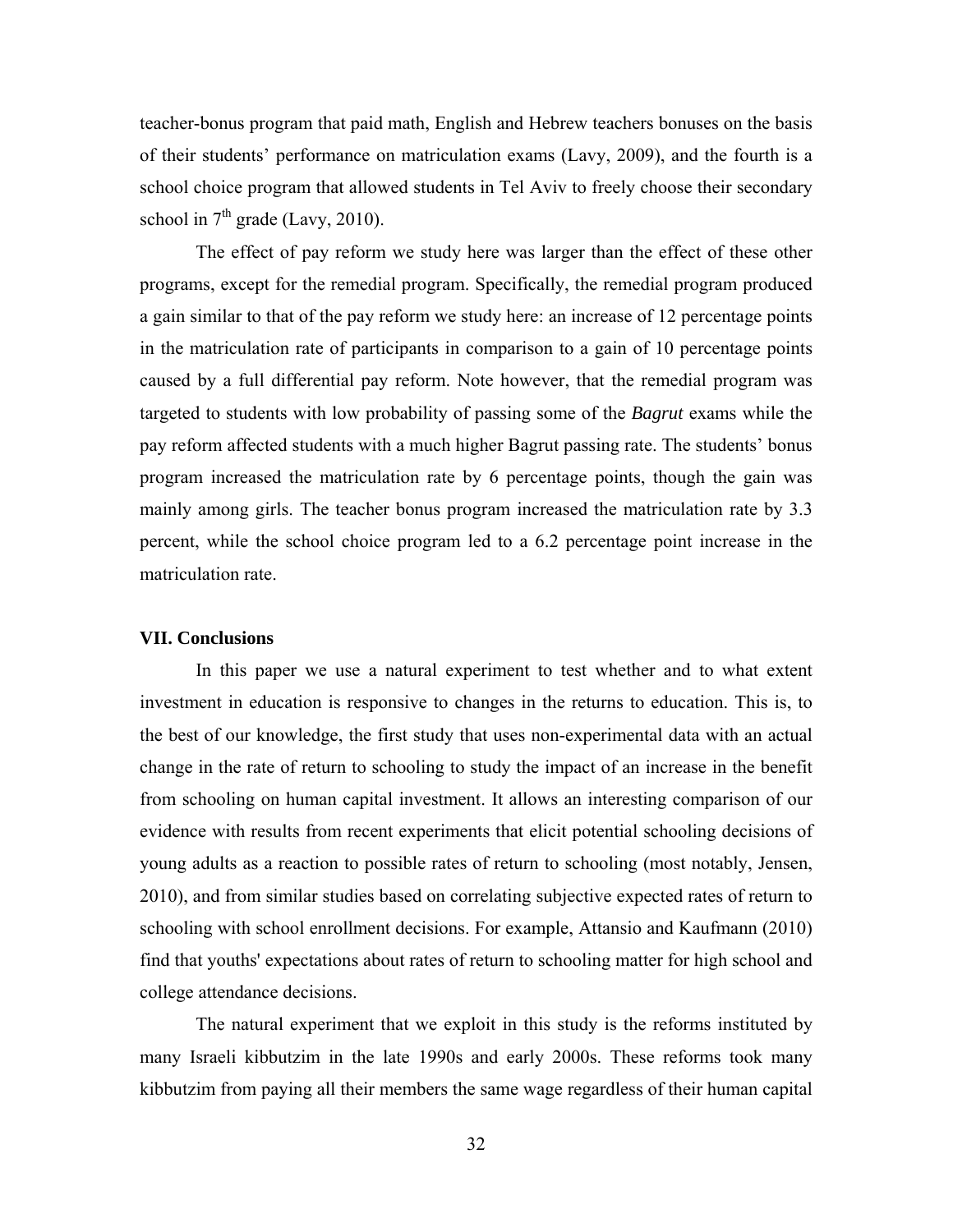teacher-bonus program that paid math, English and Hebrew teachers bonuses on the basis of their students' performance on matriculation exams (Lavy, 2009), and the fourth is a school choice program that allowed students in Tel Aviv to freely choose their secondary school in  $7<sup>th</sup>$  grade (Lavy, 2010).

The effect of pay reform we study here was larger than the effect of these other programs, except for the remedial program. Specifically, the remedial program produced a gain similar to that of the pay reform we study here: an increase of 12 percentage points in the matriculation rate of participants in comparison to a gain of 10 percentage points caused by a full differential pay reform. Note however, that the remedial program was targeted to students with low probability of passing some of the *Bagrut* exams while the pay reform affected students with a much higher Bagrut passing rate. The students' bonus program increased the matriculation rate by 6 percentage points, though the gain was mainly among girls. The teacher bonus program increased the matriculation rate by 3.3 percent, while the school choice program led to a 6.2 percentage point increase in the matriculation rate.

## **VII. Conclusions**

In this paper we use a natural experiment to test whether and to what extent investment in education is responsive to changes in the returns to education. This is, to the best of our knowledge, the first study that uses non-experimental data with an actual change in the rate of return to schooling to study the impact of an increase in the benefit from schooling on human capital investment. It allows an interesting comparison of our evidence with results from recent experiments that elicit potential schooling decisions of young adults as a reaction to possible rates of return to schooling (most notably, Jensen, 2010), and from similar studies based on correlating subjective expected rates of return to schooling with school enrollment decisions. For example, Attansio and Kaufmann (2010) find that youths' expectations about rates of return to schooling matter for high school and college attendance decisions.

The natural experiment that we exploit in this study is the reforms instituted by many Israeli kibbutzim in the late 1990s and early 2000s. These reforms took many kibbutzim from paying all their members the same wage regardless of their human capital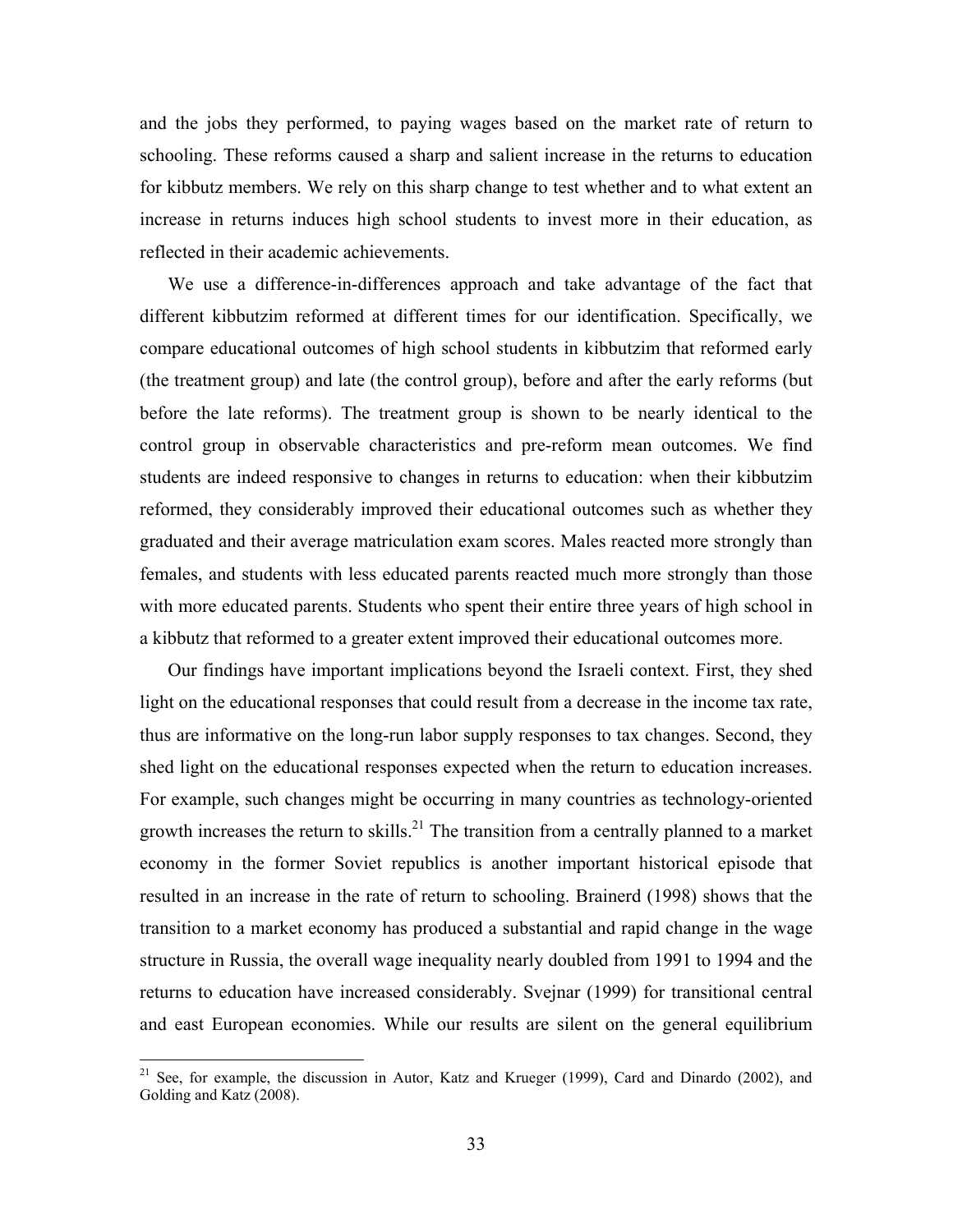and the jobs they performed, to paying wages based on the market rate of return to schooling. These reforms caused a sharp and salient increase in the returns to education for kibbutz members. We rely on this sharp change to test whether and to what extent an increase in returns induces high school students to invest more in their education, as reflected in their academic achievements.

We use a difference-in-differences approach and take advantage of the fact that different kibbutzim reformed at different times for our identification. Specifically, we compare educational outcomes of high school students in kibbutzim that reformed early (the treatment group) and late (the control group), before and after the early reforms (but before the late reforms). The treatment group is shown to be nearly identical to the control group in observable characteristics and pre-reform mean outcomes. We find students are indeed responsive to changes in returns to education: when their kibbutzim reformed, they considerably improved their educational outcomes such as whether they graduated and their average matriculation exam scores. Males reacted more strongly than females, and students with less educated parents reacted much more strongly than those with more educated parents. Students who spent their entire three years of high school in a kibbutz that reformed to a greater extent improved their educational outcomes more.

Our findings have important implications beyond the Israeli context. First, they shed light on the educational responses that could result from a decrease in the income tax rate, thus are informative on the long-run labor supply responses to tax changes. Second, they shed light on the educational responses expected when the return to education increases. For example, such changes might be occurring in many countries as technology-oriented growth increases the return to skills.<sup>21</sup> The transition from a centrally planned to a market economy in the former Soviet republics is another important historical episode that resulted in an increase in the rate of return to schooling. Brainerd (1998) shows that the transition to a market economy has produced a substantial and rapid change in the wage structure in Russia, the overall wage inequality nearly doubled from 1991 to 1994 and the returns to education have increased considerably. Svejnar (1999) for transitional central and east European economies. While our results are silent on the general equilibrium

<sup>&</sup>lt;sup>21</sup> See, for example, the discussion in Autor, Katz and Krueger (1999), Card and Dinardo (2002), and Golding and Katz (2008).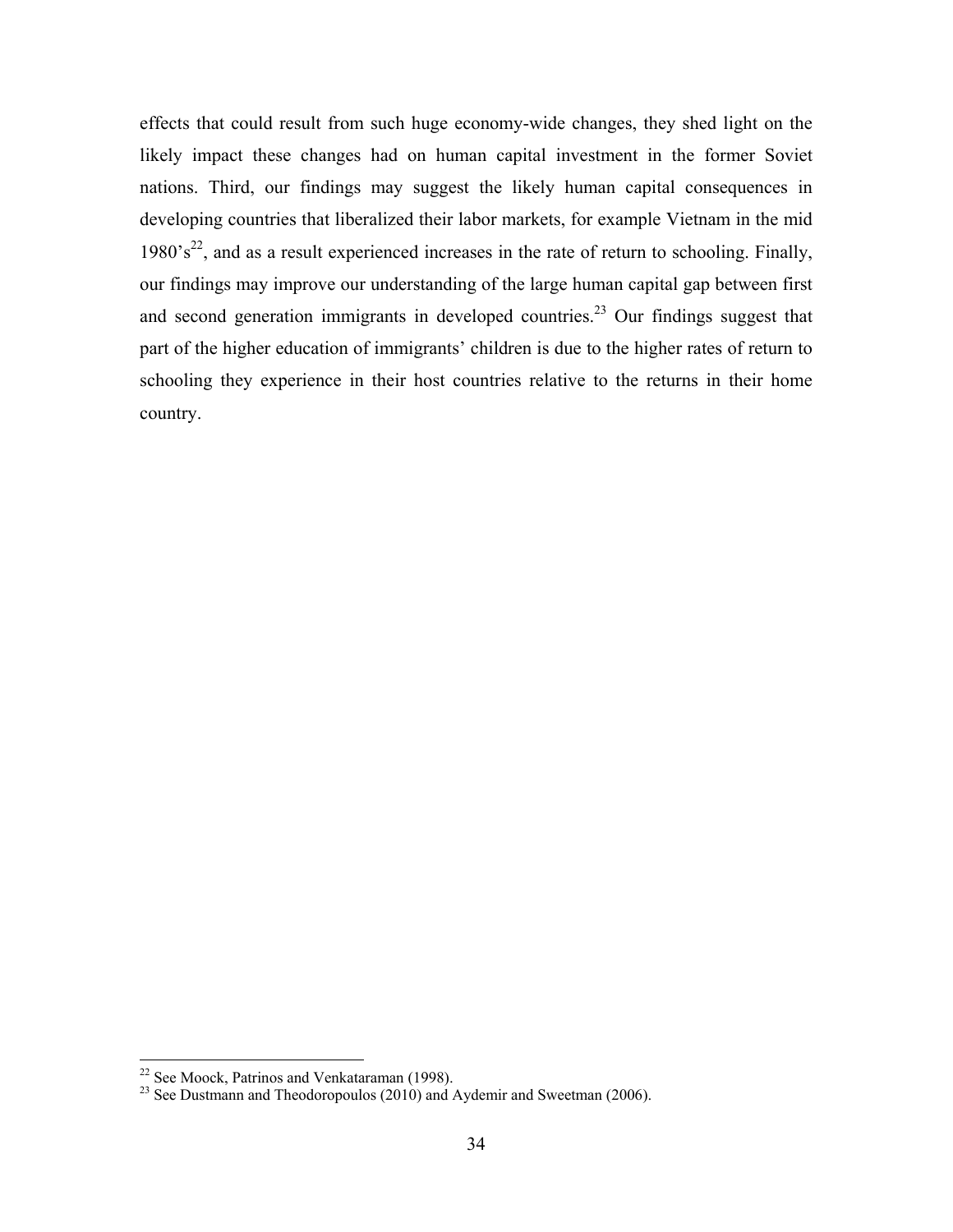effects that could result from such huge economy-wide changes, they shed light on the likely impact these changes had on human capital investment in the former Soviet nations. Third, our findings may suggest the likely human capital consequences in developing countries that liberalized their labor markets, for example Vietnam in the mid 1980's<sup>22</sup>, and as a result experienced increases in the rate of return to schooling. Finally, our findings may improve our understanding of the large human capital gap between first and second generation immigrants in developed countries.<sup>23</sup> Our findings suggest that part of the higher education of immigrants' children is due to the higher rates of return to schooling they experience in their host countries relative to the returns in their home country.

<sup>&</sup>lt;sup>22</sup> See Moock, Patrinos and Venkataraman (1998).

 $^{23}$  See Dustmann and Theodoropoulos (2010) and Aydemir and Sweetman (2006).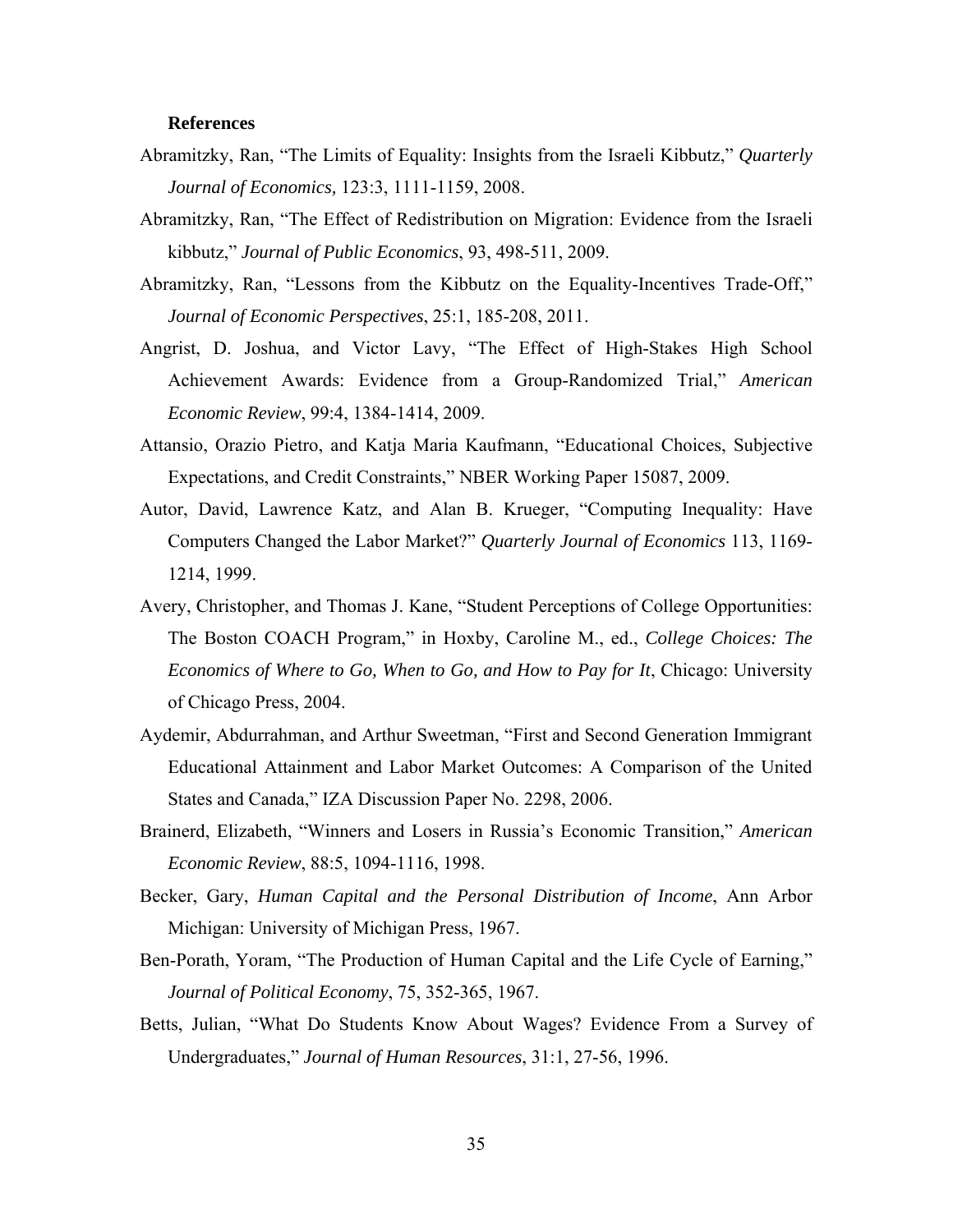### **References**

- Abramitzky, Ran, "The Limits of Equality: Insights from the Israeli Kibbutz," *Quarterly Journal of Economics,* 123:3, 1111-1159, 2008.
- Abramitzky, Ran, "The Effect of Redistribution on Migration: Evidence from the Israeli kibbutz," *Journal of Public Economics*, 93, 498-511, 2009.
- Abramitzky, Ran, "Lessons from the Kibbutz on the Equality-Incentives Trade-Off," *Journal of Economic Perspectives*, 25:1, 185-208, 2011.
- Angrist, D. Joshua, and Victor Lavy, "The Effect of High-Stakes High School Achievement Awards: Evidence from a Group-Randomized Trial," *American Economic Review*, 99:4, 1384-1414, 2009.
- Attansio, Orazio Pietro, and Katja Maria Kaufmann, "Educational Choices, Subjective Expectations, and Credit Constraints," NBER Working Paper 15087, 2009.
- Autor, David, Lawrence Katz, and Alan B. Krueger, "Computing Inequality: Have Computers Changed the Labor Market?" *Quarterly Journal of Economics* 113, 1169- 1214, 1999.
- Avery, Christopher, and Thomas J. Kane, "Student Perceptions of College Opportunities: The Boston COACH Program," in Hoxby, Caroline M., ed., *College Choices: The Economics of Where to Go, When to Go, and How to Pay for It*, Chicago: University of Chicago Press, 2004.
- Aydemir, Abdurrahman, and Arthur Sweetman, "First and Second Generation Immigrant Educational Attainment and Labor Market Outcomes: A Comparison of the United States and Canada," IZA Discussion Paper No. 2298, 2006.
- Brainerd, Elizabeth, "Winners and Losers in Russia's Economic Transition," *American Economic Review*, 88:5, 1094-1116, 1998.
- Becker, Gary, *Human Capital and the Personal Distribution of Income*, Ann Arbor Michigan: University of Michigan Press, 1967.
- Ben-Porath, Yoram, "The Production of Human Capital and the Life Cycle of Earning," *Journal of Political Economy*, 75, 352-365, 1967.
- Betts, Julian, "What Do Students Know About Wages? Evidence From a Survey of Undergraduates," *Journal of Human Resources*, 31:1, 27-56, 1996.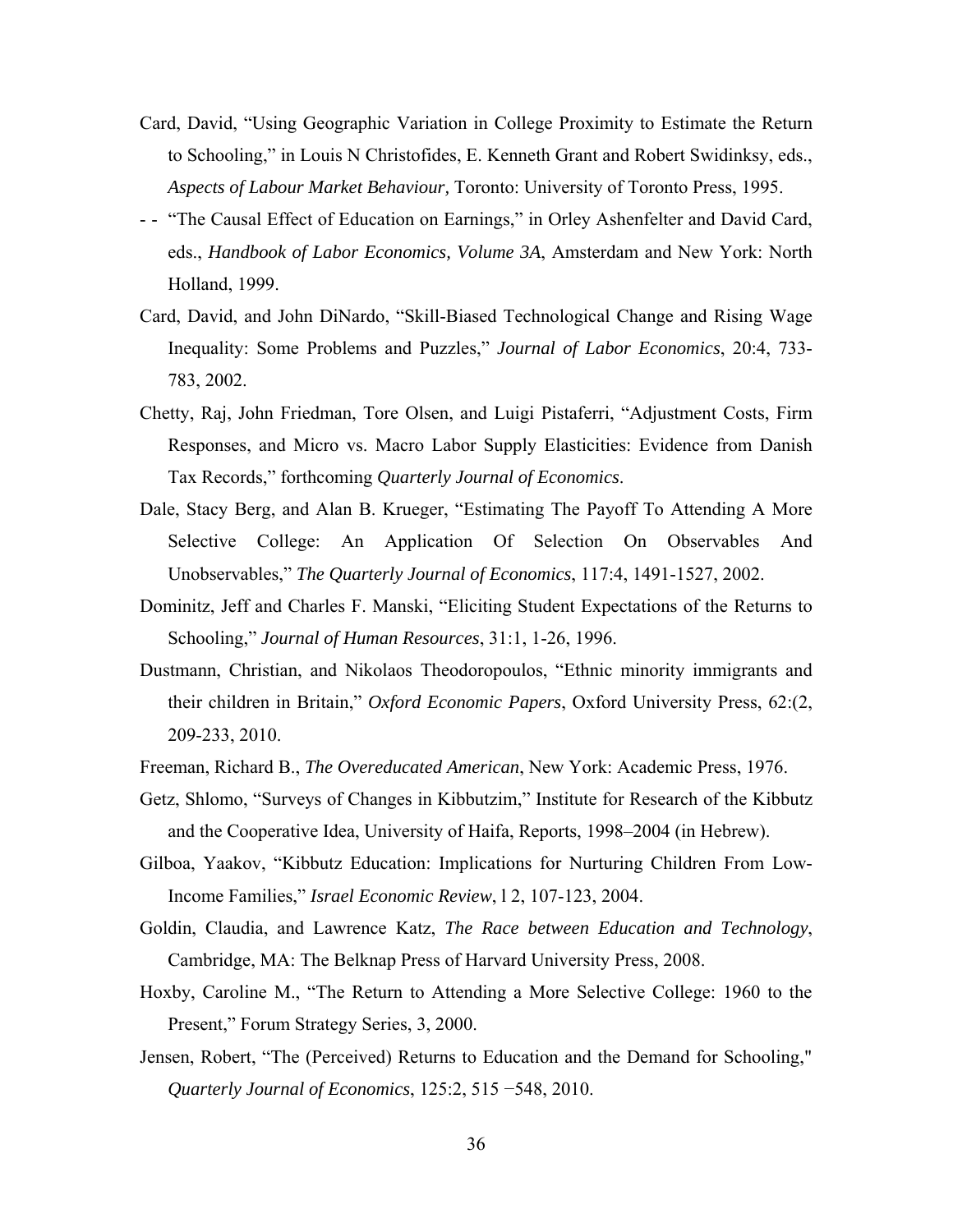- Card, David, "Using Geographic Variation in College Proximity to Estimate the Return to Schooling," in Louis N Christofides, E. Kenneth Grant and Robert Swidinksy, eds., *Aspects of Labour Market Behaviour,* Toronto: University of Toronto Press, 1995.
- - "The Causal Effect of Education on Earnings," in Orley Ashenfelter and David Card, eds., *Handbook of Labor Economics, Volume 3A*, Amsterdam and New York: North Holland, 1999.
- Card, David, and John DiNardo, "Skill-Biased Technological Change and Rising Wage Inequality: Some Problems and Puzzles," *Journal of Labor Economics*, 20:4, 733- 783, 2002.
- Chetty, Raj, John Friedman, Tore Olsen, and Luigi Pistaferri, "Adjustment Costs, Firm Responses, and Micro vs. Macro Labor Supply Elasticities: Evidence from Danish Tax Records," forthcoming *Quarterly Journal of Economics*.
- Dale, Stacy Berg, and Alan B. Krueger, "Estimating The Payoff To Attending A More Selective College: An Application Of Selection On Observables And Unobservables," *The Quarterly Journal of Economics*, 117:4, 1491-1527, 2002.
- Dominitz, Jeff and Charles F. Manski, "Eliciting Student Expectations of the Returns to Schooling," *Journal of Human Resources*, 31:1, 1-26, 1996.
- Dustmann, Christian, and Nikolaos Theodoropoulos, "Ethnic minority immigrants and their children in Britain," *Oxford Economic Papers*, Oxford University Press, 62:(2, 209-233, 2010.
- Freeman, Richard B., *The Overeducated American*, New York: Academic Press, 1976.
- Getz, Shlomo, "Surveys of Changes in Kibbutzim," Institute for Research of the Kibbutz and the Cooperative Idea, University of Haifa, Reports, 1998–2004 (in Hebrew).
- Gilboa, Yaakov, "Kibbutz Education: Implications for Nurturing Children From Low-Income Families," *Israel Economic Review*, l 2, 107-123, 2004.
- Goldin, Claudia, and Lawrence Katz, *The Race between Education and Technology*, Cambridge, MA: The Belknap Press of Harvard University Press, 2008.
- Hoxby, Caroline M., "The Return to Attending a More Selective College: 1960 to the Present," Forum Strategy Series, 3, 2000.
- Jensen, Robert, "The (Perceived) Returns to Education and the Demand for Schooling," *Quarterly Journal of Economics*, 125:2, 515 −548, 2010.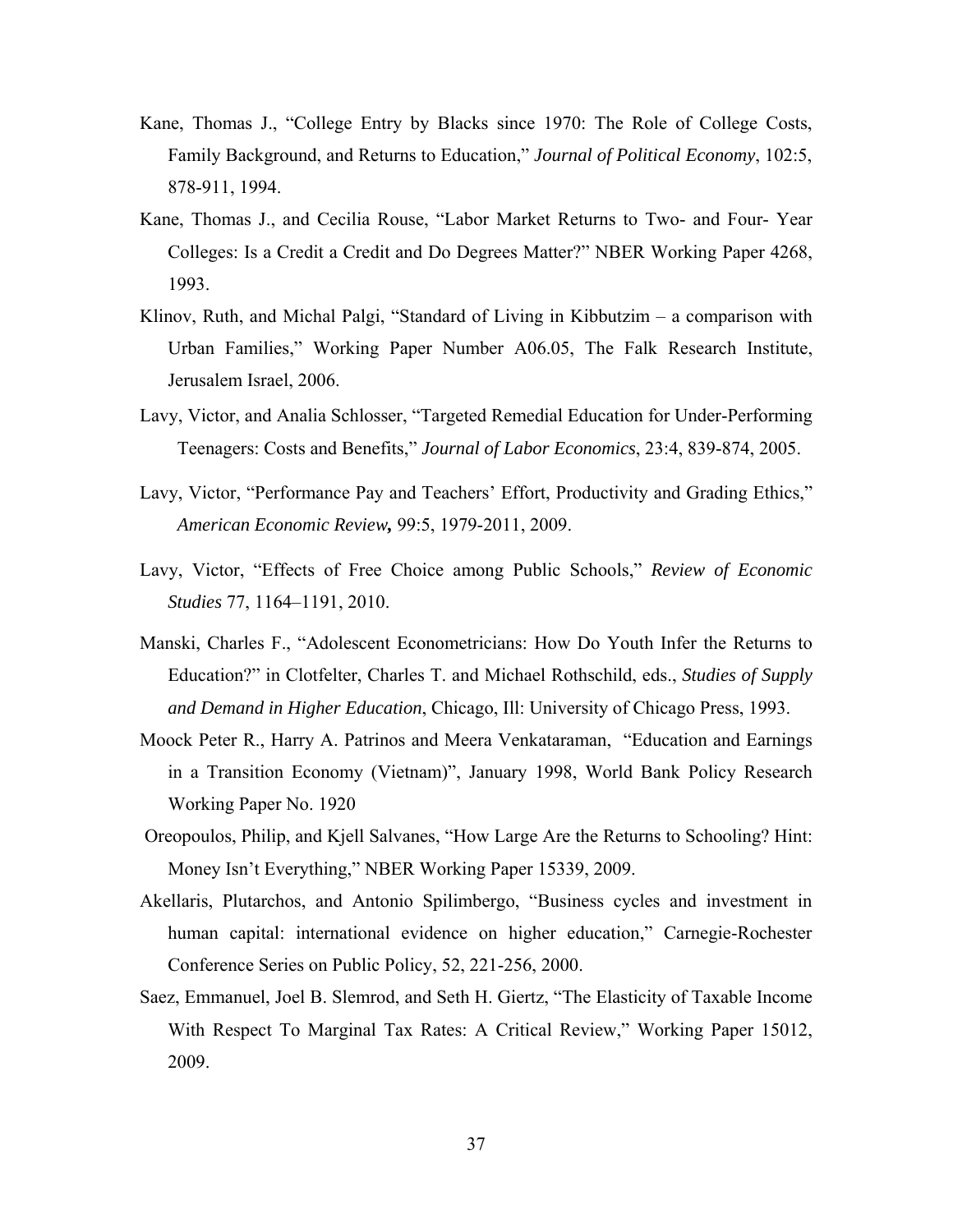- Kane, Thomas J., "College Entry by Blacks since 1970: The Role of College Costs, Family Background, and Returns to Education," *Journal of Political Economy*, 102:5, 878-911, 1994.
- Kane, Thomas J., and Cecilia Rouse, "Labor Market Returns to Two- and Four- Year Colleges: Is a Credit a Credit and Do Degrees Matter?" NBER Working Paper 4268, 1993.
- Klinov, Ruth, and Michal Palgi, "Standard of Living in Kibbutzim a comparison with Urban Families," Working Paper Number A06.05, The Falk Research Institute, Jerusalem Israel, 2006.
- Lavy, Victor, and Analia Schlosser, "Targeted Remedial Education for Under-Performing Teenagers: Costs and Benefits," *Journal of Labor Economics*, 23:4, 839-874, 2005.
- Lavy, Victor, "Performance Pay and Teachers' Effort, Productivity and Grading Ethics," *American Economic Review,* 99:5, 1979-2011, 2009.
- Lavy, Victor, "Effects of Free Choice among Public Schools," *Review of Economic Studies* 77, 1164–1191, 2010.
- Manski, Charles F., "Adolescent Econometricians: How Do Youth Infer the Returns to Education?" in Clotfelter, Charles T. and Michael Rothschild, eds., *Studies of Supply and Demand in Higher Education*, Chicago, Ill: University of Chicago Press, 1993.
- Moock Peter R., Harry A. Patrinos and Meera Venkataraman, "Education and Earnings in a Transition Economy (Vietnam)", January 1998, World Bank Policy Research Working Paper No. 1920
- Oreopoulos, Philip, and Kjell Salvanes, "How Large Are the Returns to Schooling? Hint: Money Isn't Everything," NBER Working Paper 15339, 2009.
- Akellaris, Plutarchos, and Antonio Spilimbergo, "Business cycles and investment in human capital: international evidence on higher education," Carnegie-Rochester Conference Series on Public Policy, 52, 221-256, 2000.
- Saez, Emmanuel, Joel B. Slemrod, and Seth H. Giertz, "The Elasticity of Taxable Income With Respect To Marginal Tax Rates: A Critical Review," Working Paper 15012, 2009.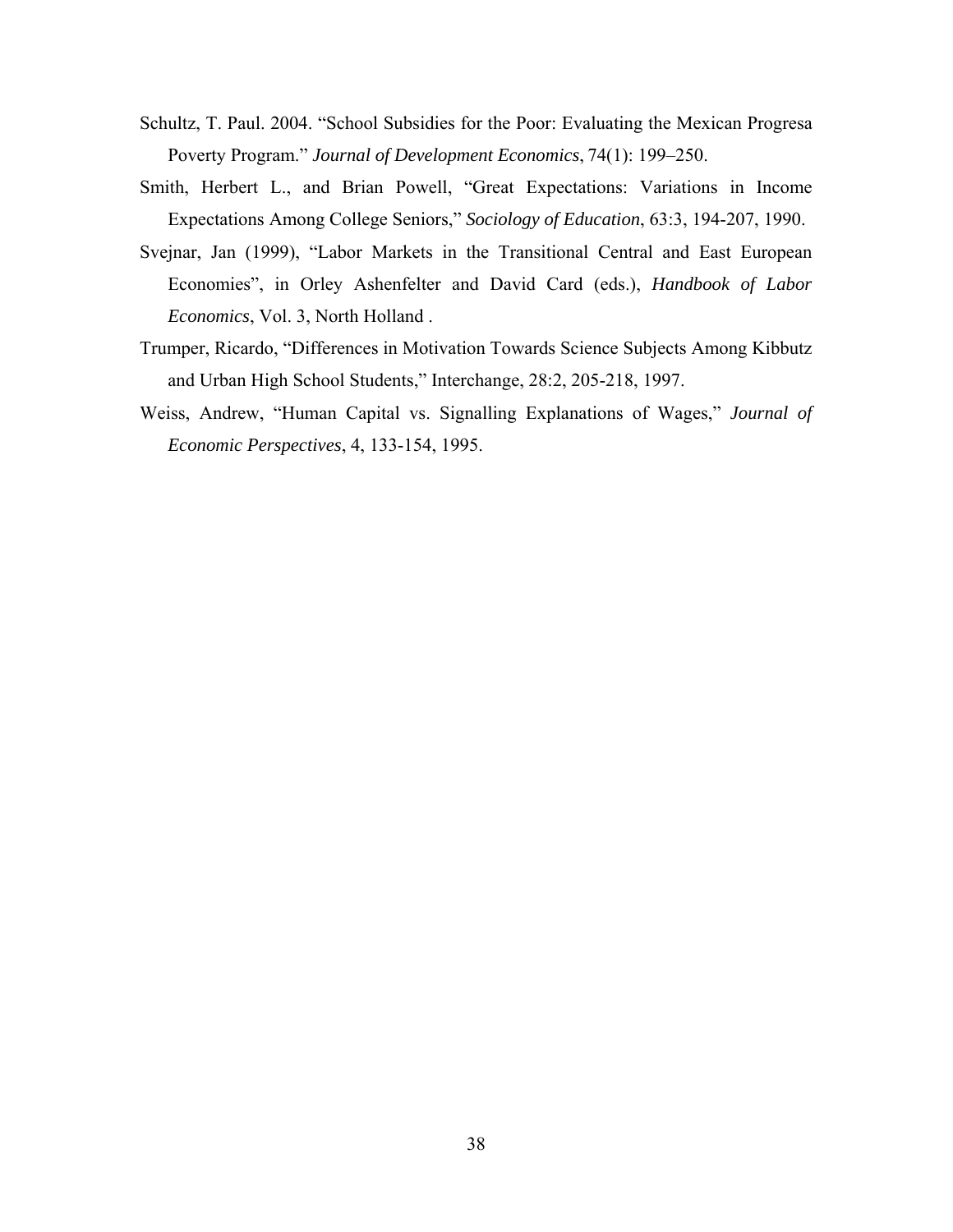- Schultz, T. Paul. 2004. "School Subsidies for the Poor: Evaluating the Mexican Progresa Poverty Program." *Journal of Development Economics*, 74(1): 199–250.
- Smith, Herbert L., and Brian Powell, "Great Expectations: Variations in Income Expectations Among College Seniors," *Sociology of Education*, 63:3, 194-207, 1990.
- Svejnar, Jan (1999), "Labor Markets in the Transitional Central and East European Economies", in Orley Ashenfelter and David Card (eds.), *Handbook of Labor Economics*, Vol. 3, North Holland .
- Trumper, Ricardo, "Differences in Motivation Towards Science Subjects Among Kibbutz and Urban High School Students," Interchange, 28:2, 205-218, 1997.
- Weiss, Andrew, "Human Capital vs. Signalling Explanations of Wages," *Journal of Economic Perspectives*, 4, 133-154, 1995.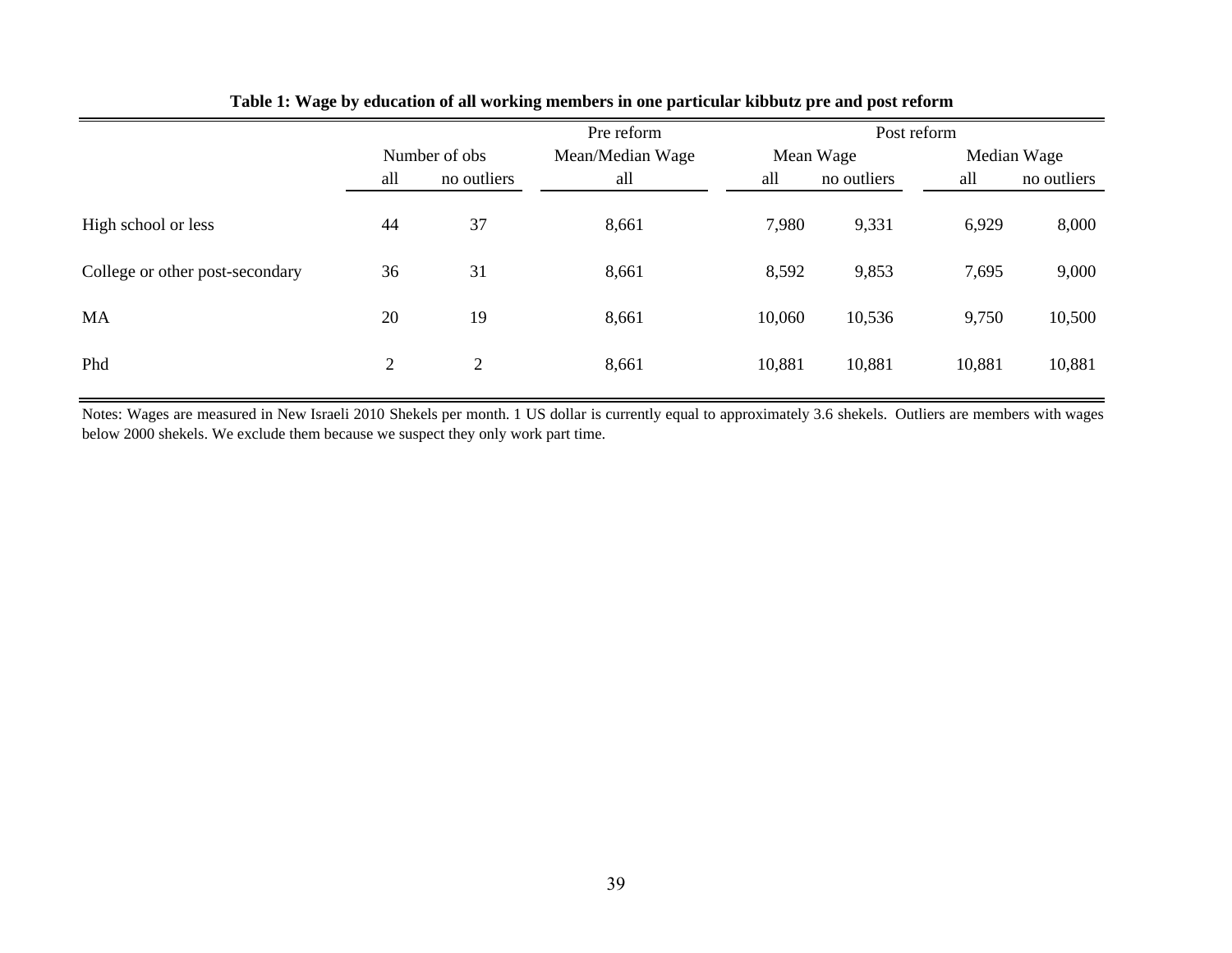|                                 |                |             | Pre reform       |        |             | Post reform |             |  |
|---------------------------------|----------------|-------------|------------------|--------|-------------|-------------|-------------|--|
|                                 | Number of obs  |             | Mean/Median Wage |        | Mean Wage   |             | Median Wage |  |
|                                 | all            | no outliers | all              | all    | no outliers | all         | no outliers |  |
| High school or less             | 44             | 37          | 8,661            | 7,980  | 9,331       | 6,929       | 8,000       |  |
| College or other post-secondary | 36             | 31          | 8,661            | 8,592  | 9,853       | 7,695       | 9,000       |  |
| <b>MA</b>                       | 20             | 19          | 8,661            | 10,060 | 10,536      | 9,750       | 10,500      |  |
| Phd                             | $\overline{2}$ | 2           | 8,661            | 10,881 | 10,881      | 10,881      | 10,881      |  |

## **Table 1: Wage by education of all working members in one particular kibbutz pre and post reform**

Notes: Wages are measured in New Israeli 2010 Shekels per month. 1 US dollar is currently equal to approximately 3.6 shekels. Outliers are members with wages below 2000 shekels. We exclude them because we suspect they only work part time.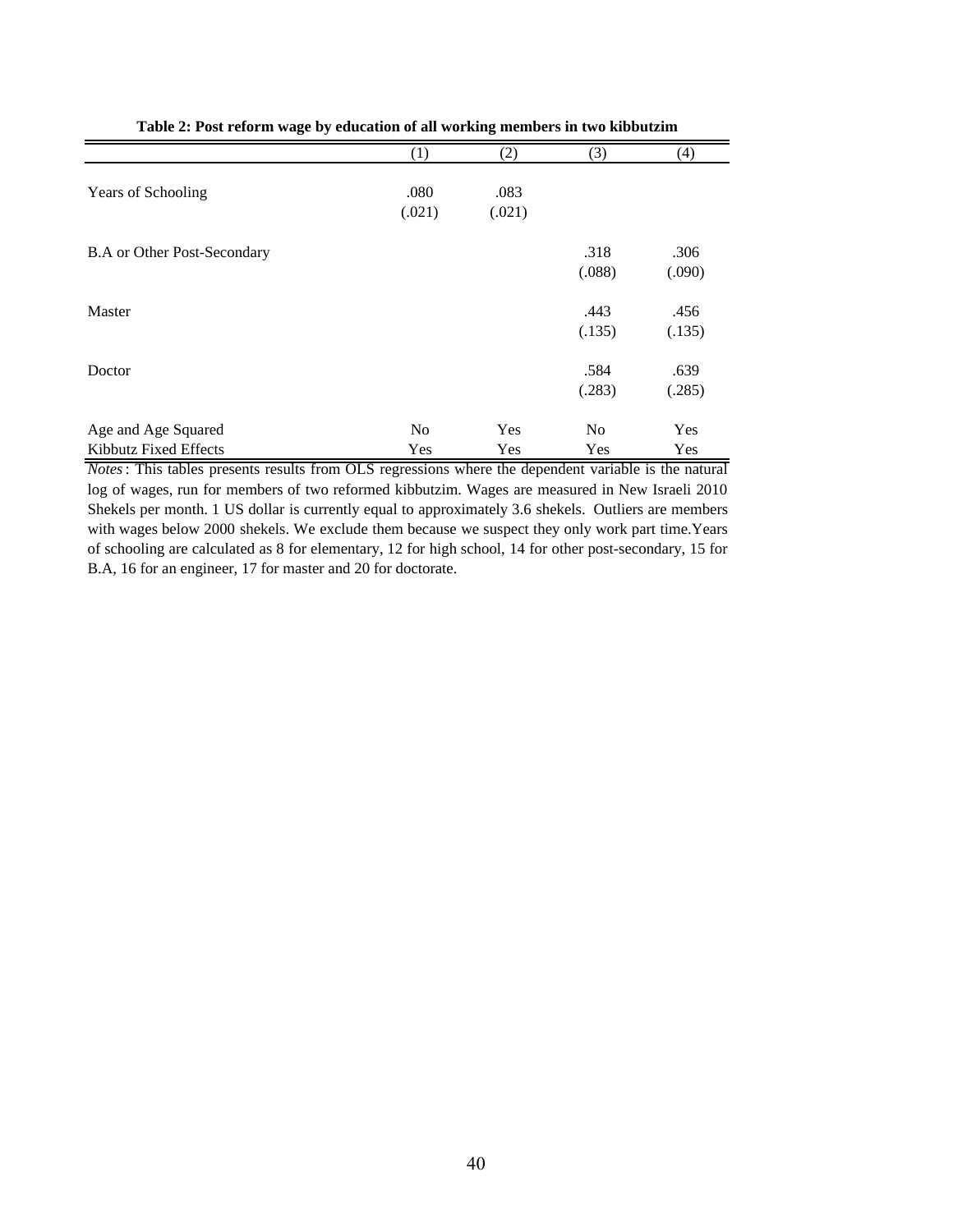|                                    | (1)            | (2)    | (3)            | (4)    |
|------------------------------------|----------------|--------|----------------|--------|
|                                    |                |        |                |        |
| Years of Schooling                 | .080           | .083   |                |        |
|                                    | (.021)         | (.021) |                |        |
| <b>B.A</b> or Other Post-Secondary |                |        | .318           | .306   |
|                                    |                |        | (.088)         | (.090) |
| Master                             |                |        | .443           | .456   |
|                                    |                |        | (.135)         | (.135) |
|                                    |                |        |                |        |
| Doctor                             |                |        | .584           | .639   |
|                                    |                |        | (.283)         | (.285) |
| Age and Age Squared                | N <sub>o</sub> | Yes    | N <sub>o</sub> | Yes    |
| Kibbutz Fixed Effects              | Yes            | Yes    | Yes            | Yes    |

**Table 2: Post reform wage by education of all working members in two kibbutzim**

*Notes*: This tables presents results from OLS regressions where the dependent variable is the natural log of wages, run for members of two reformed kibbutzim. Wages are measured in New Israeli 2010 Shekels per month. 1 US dollar is currently equal to approximately 3.6 shekels. Outliers are members with wages below 2000 shekels. We exclude them because we suspect they only work part time.Years of schooling are calculated as 8 for elementary, 12 for high school, 14 for other post-secondary, 15 for B.A, 16 for an engineer, 17 for master and 20 for doctorate.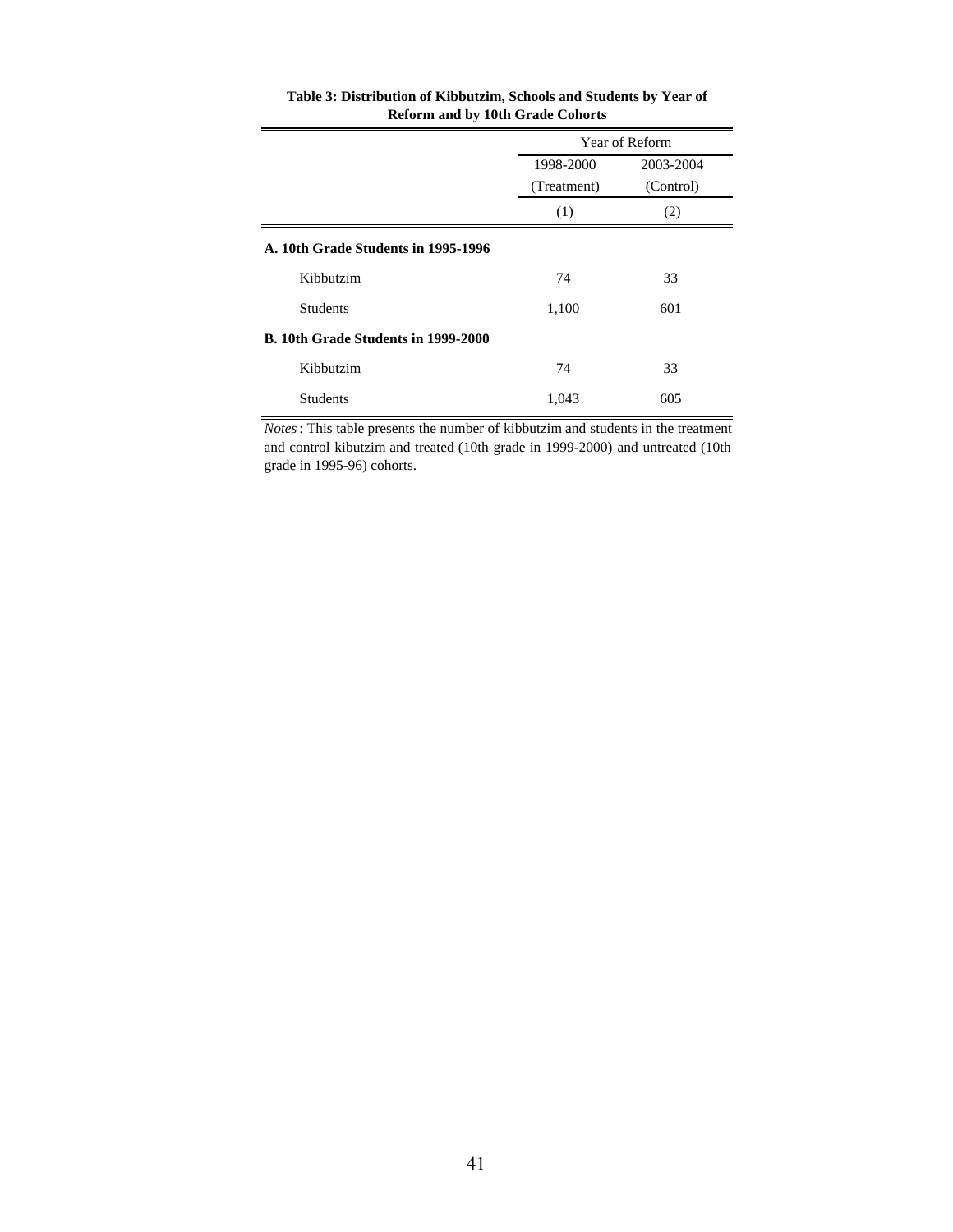|                                     | Year of Reform |           |  |
|-------------------------------------|----------------|-----------|--|
|                                     | 1998-2000      | 2003-2004 |  |
|                                     | (Treatment)    | (Control) |  |
|                                     | (1)            | (2)       |  |
| A. 10th Grade Students in 1995-1996 |                |           |  |
| Kibbutzim                           | 74             | 33        |  |
| <b>Students</b>                     | 1,100          | 601       |  |
| B. 10th Grade Students in 1999-2000 |                |           |  |
| Kibbutzim                           | 74             | 33        |  |
| <b>Students</b>                     | 1,043          | 605       |  |

| Table 3: Distribution of Kibbutzim, Schools and Students by Year of |  |
|---------------------------------------------------------------------|--|
| <b>Reform and by 10th Grade Cohorts</b>                             |  |

*Notes*: This table presents the number of kibbutzim and students in the treatment and control kibutzim and treated (10th grade in 1999-2000) and untreated (10th grade in 1995-96) cohorts.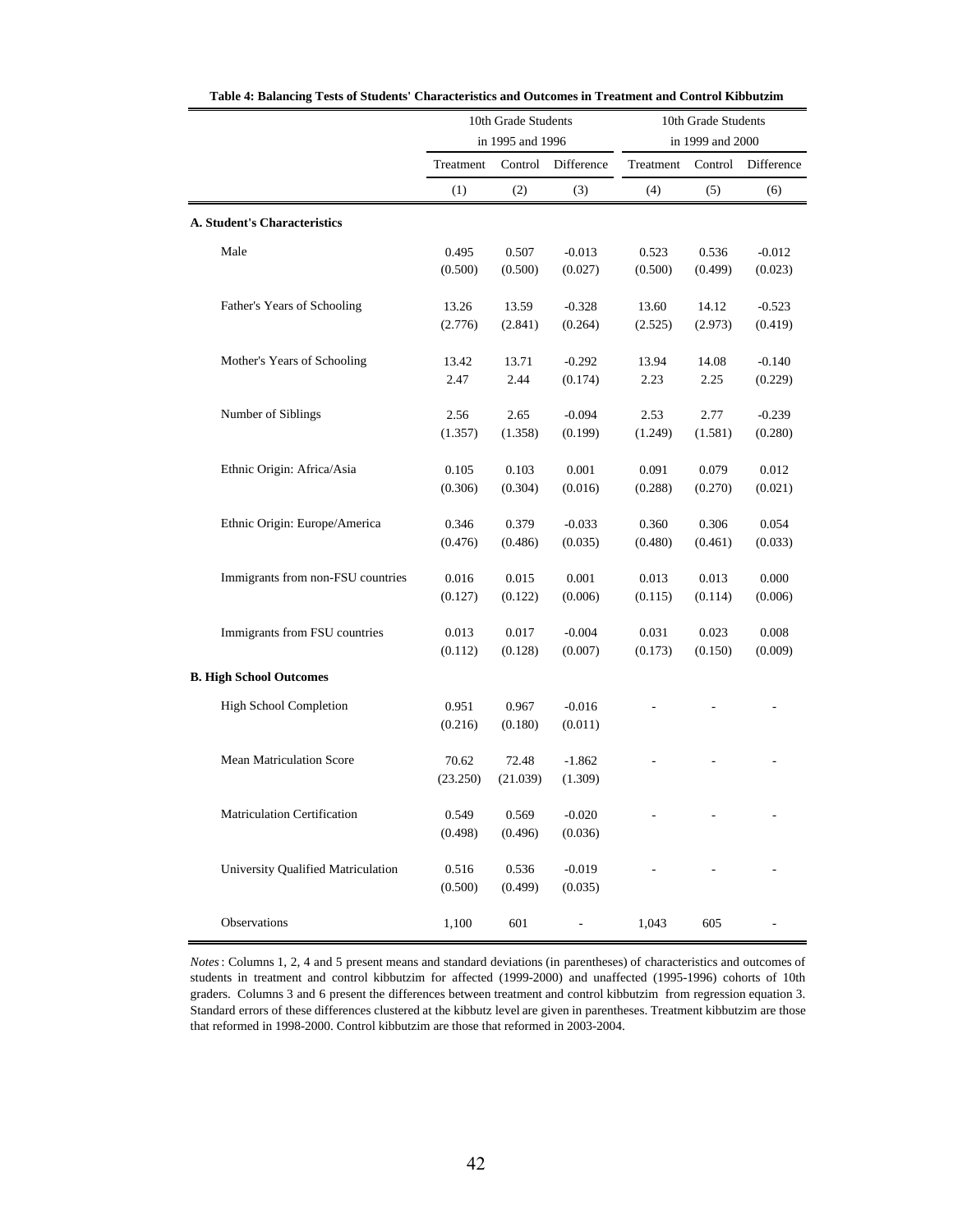|                                     |                   | 10th Grade Students |                     |                  | 10th Grade Students |                     |
|-------------------------------------|-------------------|---------------------|---------------------|------------------|---------------------|---------------------|
|                                     |                   | in 1995 and 1996    |                     |                  | in 1999 and 2000    |                     |
|                                     | Treatment         | Control             | Difference          | Treatment        | Control             | Difference          |
|                                     | (1)               | (2)                 | (3)                 | (4)              | (5)                 | (6)                 |
| <b>A. Student's Characteristics</b> |                   |                     |                     |                  |                     |                     |
| Male                                | 0.495<br>(0.500)  | 0.507<br>(0.500)    | $-0.013$<br>(0.027) | 0.523<br>(0.500) | 0.536<br>(0.499)    | $-0.012$<br>(0.023) |
| Father's Years of Schooling         | 13.26<br>(2.776)  | 13.59<br>(2.841)    | $-0.328$<br>(0.264) | 13.60<br>(2.525) | 14.12<br>(2.973)    | $-0.523$<br>(0.419) |
| Mother's Years of Schooling         | 13.42<br>2.47     | 13.71<br>2.44       | $-0.292$<br>(0.174) | 13.94<br>2.23    | 14.08<br>2.25       | $-0.140$<br>(0.229) |
| Number of Siblings                  | 2.56<br>(1.357)   | 2.65<br>(1.358)     | $-0.094$<br>(0.199) | 2.53<br>(1.249)  | 2.77<br>(1.581)     | $-0.239$<br>(0.280) |
| Ethnic Origin: Africa/Asia          | 0.105<br>(0.306)  | 0.103<br>(0.304)    | 0.001<br>(0.016)    | 0.091<br>(0.288) | 0.079<br>(0.270)    | 0.012<br>(0.021)    |
| Ethnic Origin: Europe/America       | 0.346<br>(0.476)  | 0.379<br>(0.486)    | $-0.033$<br>(0.035) | 0.360<br>(0.480) | 0.306<br>(0.461)    | 0.054<br>(0.033)    |
| Immigrants from non-FSU countries   | 0.016<br>(0.127)  | 0.015<br>(0.122)    | 0.001<br>(0.006)    | 0.013<br>(0.115) | 0.013<br>(0.114)    | 0.000<br>(0.006)    |
| Immigrants from FSU countries       | 0.013<br>(0.112)  | 0.017<br>(0.128)    | $-0.004$<br>(0.007) | 0.031<br>(0.173) | 0.023<br>(0.150)    | 0.008<br>(0.009)    |
| <b>B. High School Outcomes</b>      |                   |                     |                     |                  |                     |                     |
| High School Completion              | 0.951<br>(0.216)  | 0.967<br>(0.180)    | $-0.016$<br>(0.011) |                  |                     |                     |
| <b>Mean Matriculation Score</b>     | 70.62<br>(23.250) | 72.48<br>(21.039)   | $-1.862$<br>(1.309) |                  |                     |                     |
| Matriculation Certification         | 0.549<br>(0.498)  | 0.569<br>(0.496)    | $-0.020$<br>(0.036) |                  |                     |                     |
| University Qualified Matriculation  | 0.516<br>(0.500)  | 0.536<br>(0.499)    | $-0.019$<br>(0.035) |                  |                     |                     |
| Observations                        | 1,100             | 601                 | $\overline{a}$      | 1,043            | 605                 |                     |

| Table 4: Balancing Tests of Students' Characteristics and Outcomes in Treatment and Control Kibbutzim |  |  |
|-------------------------------------------------------------------------------------------------------|--|--|
|-------------------------------------------------------------------------------------------------------|--|--|

*Notes*: Columns 1, 2, 4 and 5 present means and standard deviations (in parentheses) of characteristics and outcomes of students in treatment and control kibbutzim for affected (1999-2000) and unaffected (1995-1996) cohorts of 10th graders. Columns 3 and 6 present the differences between treatment and control kibbutzim from regression equation 3. Standard errors of these differences clustered at the kibbutz level are given in parentheses. Treatment kibbutzim are those that reformed in 1998-2000. Control kibbutzim are those that reformed in 2003-2004.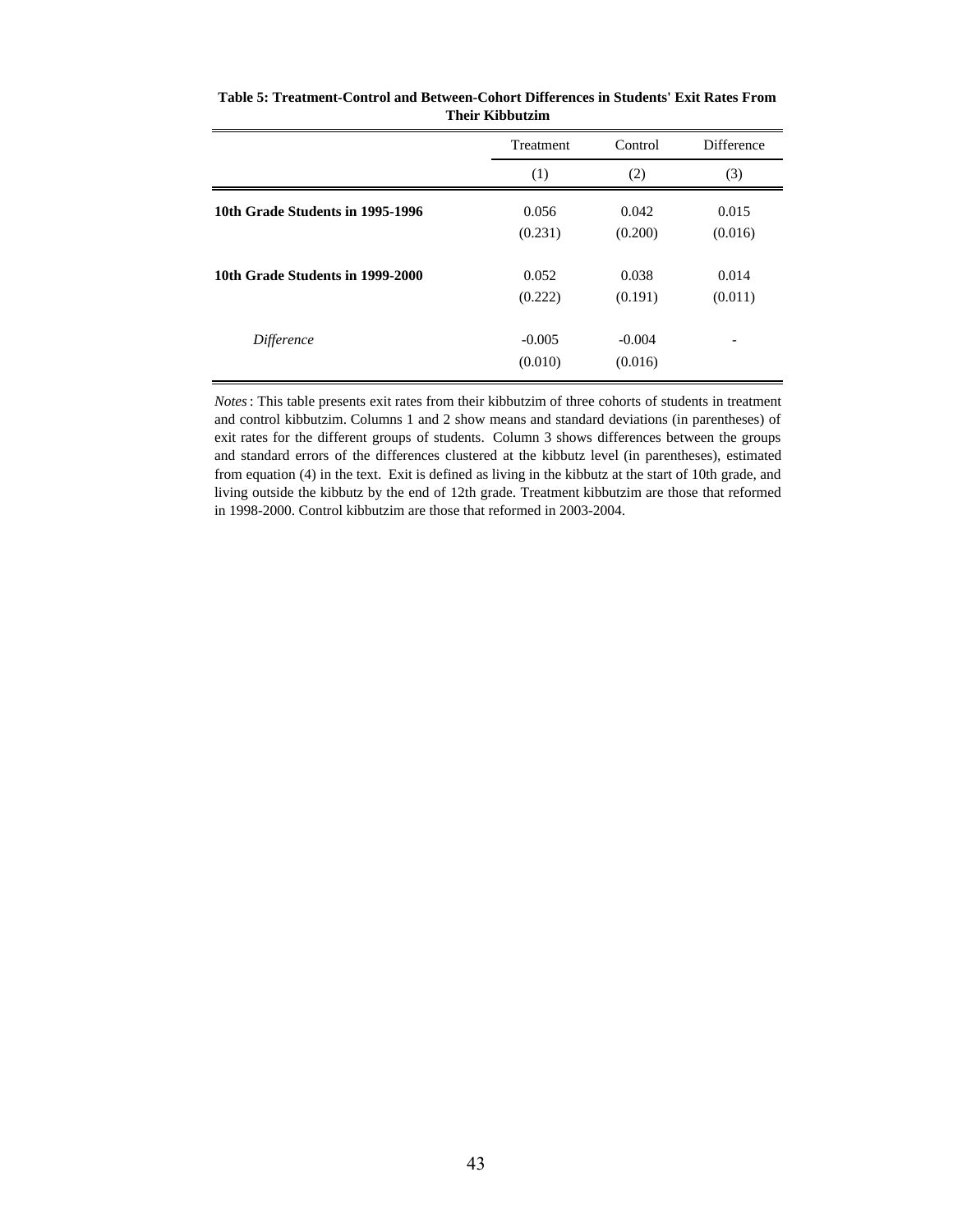|                                  | Treatment | Control  | Difference |
|----------------------------------|-----------|----------|------------|
|                                  | (1)       | (2)      | (3)        |
| 10th Grade Students in 1995-1996 | 0.056     | 0.042    | 0.015      |
|                                  | (0.231)   | (0.200)  | (0.016)    |
| 10th Grade Students in 1999-2000 | 0.052     | 0.038    | 0.014      |
|                                  | (0.222)   | (0.191)  | (0.011)    |
| Difference                       | $-0.005$  | $-0.004$ |            |
|                                  | (0.010)   | (0.016)  |            |

| Table 5: Treatment-Control and Between-Cohort Differences in Students' Exit Rates From |  |
|----------------------------------------------------------------------------------------|--|
| <b>Their Kibbutzim</b>                                                                 |  |

*Notes*: This table presents exit rates from their kibbutzim of three cohorts of students in treatment and control kibbutzim. Columns 1 and 2 show means and standard deviations (in parentheses) of exit rates for the different groups of students. Column 3 shows differences between the groups and standard errors of the differences clustered at the kibbutz level (in parentheses), estimated from equation (4) in the text. Exit is defined as living in the kibbutz at the start of 10th grade, and living outside the kibbutz by the end of 12th grade. Treatment kibbutzim are those that reformed in 1998-2000. Control kibbutzim are those that reformed in 2003-2004.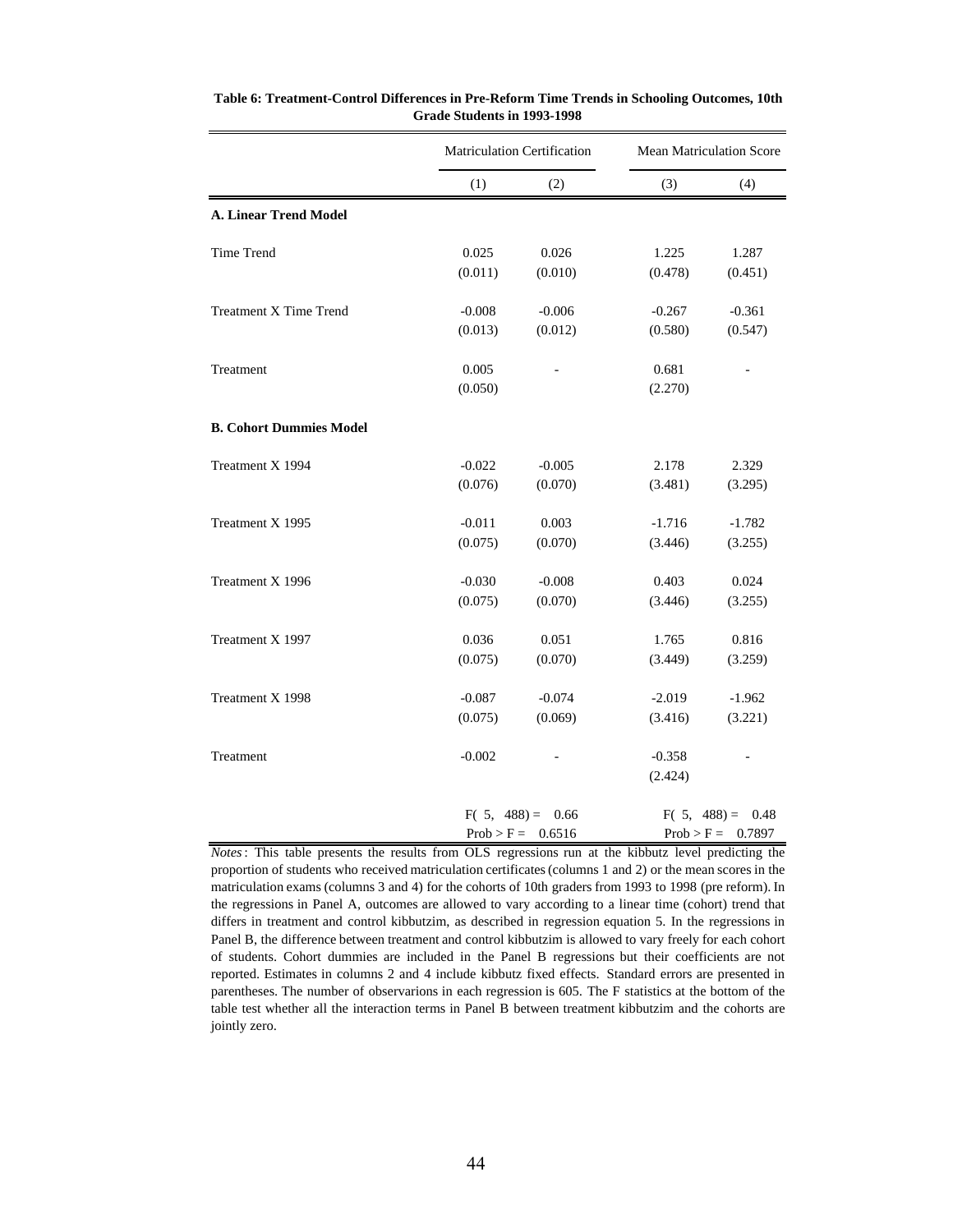|                                |               | <b>Matriculation Certification</b> |               | <b>Mean Matriculation Score</b> |
|--------------------------------|---------------|------------------------------------|---------------|---------------------------------|
|                                | (1)           | (2)                                | (3)           | (4)                             |
| <b>A. Linear Trend Model</b>   |               |                                    |               |                                 |
| Time Trend                     | 0.025         | 0.026                              | 1.225         | 1.287                           |
|                                | (0.011)       | (0.010)                            | (0.478)       | (0.451)                         |
| <b>Treatment X Time Trend</b>  | $-0.008$      | $-0.006$                           | $-0.267$      | $-0.361$                        |
|                                | (0.013)       | (0.012)                            | (0.580)       | (0.547)                         |
| Treatment                      | 0.005         |                                    | 0.681         |                                 |
|                                | (0.050)       |                                    | (2.270)       |                                 |
| <b>B. Cohort Dummies Model</b> |               |                                    |               |                                 |
| Treatment X 1994               | $-0.022$      | $-0.005$                           | 2.178         | 2.329                           |
|                                | (0.076)       | (0.070)                            | (3.481)       | (3.295)                         |
| Treatment X 1995               | $-0.011$      | 0.003                              | $-1.716$      | $-1.782$                        |
|                                | (0.075)       | (0.070)                            | (3.446)       | (3.255)                         |
| Treatment X 1996               | $-0.030$      | $-0.008$                           | 0.403         | 0.024                           |
|                                | (0.075)       | (0.070)                            | (3.446)       | (3.255)                         |
| Treatment X 1997               | 0.036         | 0.051                              | 1.765         | 0.816                           |
|                                | (0.075)       | (0.070)                            | (3.449)       | (3.259)                         |
| Treatment X 1998               | $-0.087$      | $-0.074$                           | $-2.019$      | $-1.962$                        |
|                                | (0.075)       | (0.069)                            | (3.416)       | (3.221)                         |
| Treatment                      | $-0.002$      |                                    | $-0.358$      |                                 |
|                                |               |                                    | (2.424)       |                                 |
|                                | $F(5, 488) =$ | 0.66                               | $F(5, 488) =$ | 0.48                            |
|                                | $Prob > F =$  | 0.6516                             | $Prob > F =$  | 0.7897                          |

| Table 6: Treatment-Control Differences in Pre-Reform Time Trends in Schooling Outcomes, 10th |
|----------------------------------------------------------------------------------------------|
| Grade Students in 1993-1998                                                                  |

*Notes*: This table presents the results from OLS regressions run at the kibbutz level predicting the proportion of students who received matriculation certificates (columns 1 and 2) or the mean scores in the matriculation exams (columns 3 and 4) for the cohorts of 10th graders from 1993 to 1998 (pre reform). In the regressions in Panel A, outcomes are allowed to vary according to a linear time (cohort) trend that differs in treatment and control kibbutzim, as described in regression equation 5. In the regressions in Panel B, the difference between treatment and control kibbutzim is allowed to vary freely for each cohort of students. Cohort dummies are included in the Panel B regressions but their coefficients are not reported. Estimates in columns 2 and 4 include kibbutz fixed effects. Standard errors are presented in parentheses. The number of observarions in each regression is 605. The F statistics at the bottom of the table test whether all the interaction terms in Panel B between treatment kibbutzim and the cohorts are jointly zero.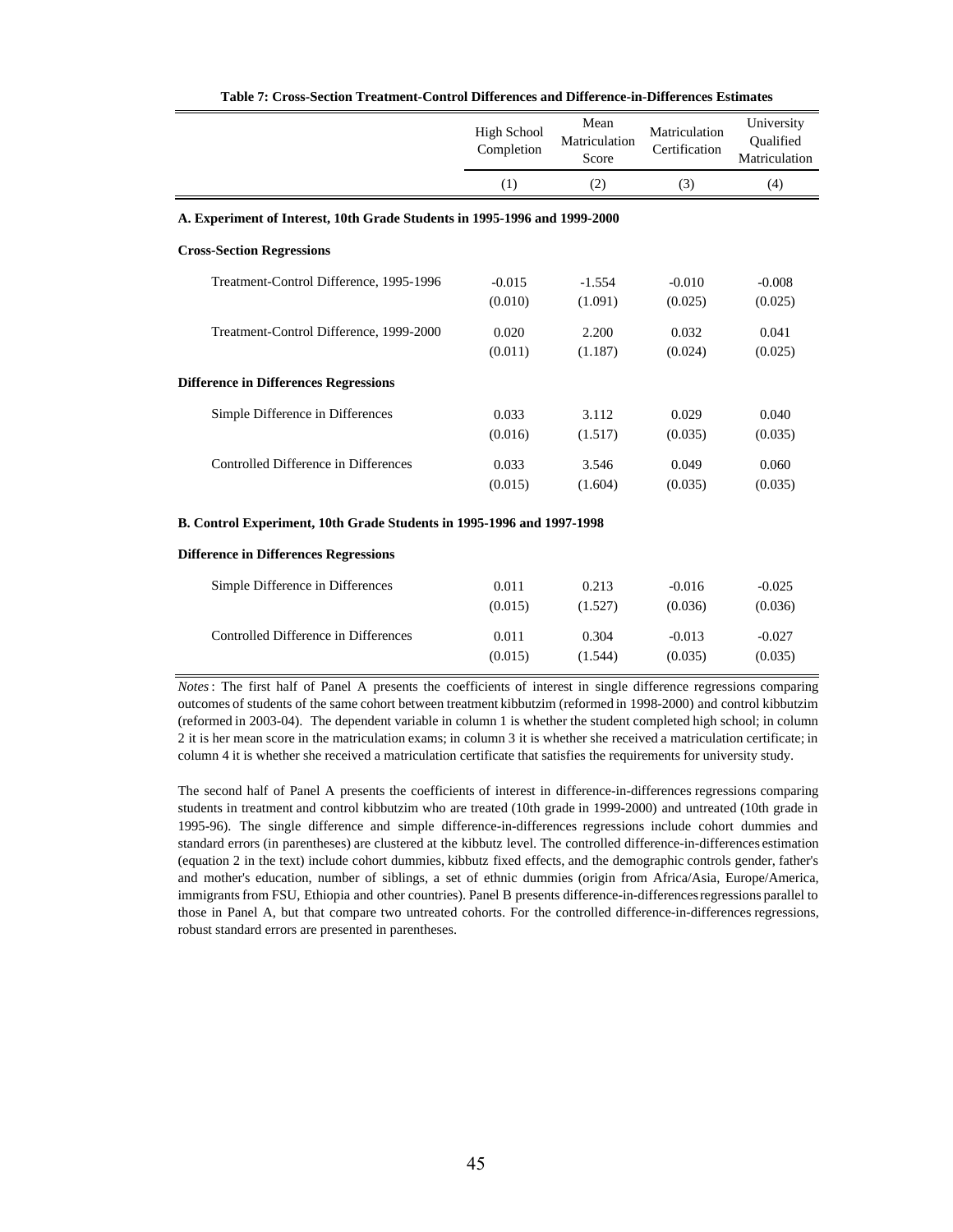|                                                                           | <b>High School</b><br>Completion | Mean<br>Matriculation<br>Score | Matriculation<br>Certification | University<br>Qualified<br>Matriculation |
|---------------------------------------------------------------------------|----------------------------------|--------------------------------|--------------------------------|------------------------------------------|
|                                                                           | (1)                              | (2)                            | (3)                            | (4)                                      |
| A. Experiment of Interest, 10th Grade Students in 1995-1996 and 1999-2000 |                                  |                                |                                |                                          |
| <b>Cross-Section Regressions</b>                                          |                                  |                                |                                |                                          |
| Treatment-Control Difference, 1995-1996                                   | $-0.015$<br>(0.010)              | $-1.554$<br>(1.091)            | $-0.010$<br>(0.025)            | $-0.008$<br>(0.025)                      |
| Treatment-Control Difference, 1999-2000                                   | 0.020<br>(0.011)                 | 2.200<br>(1.187)               | 0.032<br>(0.024)               | 0.041<br>(0.025)                         |
| <b>Difference in Differences Regressions</b>                              |                                  |                                |                                |                                          |
| Simple Difference in Differences                                          | 0.033<br>(0.016)                 | 3.112<br>(1.517)               | 0.029<br>(0.035)               | 0.040<br>(0.035)                         |
| Controlled Difference in Differences                                      | 0.033<br>(0.015)                 | 3.546<br>(1.604)               | 0.049<br>(0.035)               | 0.060<br>(0.035)                         |
| B. Control Experiment, 10th Grade Students in 1995-1996 and 1997-1998     |                                  |                                |                                |                                          |
| <b>Difference in Differences Regressions</b>                              |                                  |                                |                                |                                          |
| Simple Difference in Differences                                          | 0.011<br>(0.015)                 | 0.213<br>(1.527)               | $-0.016$<br>(0.036)            | $-0.025$<br>(0.036)                      |
| Controlled Difference in Differences                                      | 0.011<br>(0.015)                 | 0.304<br>(1.544)               | $-0.013$<br>(0.035)            | $-0.027$<br>(0.035)                      |

|  |  |  | Table 7: Cross-Section Treatment-Control Differences and Difference-in-Differences Estimates |  |
|--|--|--|----------------------------------------------------------------------------------------------|--|
|  |  |  |                                                                                              |  |

*Notes*: The first half of Panel A presents the coefficients of interest in single difference regressions comparing outcomes of students of the same cohort between treatment kibbutzim (reformed in 1998-2000) and control kibbutzim (reformed in 2003-04). The dependent variable in column 1 is whether the student completed high school; in column 2 it is her mean score in the matriculation exams; in column 3 it is whether she received a matriculation certificate; in column 4 it is whether she received a matriculation certificate that satisfies the requirements for university study.

The second half of Panel A presents the coefficients of interest in difference-in-differences regressions comparing students in treatment and control kibbutzim who are treated (10th grade in 1999-2000) and untreated (10th grade in 1995-96). The single difference and simple difference-in-differences regressions include cohort dummies and standard errors (in parentheses) are clustered at the kibbutz level. The controlled difference-in-differences estimation (equation 2 in the text) include cohort dummies, kibbutz fixed effects, and the demographic controls gender, father's and mother's education, number of siblings, a set of ethnic dummies (origin from Africa/Asia, Europe/America, immigrants from FSU, Ethiopia and other countries). Panel B presents difference-in-differencesregressions parallel to those in Panel A, but that compare two untreated cohorts. For the controlled difference-in-differences regressions, robust standard errors are presented in parentheses.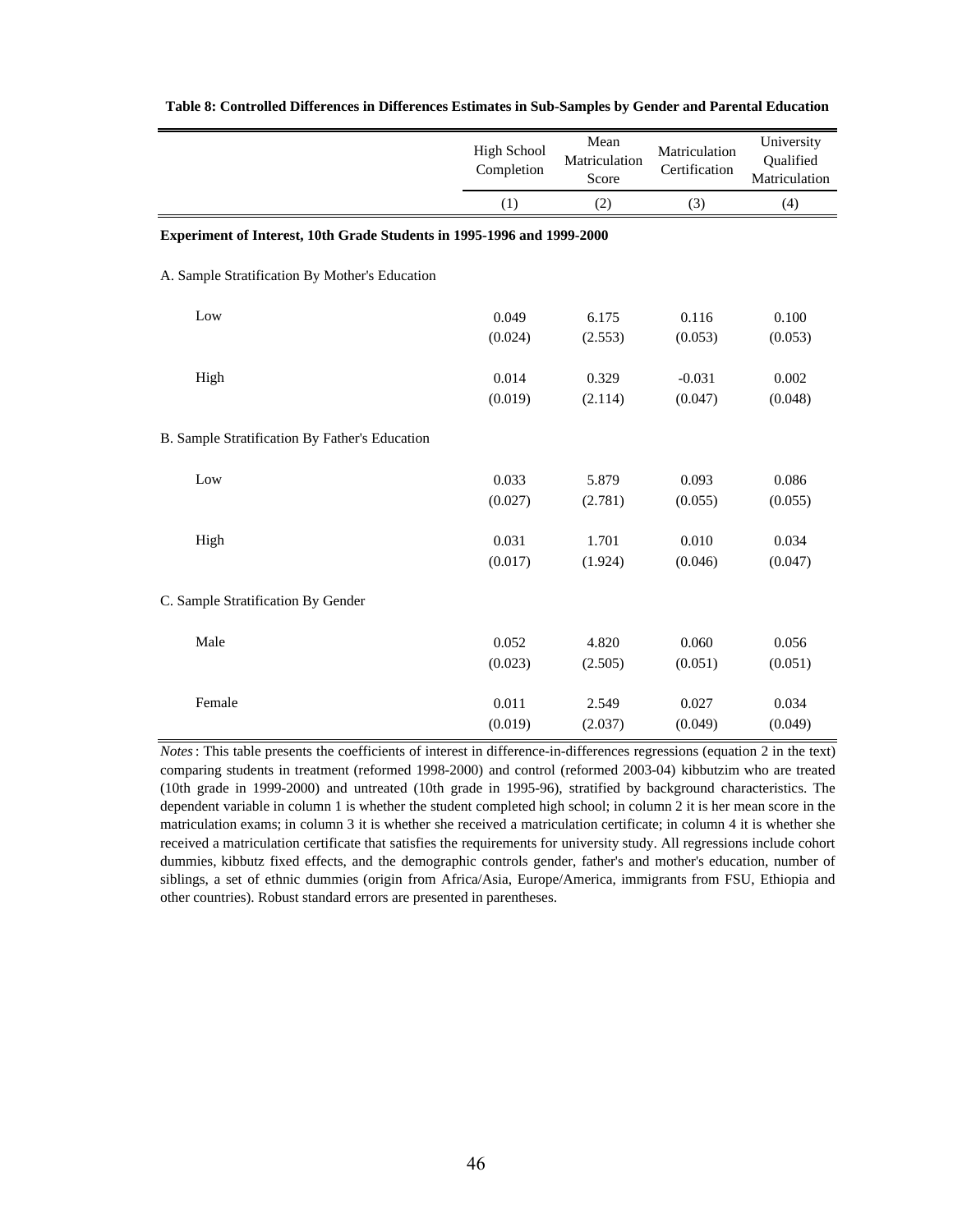|                                                                        | <b>High School</b><br>Completion | Mean<br>Matriculation<br>Score | Matriculation<br>Certification | University<br>Qualified<br>Matriculation |  |  |
|------------------------------------------------------------------------|----------------------------------|--------------------------------|--------------------------------|------------------------------------------|--|--|
|                                                                        | (1)                              | (2)                            | (3)                            | (4)                                      |  |  |
| Experiment of Interest, 10th Grade Students in 1995-1996 and 1999-2000 |                                  |                                |                                |                                          |  |  |
| A. Sample Stratification By Mother's Education                         |                                  |                                |                                |                                          |  |  |
| Low                                                                    | 0.049                            | 6.175                          | 0.116                          | 0.100                                    |  |  |
|                                                                        | (0.024)                          | (2.553)                        | (0.053)                        | (0.053)                                  |  |  |
| High                                                                   | 0.014                            | 0.329                          | $-0.031$                       | 0.002                                    |  |  |
|                                                                        | (0.019)                          | (2.114)                        | (0.047)                        | (0.048)                                  |  |  |
| B. Sample Stratification By Father's Education                         |                                  |                                |                                |                                          |  |  |
| Low                                                                    | 0.033                            | 5.879                          | 0.093                          | 0.086                                    |  |  |
|                                                                        | (0.027)                          | (2.781)                        | (0.055)                        | (0.055)                                  |  |  |
| High                                                                   | 0.031                            | 1.701                          | 0.010                          | 0.034                                    |  |  |
|                                                                        | (0.017)                          | (1.924)                        | (0.046)                        | (0.047)                                  |  |  |
| C. Sample Stratification By Gender                                     |                                  |                                |                                |                                          |  |  |
| Male                                                                   | 0.052                            | 4.820                          | 0.060                          | 0.056                                    |  |  |
|                                                                        | (0.023)                          | (2.505)                        | (0.051)                        | (0.051)                                  |  |  |
| Female                                                                 | 0.011                            | 2.549                          | 0.027                          | 0.034                                    |  |  |
|                                                                        | (0.019)                          | (2.037)                        | (0.049)                        | (0.049)                                  |  |  |

#### **Table 8: Controlled Differences in Differences Estimates in Sub-Samples by Gender and Parental Education**

*Notes*: This table presents the coefficients of interest in difference-in-differences regressions (equation 2 in the text) comparing students in treatment (reformed 1998-2000) and control (reformed 2003-04) kibbutzim who are treated (10th grade in 1999-2000) and untreated (10th grade in 1995-96), stratified by background characteristics. The dependent variable in column 1 is whether the student completed high school; in column 2 it is her mean score in the matriculation exams; in column 3 it is whether she received a matriculation certificate; in column 4 it is whether she received a matriculation certificate that satisfies the requirements for university study. All regressions include cohort dummies, kibbutz fixed effects, and the demographic controls gender, father's and mother's education, number of siblings, a set of ethnic dummies (origin from Africa/Asia, Europe/America, immigrants from FSU, Ethiopia and other countries). Robust standard errors are presented in parentheses.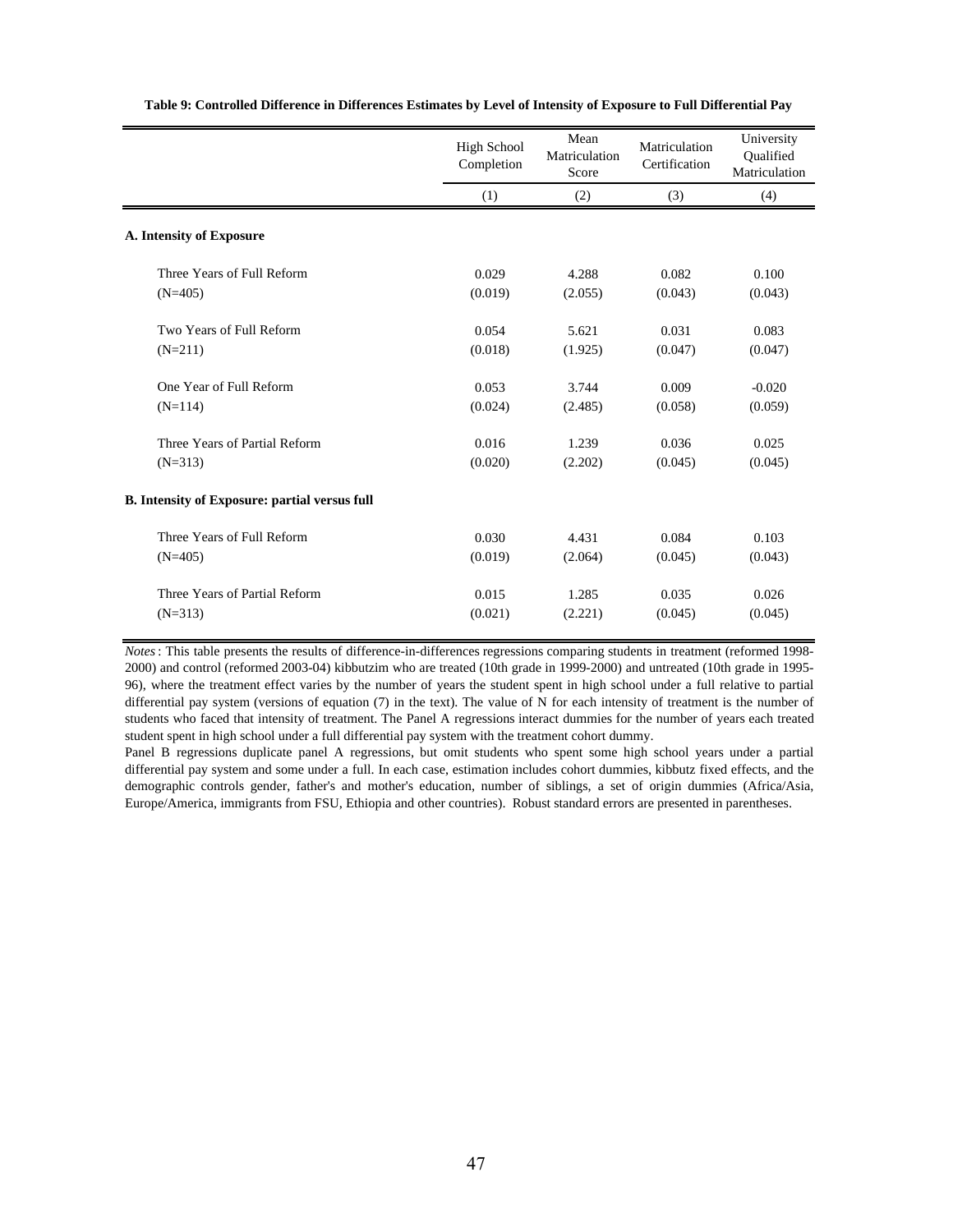|                                                      | <b>High School</b><br>Completion | Mean<br>Matriculation<br>Score | Matriculation<br>Certification | University<br>Oualified<br>Matriculation |
|------------------------------------------------------|----------------------------------|--------------------------------|--------------------------------|------------------------------------------|
|                                                      | (1)                              | (2)                            | (3)                            | (4)                                      |
| A. Intensity of Exposure                             |                                  |                                |                                |                                          |
| Three Years of Full Reform                           | 0.029                            | 4.288                          | 0.082                          | 0.100                                    |
| $(N=405)$                                            | (0.019)                          | (2.055)                        | (0.043)                        | (0.043)                                  |
| Two Years of Full Reform                             | 0.054                            | 5.621                          | 0.031                          | 0.083                                    |
| $(N=211)$                                            | (0.018)                          | (1.925)                        | (0.047)                        | (0.047)                                  |
| One Year of Full Reform                              | 0.053                            | 3.744                          | 0.009                          | $-0.020$                                 |
| $(N=114)$                                            | (0.024)                          | (2.485)                        | (0.058)                        | (0.059)                                  |
| Three Years of Partial Reform                        | 0.016                            | 1.239                          | 0.036                          | 0.025                                    |
| $(N=313)$                                            | (0.020)                          | (2.202)                        | (0.045)                        | (0.045)                                  |
| <b>B.</b> Intensity of Exposure: partial versus full |                                  |                                |                                |                                          |
| Three Years of Full Reform                           | 0.030                            | 4.431                          | 0.084                          | 0.103                                    |
| $(N=405)$                                            | (0.019)                          | (2.064)                        | (0.045)                        | (0.043)                                  |
| Three Years of Partial Reform<br>$(N=313)$           | 0.015<br>(0.021)                 | 1.285<br>(2.221)               | 0.035<br>(0.045)               | 0.026<br>(0.045)                         |
|                                                      |                                  |                                |                                |                                          |

**Table 9: Controlled Difference in Differences Estimates by Level of Intensity of Exposure to Full Differential Pay**

*Notes*: This table presents the results of difference-in-differences regressions comparing students in treatment (reformed 1998- 2000) and control (reformed 2003-04) kibbutzim who are treated (10th grade in 1999-2000) and untreated (10th grade in 1995- 96), where the treatment effect varies by the number of years the student spent in high school under a full relative to partial differential pay system (versions of equation (7) in the text). The value of N for each intensity of treatment is the number of students who faced that intensity of treatment. The Panel A regressions interact dummies for the number of years each treated student spent in high school under a full differential pay system with the treatment cohort dummy.

Panel B regressions duplicate panel A regressions, but omit students who spent some high school years under a partial differential pay system and some under a full. In each case, estimation includes cohort dummies, kibbutz fixed effects, and the demographic controls gender, father's and mother's education, number of siblings, a set of origin dummies (Africa/Asia, Europe/America, immigrants from FSU, Ethiopia and other countries). Robust standard errors are presented in parentheses.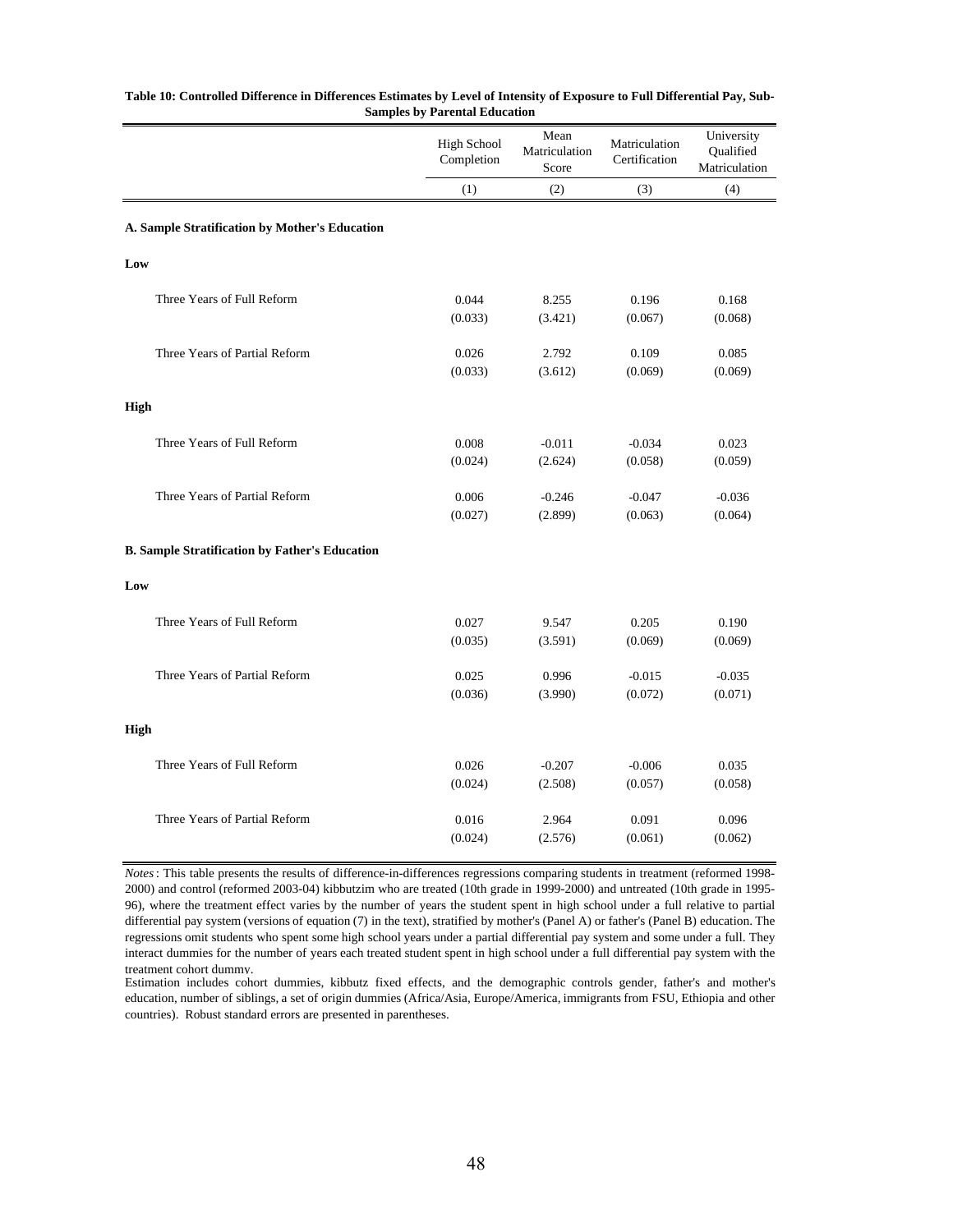|                                                       | <b>High School</b><br>Completion | Mean<br>Matriculation<br>Score | Matriculation<br>Certification | University<br>Qualified<br>Matriculation |
|-------------------------------------------------------|----------------------------------|--------------------------------|--------------------------------|------------------------------------------|
|                                                       | (1)                              | (2)                            | (3)                            | (4)                                      |
| A. Sample Stratification by Mother's Education        |                                  |                                |                                |                                          |
| Low                                                   |                                  |                                |                                |                                          |
| Three Years of Full Reform                            | 0.044                            | 8.255                          | 0.196                          | 0.168                                    |
|                                                       | (0.033)                          | (3.421)                        | (0.067)                        | (0.068)                                  |
| Three Years of Partial Reform                         | 0.026                            | 2.792                          | 0.109                          | 0.085                                    |
|                                                       | (0.033)                          | (3.612)                        | (0.069)                        | (0.069)                                  |
| High                                                  |                                  |                                |                                |                                          |
| Three Years of Full Reform                            | 0.008                            | $-0.011$                       | $-0.034$                       | 0.023                                    |
|                                                       | (0.024)                          | (2.624)                        | (0.058)                        | (0.059)                                  |
| Three Years of Partial Reform                         | 0.006                            | $-0.246$                       | $-0.047$                       | $-0.036$                                 |
|                                                       | (0.027)                          | (2.899)                        | (0.063)                        | (0.064)                                  |
| <b>B. Sample Stratification by Father's Education</b> |                                  |                                |                                |                                          |
| Low                                                   |                                  |                                |                                |                                          |
| Three Years of Full Reform                            | 0.027                            | 9.547                          | 0.205                          | 0.190                                    |
|                                                       | (0.035)                          | (3.591)                        | (0.069)                        | (0.069)                                  |
| Three Years of Partial Reform                         | 0.025                            | 0.996                          | $-0.015$                       | $-0.035$                                 |
|                                                       | (0.036)                          | (3.990)                        | (0.072)                        | (0.071)                                  |
| High                                                  |                                  |                                |                                |                                          |
| Three Years of Full Reform                            | 0.026                            | $-0.207$                       | $-0.006$                       | 0.035                                    |
|                                                       | (0.024)                          | (2.508)                        | (0.057)                        | (0.058)                                  |
| Three Years of Partial Reform                         | 0.016                            | 2.964                          | 0.091                          | 0.096                                    |
|                                                       | (0.024)                          | (2.576)                        | (0.061)                        | (0.062)                                  |

#### **Table 10: Controlled Difference in Differences Estimates by Level of Intensity of Exposure to Full Differential Pay, Sub-Samples by Parental Education**  $\overline{\phantom{0}}$

*Notes*: This table presents the results of difference-in-differences regressions comparing students in treatment (reformed 1998- 2000) and control (reformed 2003-04) kibbutzim who are treated (10th grade in 1999-2000) and untreated (10th grade in 1995- 96), where the treatment effect varies by the number of years the student spent in high school under a full relative to partial differential pay system (versions of equation (7) in the text), stratified by mother's (Panel A) or father's (Panel B) education. The regressions omit students who spent some high school years under a partial differential pay system and some under a full. They interact dummies for the number of years each treated student spent in high school under a full differential pay system with the treatment cohort dummy.

Estimation includes cohort dummies, kibbutz fixed effects, and the demographic controls gender, father's and mother's education, number of siblings, a set of origin dummies (Africa/Asia, Europe/America, immigrants from FSU, Ethiopia and other countries). Robust standard errors are presented in parentheses.